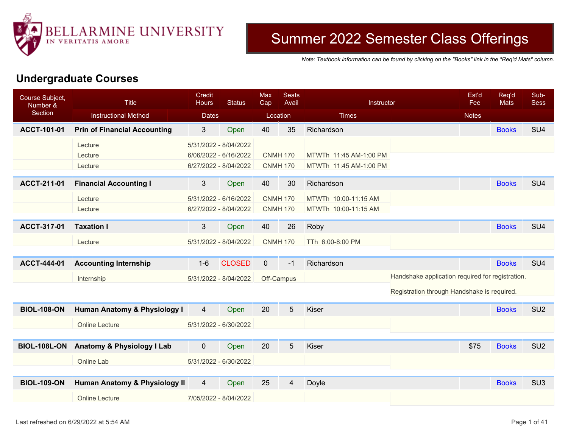

## Summer 2022 Semester Class Offerings

*Note: Textbook information can be found by clicking on the "Books" link in the "Req'd Mats" column.*

## **Undergraduate Courses**

| Course Subject,<br>Number & | <b>Title</b>                            | Credit<br><b>Hours</b> | <b>Status</b> | <b>Max</b><br>Cap | <b>Seats</b><br>Avail | Instructor             | Est'd<br>Fee                                     | Req'd<br><b>Mats</b> | Sub-<br><b>Sess</b> |
|-----------------------------|-----------------------------------------|------------------------|---------------|-------------------|-----------------------|------------------------|--------------------------------------------------|----------------------|---------------------|
| Section                     | <b>Instructional Method</b>             | <b>Dates</b>           |               | Location          |                       | <b>Times</b>           | <b>Notes</b>                                     |                      |                     |
| ACCT-101-01                 | <b>Prin of Financial Accounting</b>     | $\mathbf{3}$           | Open          | 40                | 35                    | Richardson             |                                                  | <b>Books</b>         | SU <sub>4</sub>     |
|                             | Lecture                                 | 5/31/2022 - 8/04/2022  |               |                   |                       |                        |                                                  |                      |                     |
|                             | Lecture                                 | 6/06/2022 - 6/16/2022  |               | <b>CNMH 170</b>   |                       | MTWTh 11:45 AM-1:00 PM |                                                  |                      |                     |
|                             | Lecture                                 | 6/27/2022 - 8/04/2022  |               | <b>CNMH 170</b>   |                       | MTWTh 11:45 AM-1:00 PM |                                                  |                      |                     |
| ACCT-211-01                 | <b>Financial Accounting I</b>           | 3 <sup>2</sup>         | Open          | 40                | 30                    | Richardson             |                                                  | <b>Books</b>         | SU <sub>4</sub>     |
|                             | Lecture                                 | 5/31/2022 - 6/16/2022  |               | <b>CNMH 170</b>   |                       | MTWTh 10:00-11:15 AM   |                                                  |                      |                     |
|                             | Lecture                                 | 6/27/2022 - 8/04/2022  |               | <b>CNMH 170</b>   |                       | MTWTh 10:00-11:15 AM   |                                                  |                      |                     |
|                             |                                         |                        |               |                   |                       |                        |                                                  |                      | SU <sub>4</sub>     |
| ACCT-317-01                 | <b>Taxation I</b>                       | 3                      | Open          | 40                | 26                    | Roby                   |                                                  | <b>Books</b>         |                     |
|                             | Lecture                                 | 5/31/2022 - 8/04/2022  |               | <b>CNMH 170</b>   |                       | TTh 6:00-8:00 PM       |                                                  |                      |                     |
|                             |                                         |                        |               |                   |                       |                        |                                                  |                      |                     |
| <b>ACCT-444-01</b>          | <b>Accounting Internship</b>            | $1 - 6$                | <b>CLOSED</b> | $\overline{0}$    | $-1$                  | Richardson             |                                                  | <b>Books</b>         | SU <sub>4</sub>     |
|                             | Internship                              | 5/31/2022 - 8/04/2022  |               | Off-Campus        |                       |                        | Handshake application required for registration. |                      |                     |
|                             |                                         |                        |               |                   |                       |                        | Registration through Handshake is required.      |                      |                     |
| <b>BIOL-108-ON</b>          | <b>Human Anatomy &amp; Physiology I</b> | $\overline{4}$         | Open          | 20                | 5                     | <b>Kiser</b>           |                                                  | <b>Books</b>         | SU <sub>2</sub>     |
|                             | <b>Online Lecture</b>                   | 5/31/2022 - 6/30/2022  |               |                   |                       |                        |                                                  |                      |                     |
|                             |                                         |                        |               |                   |                       |                        |                                                  |                      |                     |
| <b>BIOL-108L-ON</b>         | Anatomy & Physiology I Lab              | $\mathbf 0$            | Open          | 20                | 5                     | Kiser                  | \$75                                             | <b>Books</b>         | SU <sub>2</sub>     |
|                             | Online Lab                              | 5/31/2022 - 6/30/2022  |               |                   |                       |                        |                                                  |                      |                     |
|                             |                                         |                        |               |                   |                       |                        |                                                  |                      |                     |
| <b>BIOL-109-ON</b>          | Human Anatomy & Physiology II           | 4                      | Open          | 25                | 4                     | Doyle                  |                                                  | <b>Books</b>         | SU <sub>3</sub>     |
|                             | <b>Online Lecture</b>                   | 7/05/2022 - 8/04/2022  |               |                   |                       |                        |                                                  |                      |                     |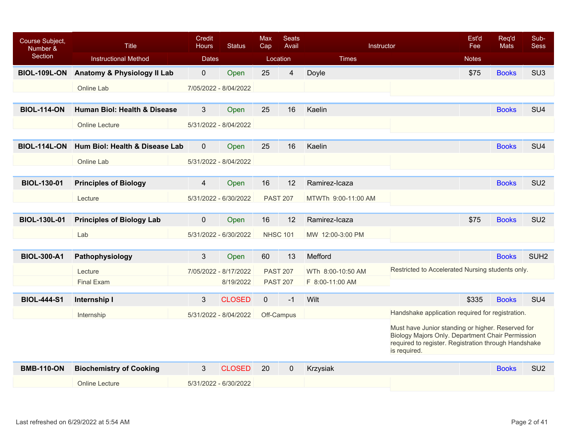| Course Subject,<br>Number & | <b>Title</b>                     | Credit<br><b>Hours</b> | <b>Status</b>         | <b>Max</b><br>Cap | <b>Seats</b><br>Avail   | Instructor          |                                                                                                                                                                               | Est'd<br>Fee | Req'd<br>Mats | Sub-<br><b>Sess</b> |
|-----------------------------|----------------------------------|------------------------|-----------------------|-------------------|-------------------------|---------------------|-------------------------------------------------------------------------------------------------------------------------------------------------------------------------------|--------------|---------------|---------------------|
| Section                     | <b>Instructional Method</b>      | <b>Dates</b>           |                       | Location          |                         | <b>Times</b>        |                                                                                                                                                                               | <b>Notes</b> |               |                     |
| <b>BIOL-109L-ON</b>         | Anatomy & Physiology II Lab      | $\mathbf 0$            | Open                  | 25                | $\overline{\mathbf{4}}$ | Doyle               |                                                                                                                                                                               | \$75         | <b>Books</b>  | SU <sub>3</sub>     |
|                             | Online Lab                       |                        | 7/05/2022 - 8/04/2022 |                   |                         |                     |                                                                                                                                                                               |              |               |                     |
|                             |                                  |                        |                       |                   |                         |                     |                                                                                                                                                                               |              |               |                     |
| <b>BIOL-114-ON</b>          | Human Biol: Health & Disease     | $\mathfrak{S}$         | Open                  | 25                | 16                      | Kaelin              |                                                                                                                                                                               |              | <b>Books</b>  | SU <sub>4</sub>     |
|                             | <b>Online Lecture</b>            |                        | 5/31/2022 - 8/04/2022 |                   |                         |                     |                                                                                                                                                                               |              |               |                     |
|                             |                                  |                        |                       |                   |                         |                     |                                                                                                                                                                               |              |               |                     |
| <b>BIOL-114L-ON</b>         | Hum Biol: Health & Disease Lab   | $\mathbf 0$            | Open                  | 25                | 16                      | Kaelin              |                                                                                                                                                                               |              | <b>Books</b>  | SU <sub>4</sub>     |
|                             | Online Lab                       |                        | 5/31/2022 - 8/04/2022 |                   |                         |                     |                                                                                                                                                                               |              |               |                     |
|                             |                                  |                        |                       |                   |                         |                     |                                                                                                                                                                               |              |               |                     |
| <b>BIOL-130-01</b>          | <b>Principles of Biology</b>     | 4                      | Open                  | 16                | 12                      | Ramirez-Icaza       |                                                                                                                                                                               |              | <b>Books</b>  | SU <sub>2</sub>     |
|                             | Lecture                          |                        | 5/31/2022 - 6/30/2022 |                   | <b>PAST 207</b>         | MTWTh 9:00-11:00 AM |                                                                                                                                                                               |              |               |                     |
|                             |                                  |                        |                       |                   |                         |                     |                                                                                                                                                                               |              |               |                     |
| <b>BIOL-130L-01</b>         | <b>Principles of Biology Lab</b> | $\mathbf 0$            | Open                  | 16                | 12                      | Ramirez-Icaza       |                                                                                                                                                                               | \$75         | <b>Books</b>  | SU <sub>2</sub>     |
|                             | Lab                              |                        | 5/31/2022 - 6/30/2022 | <b>NHSC 101</b>   |                         | MW 12:00-3:00 PM    |                                                                                                                                                                               |              |               |                     |
|                             |                                  |                        |                       |                   |                         |                     |                                                                                                                                                                               |              |               |                     |
| <b>BIOL-300-A1</b>          | Pathophysiology                  | 3                      | Open                  | 60                | 13                      | Mefford             |                                                                                                                                                                               |              | <b>Books</b>  | SUH <sub>2</sub>    |
|                             | Lecture                          |                        | 7/05/2022 - 8/17/2022 | <b>PAST 207</b>   |                         | WTh 8:00-10:50 AM   | Restricted to Accelerated Nursing students only.                                                                                                                              |              |               |                     |
|                             | Final Exam                       |                        | 8/19/2022             |                   | <b>PAST 207</b>         | F 8:00-11:00 AM     |                                                                                                                                                                               |              |               |                     |
| <b>BIOL-444-S1</b>          | Internship I                     | 3                      | <b>CLOSED</b>         | $\mathbf{0}$      | $-1$                    | Wilt                |                                                                                                                                                                               | \$335        | <b>Books</b>  | SU <sub>4</sub>     |
|                             | Internship                       |                        | 5/31/2022 - 8/04/2022 |                   | Off-Campus              |                     | Handshake application required for registration.                                                                                                                              |              |               |                     |
|                             |                                  |                        |                       |                   |                         |                     | Must have Junior standing or higher. Reserved for<br>Biology Majors Only. Department Chair Permission<br>required to register. Registration through Handshake<br>is required. |              |               |                     |
| <b>BMB-110-ON</b>           | <b>Biochemistry of Cooking</b>   | 3                      | <b>CLOSED</b>         | 20                | $\mathbf 0$             | Krzysiak            |                                                                                                                                                                               |              | <b>Books</b>  | SU <sub>2</sub>     |
|                             | <b>Online Lecture</b>            |                        | 5/31/2022 - 6/30/2022 |                   |                         |                     |                                                                                                                                                                               |              |               |                     |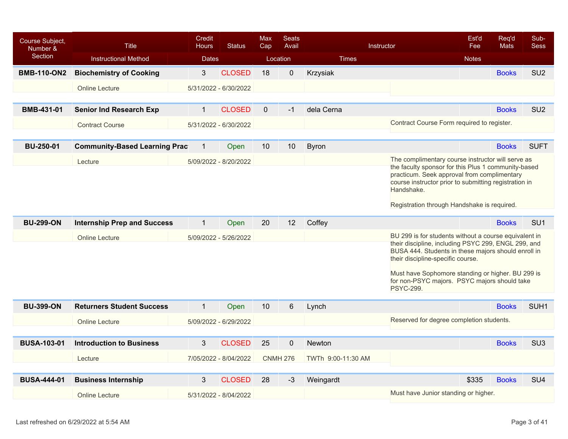| Course Subject,<br>Number &<br>Section | <b>Title</b><br><b>Instructional Method</b> | Credit<br><b>Hours</b><br><b>Dates</b> | <b>Status</b>         | <b>Max</b><br>Cap | <b>Seats</b><br>Avail<br>Location | <b>Times</b>       | Instructor                                                                                                                                                                                                                                                                                                                        | Est'd<br>Fee<br><b>Notes</b> | Req'd<br><b>Mats</b> | Sub-<br><b>Sess</b> |
|----------------------------------------|---------------------------------------------|----------------------------------------|-----------------------|-------------------|-----------------------------------|--------------------|-----------------------------------------------------------------------------------------------------------------------------------------------------------------------------------------------------------------------------------------------------------------------------------------------------------------------------------|------------------------------|----------------------|---------------------|
| <b>BMB-110-ON2</b>                     | <b>Biochemistry of Cooking</b>              | $\mathbf{3}$                           | <b>CLOSED</b>         | 18                | $\mathbf 0$                       | Krzysiak           |                                                                                                                                                                                                                                                                                                                                   |                              | <b>Books</b>         | SU <sub>2</sub>     |
|                                        | Online Lecture                              |                                        | 5/31/2022 - 6/30/2022 |                   |                                   |                    |                                                                                                                                                                                                                                                                                                                                   |                              |                      |                     |
|                                        |                                             |                                        |                       |                   |                                   |                    |                                                                                                                                                                                                                                                                                                                                   |                              |                      |                     |
| BMB-431-01                             | <b>Senior Ind Research Exp</b>              | $\mathbf{1}$                           | <b>CLOSED</b>         | $\mathbf 0$       | $-1$                              | dela Cerna         |                                                                                                                                                                                                                                                                                                                                   |                              | <b>Books</b>         | SU <sub>2</sub>     |
|                                        | <b>Contract Course</b>                      |                                        | 5/31/2022 - 6/30/2022 |                   |                                   |                    | Contract Course Form required to register.                                                                                                                                                                                                                                                                                        |                              |                      |                     |
|                                        |                                             |                                        |                       |                   |                                   |                    |                                                                                                                                                                                                                                                                                                                                   |                              |                      |                     |
| <b>BU-250-01</b>                       | <b>Community-Based Learning Prac</b>        | $\mathbf 1$                            | Open                  | 10 <sup>°</sup>   | 10                                | <b>Byron</b>       |                                                                                                                                                                                                                                                                                                                                   |                              | <b>Books</b>         | <b>SUFT</b>         |
|                                        | Lecture                                     |                                        | 5/09/2022 - 8/20/2022 |                   |                                   |                    | The complimentary course instructor will serve as                                                                                                                                                                                                                                                                                 |                              |                      |                     |
|                                        |                                             |                                        |                       |                   |                                   |                    | the faculty sponsor for this Plus 1 community-based<br>practicum. Seek approval from complimentary<br>course instructor prior to submitting registration in<br>Handshake.<br>Registration through Handshake is required.                                                                                                          |                              |                      |                     |
|                                        |                                             |                                        |                       |                   |                                   |                    |                                                                                                                                                                                                                                                                                                                                   |                              |                      |                     |
| <b>BU-299-ON</b>                       | <b>Internship Prep and Success</b>          | $\mathbf{1}$                           | Open                  | 20                | 12                                | Coffey             |                                                                                                                                                                                                                                                                                                                                   |                              | <b>Books</b>         | SU <sub>1</sub>     |
|                                        | <b>Online Lecture</b>                       |                                        | 5/09/2022 - 5/26/2022 |                   |                                   |                    | BU 299 is for students without a course equivalent in<br>their discipline, including PSYC 299, ENGL 299, and<br>BUSA 444. Students in these majors should enroll in<br>their discipline-specific course.<br>Must have Sophomore standing or higher. BU 299 is<br>for non-PSYC majors. PSYC majors should take<br><b>PSYC-299.</b> |                              |                      |                     |
|                                        |                                             |                                        |                       |                   |                                   |                    |                                                                                                                                                                                                                                                                                                                                   |                              |                      |                     |
| <b>BU-399-ON</b>                       | <b>Returners Student Success</b>            | $\mathbf{1}$                           | Open                  | 10 <sup>°</sup>   | $6\phantom{1}$                    | Lynch              |                                                                                                                                                                                                                                                                                                                                   |                              | <b>Books</b>         | SUH <sub>1</sub>    |
|                                        | <b>Online Lecture</b>                       |                                        | 5/09/2022 - 6/29/2022 |                   |                                   |                    | Reserved for degree completion students.                                                                                                                                                                                                                                                                                          |                              |                      |                     |
|                                        |                                             |                                        |                       |                   |                                   |                    |                                                                                                                                                                                                                                                                                                                                   |                              |                      |                     |
| <b>BUSA-103-01</b>                     | <b>Introduction to Business</b>             | 3                                      | <b>CLOSED</b>         | 25                | $\mathbf 0$                       | Newton             |                                                                                                                                                                                                                                                                                                                                   |                              | <b>Books</b>         | SU <sub>3</sub>     |
|                                        | Lecture                                     |                                        | 7/05/2022 - 8/04/2022 |                   | <b>CNMH 276</b>                   | TWTh 9:00-11:30 AM |                                                                                                                                                                                                                                                                                                                                   |                              |                      |                     |
| <b>BUSA-444-01</b>                     | <b>Business Internship</b>                  | 3                                      | <b>CLOSED</b>         | 28                | $-3$                              | Weingardt          |                                                                                                                                                                                                                                                                                                                                   | \$335                        | <b>Books</b>         | SU <sub>4</sub>     |
|                                        | <b>Online Lecture</b>                       |                                        | 5/31/2022 - 8/04/2022 |                   |                                   |                    | Must have Junior standing or higher.                                                                                                                                                                                                                                                                                              |                              |                      |                     |
|                                        |                                             |                                        |                       |                   |                                   |                    |                                                                                                                                                                                                                                                                                                                                   |                              |                      |                     |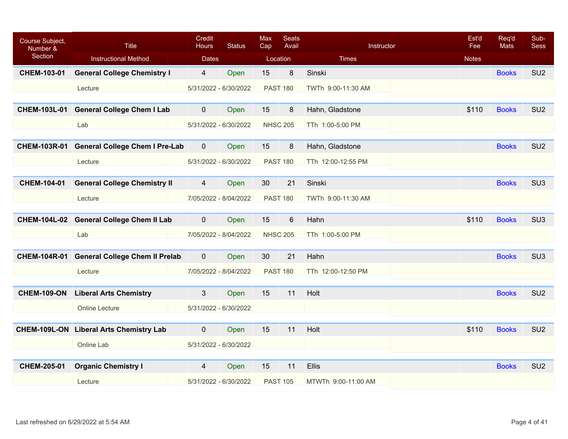| Course Subject,<br>Number & | <b>Title</b>                                   | Credit<br><b>Hours</b> | <b>Status</b>         | Max<br>Cap      | <b>Seats</b><br>Avail | Instructor          | Est'd<br>Fee | Req'd<br><b>Mats</b> | Sub-<br><b>Sess</b> |
|-----------------------------|------------------------------------------------|------------------------|-----------------------|-----------------|-----------------------|---------------------|--------------|----------------------|---------------------|
| Section                     | <b>Instructional Method</b>                    | <b>Dates</b>           |                       |                 | Location              | <b>Times</b>        | <b>Notes</b> |                      |                     |
| CHEM-103-01                 | <b>General College Chemistry I</b>             | $\overline{4}$         | Open                  | 15              | 8                     | Sinski              |              | <b>Books</b>         | SU <sub>2</sub>     |
|                             | Lecture                                        |                        | 5/31/2022 - 6/30/2022 |                 | <b>PAST 180</b>       | TWTh 9:00-11:30 AM  |              |                      |                     |
|                             |                                                |                        |                       |                 |                       |                     |              |                      |                     |
| <b>CHEM-103L-01</b>         | <b>General College Chem I Lab</b>              | $\mathbf{0}$           | Open                  | 15              | 8                     | Hahn, Gladstone     | \$110        | <b>Books</b>         | SU <sub>2</sub>     |
|                             | Lab                                            |                        | 5/31/2022 - 6/30/2022 | <b>NHSC 205</b> |                       | TTh 1:00-5:00 PM    |              |                      |                     |
|                             |                                                |                        |                       |                 |                       |                     |              |                      |                     |
| <b>CHEM-103R-01</b>         | <b>General College Chem I Pre-Lab</b>          | $\mathbf 0$            | Open                  | 15              | 8                     | Hahn, Gladstone     |              | <b>Books</b>         | SU <sub>2</sub>     |
|                             | Lecture                                        |                        | 5/31/2022 - 6/30/2022 |                 | <b>PAST 180</b>       | TTh 12:00-12:55 PM  |              |                      |                     |
|                             |                                                |                        |                       |                 |                       |                     |              |                      |                     |
| <b>CHEM-104-01</b>          | <b>General College Chemistry II</b>            | $\overline{4}$         | Open                  | 30              | 21                    | Sinski              |              | <b>Books</b>         | SU <sub>3</sub>     |
|                             | Lecture                                        |                        | 7/05/2022 - 8/04/2022 |                 | <b>PAST 180</b>       | TWTh 9:00-11:30 AM  |              |                      |                     |
|                             |                                                |                        |                       |                 |                       |                     |              |                      |                     |
|                             | CHEM-104L-02 General College Chem II Lab       | $\mathbf 0$            | Open                  | 15              | $6\phantom{1}$        | Hahn                | \$110        | <b>Books</b>         | SU <sub>3</sub>     |
|                             | Lab                                            |                        | 7/05/2022 - 8/04/2022 |                 | <b>NHSC 205</b>       | TTh 1:00-5:00 PM    |              |                      |                     |
|                             |                                                |                        |                       |                 |                       |                     |              |                      |                     |
|                             | CHEM-104R-01 General College Chem II Prelab    | $\mathbf{0}$           | Open                  | 30              | 21                    | Hahn                |              | <b>Books</b>         | SU <sub>3</sub>     |
|                             | Lecture                                        |                        | 7/05/2022 - 8/04/2022 |                 | <b>PAST 180</b>       | TTh 12:00-12:50 PM  |              |                      |                     |
|                             |                                                |                        |                       |                 |                       |                     |              |                      |                     |
| <b>CHEM-109-ON</b>          | <b>Liberal Arts Chemistry</b>                  | 3                      | Open                  | 15              | 11                    | Holt                |              | <b>Books</b>         | SU <sub>2</sub>     |
|                             | <b>Online Lecture</b>                          |                        | 5/31/2022 - 6/30/2022 |                 |                       |                     |              |                      |                     |
|                             |                                                |                        |                       |                 |                       |                     |              |                      |                     |
|                             | <b>CHEM-109L-ON Liberal Arts Chemistry Lab</b> | $\mathbf 0$            | Open                  | 15              | 11                    | Holt                | \$110        | <b>Books</b>         | SU <sub>2</sub>     |
|                             | Online Lab                                     | 5/31/2022 - 6/30/2022  |                       |                 |                       |                     |              |                      |                     |
|                             |                                                |                        |                       |                 |                       |                     |              |                      |                     |
| <b>CHEM-205-01</b>          | <b>Organic Chemistry I</b>                     | $\overline{4}$         | Open                  | 15              | 11                    | Ellis               |              | <b>Books</b>         | SU <sub>2</sub>     |
|                             | Lecture                                        |                        | 5/31/2022 - 6/30/2022 |                 | <b>PAST 105</b>       | MTWTh 9:00-11:00 AM |              |                      |                     |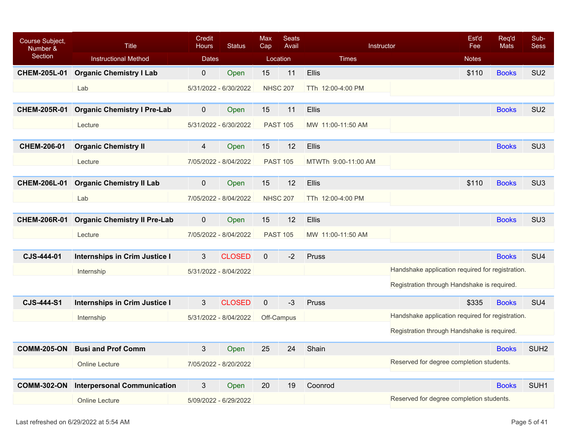| Course Subject,<br>Number & | <b>Title</b>                         | Credit<br>Hours | <b>Status</b>         | <b>Max</b><br>Cap | <b>Seats</b><br>Avail | Instructor          |                                                  | Est'd<br>Fee | Req'd<br>Mats | Sub-<br><b>Sess</b> |
|-----------------------------|--------------------------------------|-----------------|-----------------------|-------------------|-----------------------|---------------------|--------------------------------------------------|--------------|---------------|---------------------|
| Section                     | <b>Instructional Method</b>          | <b>Dates</b>    |                       | Location          |                       | <b>Times</b>        |                                                  | <b>Notes</b> |               |                     |
| <b>CHEM-205L-01</b>         | <b>Organic Chemistry I Lab</b>       | $\mathbf 0$     | Open                  | 15                | 11                    | <b>Ellis</b>        |                                                  | \$110        | <b>Books</b>  | SU <sub>2</sub>     |
|                             | Lab                                  |                 | 5/31/2022 - 6/30/2022 | <b>NHSC 207</b>   |                       | TTh 12:00-4:00 PM   |                                                  |              |               |                     |
| <b>CHEM-205R-01</b>         | <b>Organic Chemistry I Pre-Lab</b>   | $\mathbf 0$     | Open                  | 15                | 11                    | <b>Ellis</b>        |                                                  |              | <b>Books</b>  | SU <sub>2</sub>     |
|                             |                                      |                 |                       |                   |                       |                     |                                                  |              |               |                     |
|                             | Lecture                              |                 | 5/31/2022 - 6/30/2022 | <b>PAST 105</b>   |                       | MW 11:00-11:50 AM   |                                                  |              |               |                     |
| CHEM-206-01                 | <b>Organic Chemistry II</b>          | 4               | Open                  | 15                | 12                    | Ellis               |                                                  |              | <b>Books</b>  | SU <sub>3</sub>     |
|                             | Lecture                              |                 | 7/05/2022 - 8/04/2022 | <b>PAST 105</b>   |                       | MTWTh 9:00-11:00 AM |                                                  |              |               |                     |
|                             |                                      |                 |                       |                   |                       |                     |                                                  |              |               |                     |
| <b>CHEM-206L-01</b>         | <b>Organic Chemistry II Lab</b>      | $\mathbf 0$     | Open                  | 15                | 12                    | Ellis               |                                                  | \$110        | <b>Books</b>  | SU <sub>3</sub>     |
|                             | Lab                                  |                 | 7/05/2022 - 8/04/2022 | <b>NHSC 207</b>   |                       | TTh 12:00-4:00 PM   |                                                  |              |               |                     |
| <b>CHEM-206R-01</b>         | <b>Organic Chemistry II Pre-Lab</b>  | $\mathbf 0$     | Open                  | 15                | 12                    | <b>Ellis</b>        |                                                  |              | <b>Books</b>  | SU <sub>3</sub>     |
|                             |                                      |                 |                       |                   |                       |                     |                                                  |              |               |                     |
|                             | Lecture                              |                 | 7/05/2022 - 8/04/2022 | <b>PAST 105</b>   |                       | MW 11:00-11:50 AM   |                                                  |              |               |                     |
| CJS-444-01                  | <b>Internships in Crim Justice I</b> | 3               | <b>CLOSED</b>         | $\mathbf{0}$      | $-2$                  | Pruss               |                                                  |              | <b>Books</b>  | SU <sub>4</sub>     |
|                             | Internship                           |                 | 5/31/2022 - 8/04/2022 |                   |                       |                     | Handshake application required for registration. |              |               |                     |
|                             |                                      |                 |                       |                   |                       |                     | Registration through Handshake is required.      |              |               |                     |
| <b>CJS-444-S1</b>           | <b>Internships in Crim Justice I</b> | 3               | <b>CLOSED</b>         | $\mathbf 0$       | $-3$                  | Pruss               |                                                  | \$335        | <b>Books</b>  | SU <sub>4</sub>     |
|                             | Internship                           |                 | 5/31/2022 - 8/04/2022 | Off-Campus        |                       |                     | Handshake application required for registration. |              |               |                     |
|                             |                                      |                 |                       |                   |                       |                     | Registration through Handshake is required.      |              |               |                     |
| <b>COMM-205-ON</b>          | <b>Busi and Prof Comm</b>            | 3               | Open                  | 25                | 24                    | Shain               |                                                  |              | <b>Books</b>  | SUH <sub>2</sub>    |
|                             | <b>Online Lecture</b>                |                 | 7/05/2022 - 8/20/2022 |                   |                       |                     | Reserved for degree completion students.         |              |               |                     |
|                             |                                      |                 |                       |                   |                       |                     |                                                  |              |               |                     |
| <b>COMM-302-ON</b>          | <b>Interpersonal Communication</b>   | 3               | Open                  | 20                | 19                    | Coonrod             |                                                  |              | <b>Books</b>  | SUH <sub>1</sub>    |
|                             | <b>Online Lecture</b>                |                 | 5/09/2022 - 6/29/2022 |                   |                       |                     | Reserved for degree completion students.         |              |               |                     |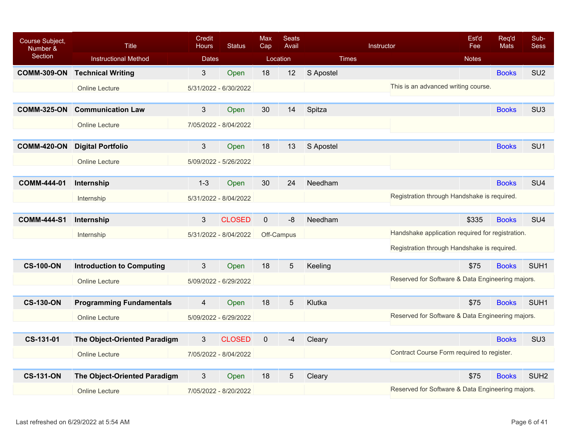| Course Subject,<br>Number & | <b>Title</b>                         | Credit<br><b>Hours</b> | <b>Status</b>         | Max<br>Cap   | <b>Seats</b><br>Avail |              | Instructor                                       | Est'd<br>Fee | Reg'd<br><b>Mats</b> | Sub-<br><b>Sess</b> |
|-----------------------------|--------------------------------------|------------------------|-----------------------|--------------|-----------------------|--------------|--------------------------------------------------|--------------|----------------------|---------------------|
| Section                     | <b>Instructional Method</b>          | <b>Dates</b>           |                       | Location     |                       | <b>Times</b> |                                                  | <b>Notes</b> |                      |                     |
|                             | <b>COMM-309-ON Technical Writing</b> | $3\overline{3}$        | Open                  | 18           | 12                    | S Apostel    |                                                  |              | <b>Books</b>         | SU <sub>2</sub>     |
|                             | <b>Online Lecture</b>                |                        | 5/31/2022 - 6/30/2022 |              |                       |              | This is an advanced writing course.              |              |                      |                     |
|                             |                                      |                        |                       |              |                       |              |                                                  |              |                      |                     |
| <b>COMM-325-ON</b>          | <b>Communication Law</b>             | 3                      | Open                  | 30           | 14                    | Spitza       |                                                  |              | <b>Books</b>         | SU <sub>3</sub>     |
|                             | <b>Online Lecture</b>                |                        | 7/05/2022 - 8/04/2022 |              |                       |              |                                                  |              |                      |                     |
|                             |                                      |                        |                       |              |                       |              |                                                  |              |                      |                     |
| <b>COMM-420-ON</b>          | <b>Digital Portfolio</b>             | 3 <sup>1</sup>         | Open                  | 18           | 13                    | S Apostel    |                                                  |              | <b>Books</b>         | SU <sub>1</sub>     |
|                             | <b>Online Lecture</b>                |                        | 5/09/2022 - 5/26/2022 |              |                       |              |                                                  |              |                      |                     |
| <b>COMM-444-01</b>          | Internship                           | $1 - 3$                | Open                  | 30           | 24                    | Needham      |                                                  |              | <b>Books</b>         | SU <sub>4</sub>     |
|                             |                                      |                        |                       |              |                       |              | Registration through Handshake is required.      |              |                      |                     |
|                             | Internship                           |                        | 5/31/2022 - 8/04/2022 |              |                       |              |                                                  |              |                      |                     |
| <b>COMM-444-S1</b>          | Internship                           | 3                      | <b>CLOSED</b>         | $\mathbf{0}$ | $-8$                  | Needham      |                                                  | \$335        | <b>Books</b>         | SU <sub>4</sub>     |
|                             | Internship                           |                        | 5/31/2022 - 8/04/2022 | Off-Campus   |                       |              | Handshake application required for registration. |              |                      |                     |
|                             |                                      |                        |                       |              |                       |              | Registration through Handshake is required.      |              |                      |                     |
|                             |                                      |                        |                       |              |                       |              |                                                  |              |                      |                     |
| <b>CS-100-ON</b>            | <b>Introduction to Computing</b>     | 3                      | Open                  | 18           | 5                     | Keeling      |                                                  | \$75         | <b>Books</b>         | SUH <sub>1</sub>    |
|                             | <b>Online Lecture</b>                |                        | 5/09/2022 - 6/29/2022 |              |                       |              | Reserved for Software & Data Engineering majors. |              |                      |                     |
| <b>CS-130-ON</b>            | <b>Programming Fundamentals</b>      | $\overline{4}$         | Open                  | 18           | 5                     | Klutka       |                                                  | \$75         | <b>Books</b>         | SUH <sub>1</sub>    |
|                             |                                      |                        |                       |              |                       |              | Reserved for Software & Data Engineering majors. |              |                      |                     |
|                             | <b>Online Lecture</b>                |                        | 5/09/2022 - 6/29/2022 |              |                       |              |                                                  |              |                      |                     |
| CS-131-01                   | The Object-Oriented Paradigm         | 3                      | <b>CLOSED</b>         | $\mathbf 0$  | $-4$                  | Cleary       |                                                  |              | <b>Books</b>         | SU <sub>3</sub>     |
|                             | <b>Online Lecture</b>                |                        | 7/05/2022 - 8/04/2022 |              |                       |              | Contract Course Form required to register.       |              |                      |                     |
|                             |                                      |                        |                       |              |                       |              |                                                  |              |                      |                     |
| <b>CS-131-ON</b>            | The Object-Oriented Paradigm         | 3                      | Open                  | 18           | 5                     | Cleary       |                                                  | \$75         | <b>Books</b>         | SUH <sub>2</sub>    |
|                             | <b>Online Lecture</b>                |                        | 7/05/2022 - 8/20/2022 |              |                       |              | Reserved for Software & Data Engineering majors. |              |                      |                     |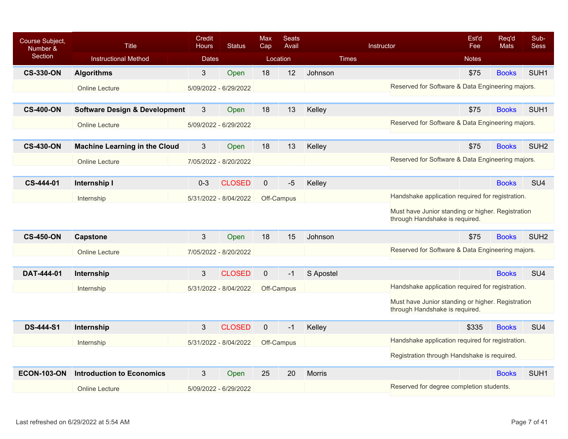| Course Subject,<br>Number & | <b>Title</b>                             | Credit<br><b>Hours</b> | <b>Status</b>         | Max<br>Cap     | <b>Seats</b><br>Avail |               | Instructor                                                                          | Est'd<br>Fee | Req'd<br><b>Mats</b> | Sub-<br><b>Sess</b> |
|-----------------------------|------------------------------------------|------------------------|-----------------------|----------------|-----------------------|---------------|-------------------------------------------------------------------------------------|--------------|----------------------|---------------------|
| Section                     | <b>Instructional Method</b>              | <b>Dates</b>           |                       |                | Location              | <b>Times</b>  |                                                                                     | <b>Notes</b> |                      |                     |
| <b>CS-330-ON</b>            | <b>Algorithms</b>                        | 3                      | Open                  | 18             | 12                    | Johnson       |                                                                                     | \$75         | <b>Books</b>         | SUH <sub>1</sub>    |
|                             | <b>Online Lecture</b>                    |                        | 5/09/2022 - 6/29/2022 |                |                       |               | Reserved for Software & Data Engineering majors.                                    |              |                      |                     |
|                             |                                          |                        |                       |                |                       |               |                                                                                     |              |                      |                     |
| <b>CS-400-ON</b>            | <b>Software Design &amp; Development</b> | 3                      | Open                  | 18             | 13                    | Kelley        |                                                                                     | \$75         | <b>Books</b>         | SUH <sub>1</sub>    |
|                             | <b>Online Lecture</b>                    |                        | 5/09/2022 - 6/29/2022 |                |                       |               | Reserved for Software & Data Engineering majors.                                    |              |                      |                     |
| <b>CS-430-ON</b>            | <b>Machine Learning in the Cloud</b>     | 3                      | Open                  | 18             | 13                    | Kelley        |                                                                                     | \$75         | <b>Books</b>         | SUH <sub>2</sub>    |
|                             | <b>Online Lecture</b>                    |                        | 7/05/2022 - 8/20/2022 |                |                       |               | Reserved for Software & Data Engineering majors.                                    |              |                      |                     |
|                             |                                          |                        |                       |                |                       |               |                                                                                     |              |                      |                     |
| CS-444-01                   | Internship I                             | $0 - 3$                | <b>CLOSED</b>         | $\mathbf 0$    | $-5$                  | Kelley        |                                                                                     |              | <b>Books</b>         | SU <sub>4</sub>     |
|                             | Internship                               |                        | 5/31/2022 - 8/04/2022 |                | Off-Campus            |               | Handshake application required for registration.                                    |              |                      |                     |
|                             |                                          |                        |                       |                |                       |               | Must have Junior standing or higher. Registration<br>through Handshake is required. |              |                      |                     |
| <b>CS-450-ON</b>            | <b>Capstone</b>                          | 3                      | Open                  | 18             | 15                    | Johnson       |                                                                                     | \$75         | <b>Books</b>         | SUH <sub>2</sub>    |
|                             | <b>Online Lecture</b>                    |                        | 7/05/2022 - 8/20/2022 |                |                       |               | Reserved for Software & Data Engineering majors.                                    |              |                      |                     |
|                             |                                          |                        |                       |                |                       |               |                                                                                     |              |                      |                     |
| DAT-444-01                  | Internship                               | 3                      | <b>CLOSED</b>         | $\mathbf 0$    | $-1$                  | S Apostel     |                                                                                     |              | <b>Books</b>         | SU <sub>4</sub>     |
|                             | Internship                               |                        | 5/31/2022 - 8/04/2022 |                | Off-Campus            |               | Handshake application required for registration.                                    |              |                      |                     |
|                             |                                          |                        |                       |                |                       |               | Must have Junior standing or higher. Registration<br>through Handshake is required. |              |                      |                     |
| <b>DS-444-S1</b>            | Internship                               | $\mathfrak{S}$         | <b>CLOSED</b>         | $\overline{0}$ | $-1$                  | Kelley        |                                                                                     | \$335        | <b>Books</b>         | SU <sub>4</sub>     |
|                             | Internship                               |                        | 5/31/2022 - 8/04/2022 |                | Off-Campus            |               | Handshake application required for registration.                                    |              |                      |                     |
|                             |                                          |                        |                       |                |                       |               | Registration through Handshake is required.                                         |              |                      |                     |
| <b>ECON-103-ON</b>          | <b>Introduction to Economics</b>         | 3                      | Open                  | 25             | 20                    | <b>Morris</b> |                                                                                     |              | <b>Books</b>         | SUH <sub>1</sub>    |
|                             | <b>Online Lecture</b>                    |                        | 5/09/2022 - 6/29/2022 |                |                       |               | Reserved for degree completion students.                                            |              |                      |                     |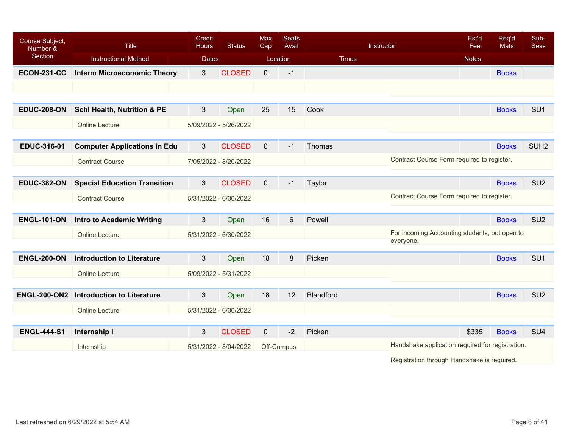| Course Subject,<br>Number & | <b>Title</b>                           | <b>Credit</b><br><b>Hours</b> | <b>Status</b>         | <b>Max</b><br>Cap | <b>Seats</b><br>Avail |              | Instructor                                       | Est'd<br>Fee | Req'd<br><b>Mats</b> | Sub-<br><b>Sess</b> |
|-----------------------------|----------------------------------------|-------------------------------|-----------------------|-------------------|-----------------------|--------------|--------------------------------------------------|--------------|----------------------|---------------------|
| Section                     | <b>Instructional Method</b>            | <b>Dates</b>                  |                       |                   | Location              | <b>Times</b> |                                                  | <b>Notes</b> |                      |                     |
| <b>ECON-231-CC</b>          | <b>Interm Microeconomic Theory</b>     | 3 <sup>1</sup>                | <b>CLOSED</b>         | $\overline{0}$    | $-1$                  |              |                                                  |              | <b>Books</b>         |                     |
|                             |                                        |                               |                       |                   |                       |              |                                                  |              |                      |                     |
|                             |                                        |                               |                       |                   |                       |              |                                                  |              |                      |                     |
| <b>EDUC-208-ON</b>          | <b>Schl Health, Nutrition &amp; PE</b> | 3                             | Open                  | 25                | 15                    | Cook         |                                                  |              | <b>Books</b>         | SU <sub>1</sub>     |
|                             | <b>Online Lecture</b>                  |                               | 5/09/2022 - 5/26/2022 |                   |                       |              |                                                  |              |                      |                     |
|                             |                                        |                               |                       |                   |                       |              |                                                  |              |                      |                     |
| <b>EDUC-316-01</b>          | <b>Computer Applications in Edu</b>    | 3                             | <b>CLOSED</b>         | $\mathbf{0}$      | $-1$                  | Thomas       |                                                  |              | <b>Books</b>         | SUH <sub>2</sub>    |
|                             | <b>Contract Course</b>                 |                               | 7/05/2022 - 8/20/2022 |                   |                       |              | Contract Course Form required to register.       |              |                      |                     |
| <b>EDUC-382-ON</b>          |                                        | $3\overline{3}$               | <b>CLOSED</b>         | $\mathbf 0$       | $-1$                  |              |                                                  |              | <b>Books</b>         | SU <sub>2</sub>     |
|                             | <b>Special Education Transition</b>    |                               |                       |                   |                       | Taylor       |                                                  |              |                      |                     |
|                             | <b>Contract Course</b>                 |                               | 5/31/2022 - 6/30/2022 |                   |                       |              | Contract Course Form required to register.       |              |                      |                     |
| <b>ENGL-101-ON</b>          | <b>Intro to Academic Writing</b>       | 3 <sup>2</sup>                | Open                  | 16                | 6                     | Powell       |                                                  |              | <b>Books</b>         | SU <sub>2</sub>     |
|                             | <b>Online Lecture</b>                  |                               | 5/31/2022 - 6/30/2022 |                   |                       |              | For incoming Accounting students, but open to    |              |                      |                     |
|                             |                                        |                               |                       |                   |                       |              | everyone.                                        |              |                      |                     |
| <b>ENGL-200-ON</b>          | <b>Introduction to Literature</b>      | $3\overline{3}$               | Open                  | 18                | 8                     | Picken       |                                                  |              | <b>Books</b>         | SU <sub>1</sub>     |
|                             | <b>Online Lecture</b>                  |                               | 5/09/2022 - 5/31/2022 |                   |                       |              |                                                  |              |                      |                     |
|                             |                                        |                               |                       |                   |                       |              |                                                  |              |                      |                     |
| <b>ENGL-200-ON2</b>         | <b>Introduction to Literature</b>      | $3\overline{3}$               | Open                  | 18                | 12                    | Blandford    |                                                  |              | <b>Books</b>         | SU <sub>2</sub>     |
|                             | <b>Online Lecture</b>                  |                               | 5/31/2022 - 6/30/2022 |                   |                       |              |                                                  |              |                      |                     |
|                             |                                        |                               |                       |                   |                       |              |                                                  |              |                      |                     |
| <b>ENGL-444-S1</b>          | Internship I                           | $3\overline{3}$               | <b>CLOSED</b>         | $\mathbf 0$       | $-2$                  | Picken       |                                                  | \$335        | <b>Books</b>         | SU <sub>4</sub>     |
|                             | Internship                             |                               | 5/31/2022 - 8/04/2022 |                   | Off-Campus            |              | Handshake application required for registration. |              |                      |                     |
|                             |                                        |                               |                       |                   |                       |              | Registration through Handshake is required.      |              |                      |                     |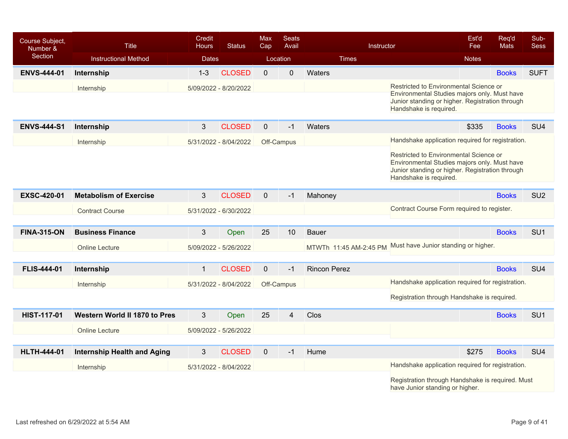| Course Subject,<br>Number & | <b>Title</b>                       | Credit<br><b>Hours</b> | <b>Status</b>         | <b>Max</b><br>Cap | <b>Seats</b><br>Avail | Instructor             |                                                                                                                                                                     | Est'd<br>Fee | Req'd<br><b>Mats</b> | Sub-<br><b>Sess</b> |
|-----------------------------|------------------------------------|------------------------|-----------------------|-------------------|-----------------------|------------------------|---------------------------------------------------------------------------------------------------------------------------------------------------------------------|--------------|----------------------|---------------------|
| Section                     | <b>Instructional Method</b>        | <b>Dates</b>           |                       |                   | Location              | <b>Times</b>           |                                                                                                                                                                     | <b>Notes</b> |                      |                     |
| <b>ENVS-444-01</b>          | Internship                         | $1 - 3$                | <b>CLOSED</b>         | $\mathbf{0}$      | $\mathbf 0$           | Waters                 |                                                                                                                                                                     |              | <b>Books</b>         | <b>SUFT</b>         |
|                             | Internship                         |                        | 5/09/2022 - 8/20/2022 |                   |                       |                        | Restricted to Environmental Science or                                                                                                                              |              |                      |                     |
|                             |                                    |                        |                       |                   |                       |                        | Environmental Studies majors only. Must have<br>Junior standing or higher. Registration through<br>Handshake is required.                                           |              |                      |                     |
| <b>ENVS-444-S1</b>          | Internship                         | $\mathfrak{S}$         | <b>CLOSED</b>         | $\mathbf{0}$      | $-1$                  | Waters                 |                                                                                                                                                                     | \$335        | <b>Books</b>         | SU <sub>4</sub>     |
|                             | Internship                         |                        | 5/31/2022 - 8/04/2022 |                   | Off-Campus            |                        | Handshake application required for registration.                                                                                                                    |              |                      |                     |
|                             |                                    |                        |                       |                   |                       |                        | Restricted to Environmental Science or<br>Environmental Studies majors only. Must have<br>Junior standing or higher. Registration through<br>Handshake is required. |              |                      |                     |
| <b>EXSC-420-01</b>          | <b>Metabolism of Exercise</b>      | 3                      | <b>CLOSED</b>         | $\mathbf 0$       | $-1$                  | Mahoney                |                                                                                                                                                                     |              | <b>Books</b>         | SU <sub>2</sub>     |
|                             | <b>Contract Course</b>             |                        | 5/31/2022 - 6/30/2022 |                   |                       |                        | Contract Course Form required to register.                                                                                                                          |              |                      |                     |
|                             |                                    |                        |                       |                   |                       |                        |                                                                                                                                                                     |              |                      |                     |
| <b>FINA-315-ON</b>          | <b>Business Finance</b>            | 3                      | Open                  | 25                | 10                    | <b>Bauer</b>           |                                                                                                                                                                     |              | <b>Books</b>         | SU <sub>1</sub>     |
|                             | <b>Online Lecture</b>              |                        | 5/09/2022 - 5/26/2022 |                   |                       | MTWTh 11:45 AM-2:45 PM | Must have Junior standing or higher.                                                                                                                                |              |                      |                     |
|                             |                                    |                        |                       |                   |                       |                        |                                                                                                                                                                     |              |                      |                     |
| <b>FLIS-444-01</b>          | Internship                         | $\mathbf{1}$           | <b>CLOSED</b>         | $\overline{0}$    | $-1$                  | <b>Rincon Perez</b>    |                                                                                                                                                                     |              | <b>Books</b>         | SU <sub>4</sub>     |
|                             | Internship                         |                        | 5/31/2022 - 8/04/2022 |                   | Off-Campus            |                        | Handshake application required for registration.                                                                                                                    |              |                      |                     |
|                             |                                    |                        |                       |                   |                       |                        | Registration through Handshake is required.                                                                                                                         |              |                      |                     |
| <b>HIST-117-01</b>          | Western World II 1870 to Pres      | 3                      | Open                  | 25                | 4                     | Clos                   |                                                                                                                                                                     |              | <b>Books</b>         | SU <sub>1</sub>     |
|                             | <b>Online Lecture</b>              |                        | 5/09/2022 - 5/26/2022 |                   |                       |                        |                                                                                                                                                                     |              |                      |                     |
|                             |                                    |                        |                       |                   |                       |                        |                                                                                                                                                                     |              |                      |                     |
| <b>HLTH-444-01</b>          | <b>Internship Health and Aging</b> | 3                      | <b>CLOSED</b>         | $\mathbf 0$       | $-1$                  | Hume                   |                                                                                                                                                                     | \$275        | <b>Books</b>         | SU <sub>4</sub>     |
|                             | Internship                         |                        | 5/31/2022 - 8/04/2022 |                   |                       |                        | Handshake application required for registration.                                                                                                                    |              |                      |                     |
|                             |                                    |                        |                       |                   |                       |                        | Registration through Handshake is required. Must<br>have Junior standing or higher.                                                                                 |              |                      |                     |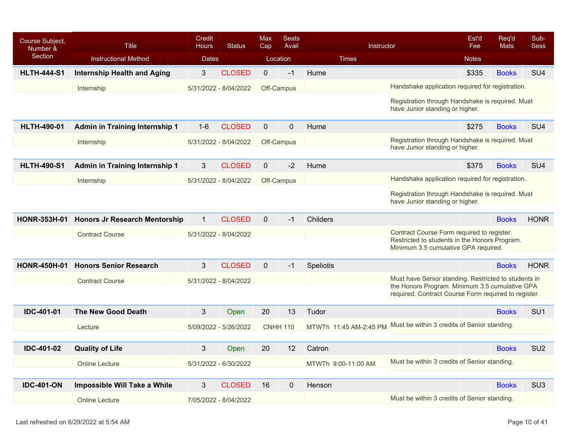| Course Subject,<br>Number & | Title                                      | Credit<br><b>Hours</b> | <b>Status</b>         | Max<br>Cap  | <b>Seats</b><br>Avail |                        | Instructor                                                                                                                                                     | Est'd<br>Fee | Req'd<br><b>Mats</b> | Sub-<br><b>Sess</b> |
|-----------------------------|--------------------------------------------|------------------------|-----------------------|-------------|-----------------------|------------------------|----------------------------------------------------------------------------------------------------------------------------------------------------------------|--------------|----------------------|---------------------|
| <b>Section</b>              | <b>Instructional Method</b>                | <b>Dates</b>           |                       |             | Location              | <b>Times</b>           |                                                                                                                                                                | <b>Notes</b> |                      |                     |
| <b>HLTH-444-S1</b>          | <b>Internship Health and Aging</b>         | 3                      | <b>CLOSED</b>         | $\mathbf 0$ | $-1$                  | Hume                   |                                                                                                                                                                | \$335        | <b>Books</b>         | SU <sub>4</sub>     |
|                             | Internship                                 |                        | 5/31/2022 - 8/04/2022 |             | Off-Campus            |                        | Handshake application required for registration.                                                                                                               |              |                      |                     |
|                             |                                            |                        |                       |             |                       |                        | Registration through Handshake is required. Must<br>have Junior standing or higher.                                                                            |              |                      |                     |
| <b>HLTH-490-01</b>          | <b>Admin in Training Internship 1</b>      | $1 - 6$                | <b>CLOSED</b>         | $\mathbf 0$ | $\mathbf 0$           | Hume                   |                                                                                                                                                                | \$275        | <b>Books</b>         | SU <sub>4</sub>     |
|                             | Internship                                 |                        | 5/31/2022 - 8/04/2022 |             | Off-Campus            |                        | Registration through Handshake is required. Must<br>have Junior standing or higher.                                                                            |              |                      |                     |
| <b>HLTH-490-S1</b>          | <b>Admin in Training Internship 1</b>      | 3                      | <b>CLOSED</b>         | $\mathbf 0$ | $-2$                  | Hume                   |                                                                                                                                                                | \$375        | <b>Books</b>         | SU <sub>4</sub>     |
|                             | Internship                                 |                        | 5/31/2022 - 8/04/2022 |             | Off-Campus            |                        | Handshake application required for registration.                                                                                                               |              |                      |                     |
|                             |                                            |                        |                       |             |                       |                        | Registration through Handshake is required. Must<br>have Junior standing or higher.                                                                            |              |                      |                     |
|                             | HONR-353H-01 Honors Jr Research Mentorship | $\mathbf{1}$           | <b>CLOSED</b>         | $\Omega$    | $-1$                  | Childers               |                                                                                                                                                                |              | <b>Books</b>         | <b>HONR</b>         |
|                             | <b>Contract Course</b>                     |                        | 5/31/2022 - 8/04/2022 |             |                       |                        | Contract Course Form required to register.<br>Restricted to students in the Honors Program.<br>Minimum 3.5 cumulative GPA required.                            |              |                      |                     |
| <b>HONR-450H-01</b>         | <b>Honors Senior Research</b>              | 3                      | <b>CLOSED</b>         | $\mathbf 0$ | $-1$                  | Speliotis              |                                                                                                                                                                |              | <b>Books</b>         | <b>HONR</b>         |
|                             | <b>Contract Course</b>                     |                        | 5/31/2022 - 8/04/2022 |             |                       |                        | Must have Senior standing. Restricted to students in<br>the Honors Program. Minimum 3.5 cumulative GPA<br>required. Contract Course Form required to register. |              |                      |                     |
| <b>IDC-401-01</b>           | <b>The New Good Death</b>                  | 3                      | Open                  | 20          | 13                    | Tudor                  |                                                                                                                                                                |              | <b>Books</b>         | SU <sub>1</sub>     |
|                             | Lecture                                    |                        | 5/09/2022 - 5/26/2022 |             | <b>CNHH 110</b>       | MTWTh 11:45 AM-2:45 PM | Must be within 3 credits of Senior standing.                                                                                                                   |              |                      |                     |
|                             |                                            |                        |                       |             |                       |                        |                                                                                                                                                                |              |                      |                     |
| <b>IDC-401-02</b>           | <b>Quality of Life</b>                     | 3                      | Open                  | 20          | 12                    | Catron                 |                                                                                                                                                                |              | <b>Books</b>         | SU <sub>2</sub>     |
|                             | <b>Online Lecture</b>                      |                        | 5/31/2022 - 6/30/2022 |             |                       | MTWTh 9:00-11:00 AM    | Must be within 3 credits of Senior standing.                                                                                                                   |              |                      |                     |
| <b>IDC-401-ON</b>           | Impossible Will Take a While               | 3                      | <b>CLOSED</b>         | 16          | $\mathbf 0$           | Henson                 |                                                                                                                                                                |              | <b>Books</b>         | SU <sub>3</sub>     |
|                             | <b>Online Lecture</b>                      |                        | 7/05/2022 - 8/04/2022 |             |                       |                        | Must be within 3 credits of Senior standing.                                                                                                                   |              |                      |                     |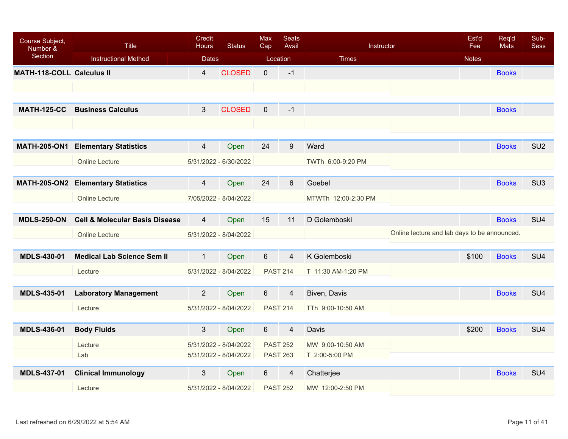| Course Subject,<br>Number &      | <b>Title</b>                              | <b>Credit</b><br><b>Hours</b> | <b>Status</b>         | <b>Max</b><br>Cap | <b>Seats</b><br>Avail | Instructor                                   | Est'd<br>Fee | Req'd<br><b>Mats</b> | Sub-<br><b>Sess</b> |
|----------------------------------|-------------------------------------------|-------------------------------|-----------------------|-------------------|-----------------------|----------------------------------------------|--------------|----------------------|---------------------|
| Section                          | <b>Instructional Method</b>               | <b>Dates</b>                  |                       |                   | Location              | <b>Times</b>                                 | <b>Notes</b> |                      |                     |
| <b>MATH-118-COLL Calculus II</b> |                                           | $\overline{4}$                | <b>CLOSED</b>         | $\mathbf 0$       | $-1$                  |                                              |              | <b>Books</b>         |                     |
|                                  |                                           |                               |                       |                   |                       |                                              |              |                      |                     |
|                                  |                                           |                               |                       |                   |                       |                                              |              |                      |                     |
| <b>MATH-125-CC</b>               | <b>Business Calculus</b>                  | $\mathbf{3}$                  | <b>CLOSED</b>         | $\overline{0}$    | $-1$                  |                                              |              | <b>Books</b>         |                     |
|                                  |                                           |                               |                       |                   |                       |                                              |              |                      |                     |
|                                  |                                           |                               |                       |                   |                       |                                              |              |                      |                     |
| <b>MATH-205-ON1</b>              | <b>Elementary Statistics</b>              | $\overline{4}$                | Open                  | 24                | 9                     | Ward                                         |              | <b>Books</b>         | SU <sub>2</sub>     |
|                                  | <b>Online Lecture</b>                     |                               | 5/31/2022 - 6/30/2022 |                   |                       | TWTh 6:00-9:20 PM                            |              |                      |                     |
|                                  |                                           |                               |                       |                   |                       |                                              |              |                      |                     |
|                                  | <b>MATH-205-ON2 Elementary Statistics</b> | $\overline{4}$                | Open                  | 24                | $6\phantom{1}6$       | Goebel                                       |              | <b>Books</b>         | SU <sub>3</sub>     |
|                                  | <b>Online Lecture</b>                     |                               | 7/05/2022 - 8/04/2022 |                   |                       | MTWTh 12:00-2:30 PM                          |              |                      |                     |
|                                  |                                           |                               |                       |                   |                       |                                              |              |                      |                     |
| <b>MDLS-250-ON</b>               | <b>Cell &amp; Molecular Basis Disease</b> | $\overline{4}$                | Open                  | 15                | 11                    | D Golemboski                                 |              | <b>Books</b>         | SU <sub>4</sub>     |
|                                  | <b>Online Lecture</b>                     |                               | 5/31/2022 - 8/04/2022 |                   |                       | Online lecture and lab days to be announced. |              |                      |                     |
| <b>MDLS-430-01</b>               | <b>Medical Lab Science Sem II</b>         | $\mathbf{1}$                  | Open                  | $6\phantom{a}$    | $\overline{4}$        | K Golemboski                                 | \$100        | <b>Books</b>         | SU <sub>4</sub>     |
|                                  |                                           |                               |                       |                   |                       |                                              |              |                      |                     |
|                                  | Lecture                                   |                               | 5/31/2022 - 8/04/2022 |                   | <b>PAST 214</b>       | T 11:30 AM-1:20 PM                           |              |                      |                     |
| <b>MDLS-435-01</b>               | <b>Laboratory Management</b>              | $\overline{2}$                | Open                  | 6                 | $\overline{4}$        | Biven, Davis                                 |              | <b>Books</b>         | SU <sub>4</sub>     |
|                                  |                                           |                               |                       |                   |                       |                                              |              |                      |                     |
|                                  | Lecture                                   |                               | 5/31/2022 - 8/04/2022 |                   | <b>PAST 214</b>       | TTh 9:00-10:50 AM                            |              |                      |                     |
| <b>MDLS-436-01</b>               | <b>Body Fluids</b>                        | $\mathfrak{S}$                | Open                  | 6                 | $\overline{4}$        | Davis                                        | \$200        | <b>Books</b>         | SU <sub>4</sub>     |
|                                  | Lecture                                   |                               | 5/31/2022 - 8/04/2022 |                   | <b>PAST 252</b>       | MW 9:00-10:50 AM                             |              |                      |                     |
|                                  | Lab                                       |                               | 5/31/2022 - 8/04/2022 |                   | <b>PAST 263</b>       | T 2:00-5:00 PM                               |              |                      |                     |
|                                  |                                           |                               |                       |                   |                       |                                              |              |                      |                     |
| <b>MDLS-437-01</b>               | <b>Clinical Immunology</b>                | 3                             | Open                  | 6                 | $\overline{4}$        | Chatterjee                                   |              | <b>Books</b>         | SU <sub>4</sub>     |
|                                  | Lecture                                   |                               | 5/31/2022 - 8/04/2022 |                   | <b>PAST 252</b>       | MW 12:00-2:50 PM                             |              |                      |                     |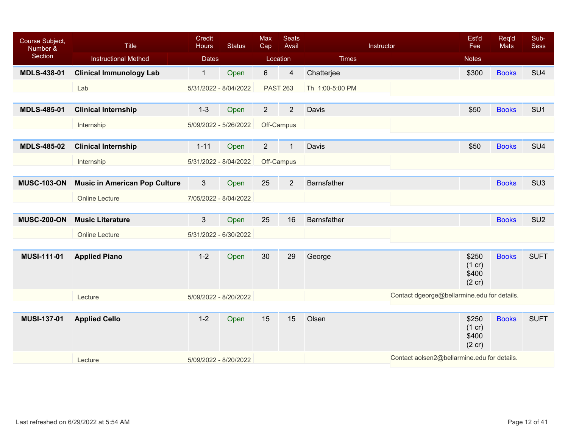| Course Subject,<br>Number & | Title                                | Credit<br><b>Hours</b> | <b>Status</b> | Max<br>Cap      | <b>Seats</b><br>Avail |                    | Instructor                                  | Est'd<br>Fee                       | Req'd<br><b>Mats</b> | Sub-<br><b>Sess</b> |
|-----------------------------|--------------------------------------|------------------------|---------------|-----------------|-----------------------|--------------------|---------------------------------------------|------------------------------------|----------------------|---------------------|
| Section                     | <b>Instructional Method</b>          | <b>Dates</b>           |               | Location        |                       | <b>Times</b>       |                                             | <b>Notes</b>                       |                      |                     |
| <b>MDLS-438-01</b>          | <b>Clinical Immunology Lab</b>       | $\mathbf{1}$           | Open          | 6               | $\overline{4}$        | Chatterjee         |                                             | \$300                              | <b>Books</b>         | SU <sub>4</sub>     |
|                             | Lab                                  | 5/31/2022 - 8/04/2022  |               | <b>PAST 263</b> |                       | Th 1:00-5:00 PM    |                                             |                                    |                      |                     |
|                             |                                      |                        |               |                 |                       |                    |                                             |                                    |                      |                     |
| <b>MDLS-485-01</b>          | <b>Clinical Internship</b>           | $1 - 3$                | Open          | $\overline{2}$  | $\overline{2}$        | Davis              |                                             | \$50                               | <b>Books</b>         | SU <sub>1</sub>     |
|                             | Internship                           | 5/09/2022 - 5/26/2022  |               | Off-Campus      |                       |                    |                                             |                                    |                      |                     |
|                             |                                      |                        |               |                 |                       |                    |                                             |                                    |                      |                     |
| <b>MDLS-485-02</b>          | <b>Clinical Internship</b>           | $1 - 11$               | Open          | $\overline{2}$  | $\mathbf{1}$          | Davis              |                                             | \$50                               | <b>Books</b>         | SU <sub>4</sub>     |
|                             | Internship                           | 5/31/2022 - 8/04/2022  |               | Off-Campus      |                       |                    |                                             |                                    |                      |                     |
|                             |                                      |                        |               |                 |                       |                    |                                             |                                    |                      |                     |
| <b>MUSC-103-ON</b>          | <b>Music in American Pop Culture</b> | $\mathbf{3}$           | Open          | 25              | $\overline{2}$        | <b>Barnsfather</b> |                                             |                                    | <b>Books</b>         | SU <sub>3</sub>     |
|                             | <b>Online Lecture</b>                | 7/05/2022 - 8/04/2022  |               |                 |                       |                    |                                             |                                    |                      |                     |
|                             |                                      |                        |               |                 |                       |                    |                                             |                                    |                      |                     |
| <b>MUSC-200-ON</b>          | <b>Music Literature</b>              | $\mathbf{3}$           | Open          | 25              | 16                    | Barnsfather        |                                             |                                    | <b>Books</b>         | SU <sub>2</sub>     |
|                             | <b>Online Lecture</b>                | 5/31/2022 - 6/30/2022  |               |                 |                       |                    |                                             |                                    |                      |                     |
|                             |                                      |                        |               |                 |                       |                    |                                             |                                    |                      |                     |
| <b>MUSI-111-01</b>          | <b>Applied Piano</b>                 | $1 - 2$                | Open          | 30              | 29                    | George             |                                             | \$250<br>(1 cr)<br>\$400<br>(2 cr) | <b>Books</b>         | <b>SUFT</b>         |
|                             | Lecture                              | 5/09/2022 - 8/20/2022  |               |                 |                       |                    | Contact dgeorge@bellarmine.edu for details. |                                    |                      |                     |
|                             |                                      |                        |               |                 |                       |                    |                                             |                                    |                      |                     |
| <b>MUSI-137-01</b>          | <b>Applied Cello</b>                 | $1 - 2$                | Open          | 15              | 15                    | Olsen              |                                             | \$250<br>(1 cr)<br>\$400<br>(2 cr) | <b>Books</b>         | <b>SUFT</b>         |
|                             | Lecture                              | 5/09/2022 - 8/20/2022  |               |                 |                       |                    | Contact aolsen2@bellarmine.edu for details. |                                    |                      |                     |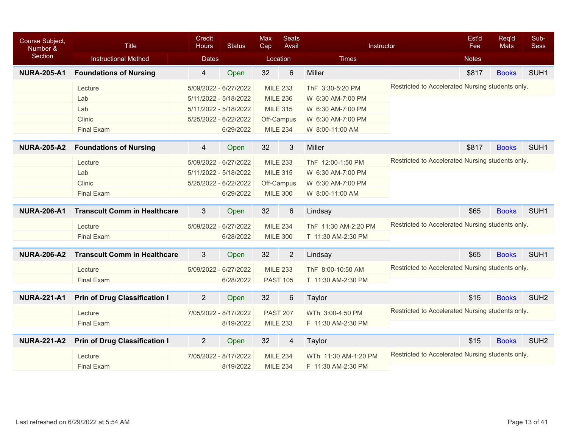| Course Subject,<br>Number & | <b>Title</b>                         | Credit<br><b>Status</b><br><b>Hours</b> |           | <b>Max</b><br>Cap | <b>Seats</b><br>Avail   | Instructor           |                                                  | Est'd<br>Fee | Req'd<br><b>Mats</b> | Sub-<br><b>Sess</b> |
|-----------------------------|--------------------------------------|-----------------------------------------|-----------|-------------------|-------------------------|----------------------|--------------------------------------------------|--------------|----------------------|---------------------|
| Section                     | <b>Instructional Method</b>          | <b>Dates</b>                            |           |                   | Location                | <b>Times</b>         |                                                  | <b>Notes</b> |                      |                     |
| <b>NURA-205-A1</b>          | <b>Foundations of Nursing</b>        | $\overline{4}$                          | Open      | 32                | $6\phantom{1}6$         | Miller               |                                                  | \$817        | <b>Books</b>         | SUH <sub>1</sub>    |
|                             | Lecture                              | 5/09/2022 - 6/27/2022                   |           |                   | <b>MILE 233</b>         | ThF 3:30-5:20 PM     | Restricted to Accelerated Nursing students only. |              |                      |                     |
|                             | Lab                                  | 5/11/2022 - 5/18/2022                   |           |                   | <b>MILE 236</b>         | W 6:30 AM-7:00 PM    |                                                  |              |                      |                     |
|                             | Lab                                  | 5/11/2022 - 5/18/2022                   |           |                   | <b>MILE 315</b>         | W 6:30 AM-7:00 PM    |                                                  |              |                      |                     |
|                             | Clinic                               | 5/25/2022 - 6/22/2022                   |           |                   | Off-Campus              | W 6:30 AM-7:00 PM    |                                                  |              |                      |                     |
|                             | <b>Final Exam</b>                    |                                         | 6/29/2022 |                   | <b>MILE 234</b>         | W 8:00-11:00 AM      |                                                  |              |                      |                     |
| <b>NURA-205-A2</b>          | <b>Foundations of Nursing</b>        | 4                                       | Open      | 32                | 3                       | Miller               |                                                  | \$817        | <b>Books</b>         | SUH <sub>1</sub>    |
|                             | Lecture                              | 5/09/2022 - 6/27/2022                   |           |                   | <b>MILE 233</b>         | ThF 12:00-1:50 PM    | Restricted to Accelerated Nursing students only. |              |                      |                     |
|                             | Lab                                  | 5/11/2022 - 5/18/2022                   |           |                   | <b>MILE 315</b>         | W 6:30 AM-7:00 PM    |                                                  |              |                      |                     |
|                             | Clinic                               | 5/25/2022 - 6/22/2022                   |           |                   | Off-Campus              | W 6:30 AM-7:00 PM    |                                                  |              |                      |                     |
|                             | <b>Final Exam</b>                    |                                         | 6/29/2022 |                   | <b>MILE 300</b>         | W 8:00-11:00 AM      |                                                  |              |                      |                     |
| <b>NURA-206-A1</b>          | <b>Transcult Comm in Healthcare</b>  | 3                                       | Open      | 32                | 6                       | Lindsay              |                                                  | \$65         | <b>Books</b>         | SUH <sub>1</sub>    |
|                             | Lecture                              | 5/09/2022 - 6/27/2022                   |           |                   | <b>MILE 234</b>         | ThF 11:30 AM-2:20 PM | Restricted to Accelerated Nursing students only. |              |                      |                     |
|                             | <b>Final Exam</b>                    |                                         | 6/28/2022 |                   | <b>MILE 300</b>         | T 11:30 AM-2:30 PM   |                                                  |              |                      |                     |
|                             | <b>Transcult Comm in Healthcare</b>  |                                         |           |                   |                         |                      |                                                  | \$65         |                      | SUH <sub>1</sub>    |
| <b>NURA-206-A2</b>          |                                      | 3                                       | Open      | 32                | $\overline{2}$          | Lindsay              |                                                  |              | <b>Books</b>         |                     |
|                             | Lecture                              | 5/09/2022 - 6/27/2022                   |           |                   | <b>MILE 233</b>         | ThF 8:00-10:50 AM    | Restricted to Accelerated Nursing students only. |              |                      |                     |
|                             | <b>Final Exam</b>                    |                                         | 6/28/2022 |                   | <b>PAST 105</b>         | T 11:30 AM-2:30 PM   |                                                  |              |                      |                     |
| <b>NURA-221-A1</b>          | <b>Prin of Drug Classification I</b> | $\overline{2}$                          | Open      | 32                | $6\phantom{1}$          | Taylor               |                                                  | \$15         | <b>Books</b>         | SUH <sub>2</sub>    |
|                             | Lecture                              | 7/05/2022 - 8/17/2022                   |           |                   | <b>PAST 207</b>         | WTh 3:00-4:50 PM     | Restricted to Accelerated Nursing students only. |              |                      |                     |
|                             | <b>Final Exam</b>                    |                                         | 8/19/2022 |                   | <b>MILE 233</b>         | F 11:30 AM-2:30 PM   |                                                  |              |                      |                     |
| <b>NURA-221-A2</b>          | <b>Prin of Drug Classification I</b> | $\overline{2}$                          | Open      | 32                | $\overline{\mathbf{4}}$ | Taylor               |                                                  | \$15         | <b>Books</b>         | SUH <sub>2</sub>    |
|                             | Lecture                              | 7/05/2022 - 8/17/2022                   |           |                   | <b>MILE 234</b>         | WTh 11:30 AM-1:20 PM | Restricted to Accelerated Nursing students only. |              |                      |                     |
|                             | <b>Final Exam</b>                    |                                         | 8/19/2022 |                   | <b>MILE 234</b>         | F 11:30 AM-2:30 PM   |                                                  |              |                      |                     |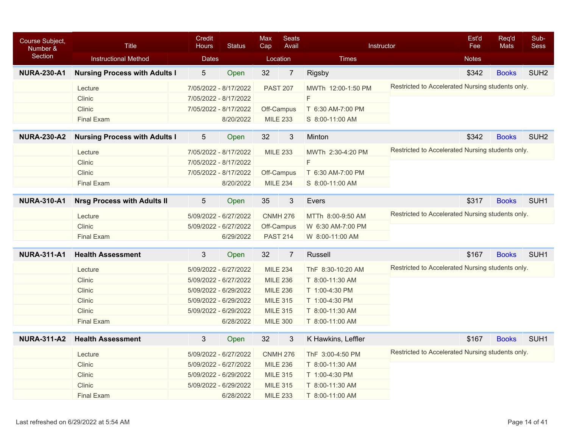| Course Subject,<br>Number & | <b>Title</b>                         | Credit<br><b>Status</b><br><b>Hours</b><br><b>Dates</b> |                       | Max<br>Cap | <b>Seats</b><br>Avail |                    | Instructor                                       | Est'd<br>Fee | Req'd<br>Mats | Sub-<br><b>Sess</b> |
|-----------------------------|--------------------------------------|---------------------------------------------------------|-----------------------|------------|-----------------------|--------------------|--------------------------------------------------|--------------|---------------|---------------------|
| Section                     | <b>Instructional Method</b>          |                                                         |                       |            | Location              | <b>Times</b>       |                                                  | <b>Notes</b> |               |                     |
| <b>NURA-230-A1</b>          | <b>Nursing Process with Adults I</b> | 5                                                       | Open                  | 32         | $\overline{7}$        | Rigsby             |                                                  | \$342        | <b>Books</b>  | SUH <sub>2</sub>    |
|                             | Lecture                              |                                                         | 7/05/2022 - 8/17/2022 |            | <b>PAST 207</b>       | MWTh 12:00-1:50 PM | Restricted to Accelerated Nursing students only. |              |               |                     |
|                             | Clinic                               |                                                         | 7/05/2022 - 8/17/2022 |            |                       | F                  |                                                  |              |               |                     |
|                             | Clinic                               |                                                         | 7/05/2022 - 8/17/2022 |            | Off-Campus            | T 6:30 AM-7:00 PM  |                                                  |              |               |                     |
|                             | <b>Final Exam</b>                    |                                                         | 8/20/2022             |            | <b>MILE 233</b>       | S 8:00-11:00 AM    |                                                  |              |               |                     |
| <b>NURA-230-A2</b>          | <b>Nursing Process with Adults I</b> | $\overline{5}$                                          | Open                  | 32         | 3                     | Minton             |                                                  | \$342        | <b>Books</b>  | SUH <sub>2</sub>    |
|                             | Lecture                              |                                                         | 7/05/2022 - 8/17/2022 |            | <b>MILE 233</b>       | MWTh 2:30-4:20 PM  | Restricted to Accelerated Nursing students only. |              |               |                     |
|                             | Clinic                               |                                                         | 7/05/2022 - 8/17/2022 |            |                       | $\mathsf F$        |                                                  |              |               |                     |
|                             | Clinic                               |                                                         | 7/05/2022 - 8/17/2022 |            | Off-Campus            | T 6:30 AM-7:00 PM  |                                                  |              |               |                     |
|                             | <b>Final Exam</b>                    |                                                         | 8/20/2022             |            | <b>MILE 234</b>       | S 8:00-11:00 AM    |                                                  |              |               |                     |
|                             |                                      |                                                         |                       |            |                       |                    |                                                  |              |               |                     |
| <b>NURA-310-A1</b>          | <b>Nrsg Process with Adults II</b>   | 5                                                       | Open                  | 35         | 3                     | Evers              |                                                  | \$317        | <b>Books</b>  | SUH <sub>1</sub>    |
|                             | Lecture                              |                                                         | 5/09/2022 - 6/27/2022 |            | <b>CNMH 276</b>       | MTTh 8:00-9:50 AM  | Restricted to Accelerated Nursing students only. |              |               |                     |
|                             | Clinic                               |                                                         | 5/09/2022 - 6/27/2022 |            | Off-Campus            | W 6:30 AM-7:00 PM  |                                                  |              |               |                     |
|                             | <b>Final Exam</b>                    |                                                         | 6/29/2022             |            | <b>PAST 214</b>       | W 8:00-11:00 AM    |                                                  |              |               |                     |
| <b>NURA-311-A1</b>          | <b>Health Assessment</b>             | 3                                                       | Open                  | 32         | $\overline{7}$        | Russell            |                                                  | \$167        | <b>Books</b>  | SUH <sub>1</sub>    |
|                             | Lecture                              |                                                         | 5/09/2022 - 6/27/2022 |            | <b>MILE 234</b>       | ThF 8:30-10:20 AM  | Restricted to Accelerated Nursing students only. |              |               |                     |
|                             | Clinic                               |                                                         | 5/09/2022 - 6/27/2022 |            | <b>MILE 236</b>       | T 8:00-11:30 AM    |                                                  |              |               |                     |
|                             | <b>Clinic</b>                        |                                                         | 5/09/2022 - 6/29/2022 |            | <b>MILE 236</b>       | T 1:00-4:30 PM     |                                                  |              |               |                     |
|                             | Clinic                               |                                                         | 5/09/2022 - 6/29/2022 |            | <b>MILE 315</b>       | T 1:00-4:30 PM     |                                                  |              |               |                     |
|                             | Clinic                               |                                                         | 5/09/2022 - 6/29/2022 |            | <b>MILE 315</b>       | T 8:00-11:30 AM    |                                                  |              |               |                     |
|                             | <b>Final Exam</b>                    |                                                         | 6/28/2022             |            | <b>MILE 300</b>       | T 8:00-11:00 AM    |                                                  |              |               |                     |
|                             |                                      |                                                         |                       |            |                       |                    |                                                  |              |               |                     |
| <b>NURA-311-A2</b>          | <b>Health Assessment</b>             | 3                                                       | Open                  | 32         | 3                     | K Hawkins, Leffler |                                                  | \$167        | <b>Books</b>  | SUH <sub>1</sub>    |
|                             | Lecture                              |                                                         | 5/09/2022 - 6/27/2022 |            | <b>CNMH 276</b>       | ThF 3:00-4:50 PM   | Restricted to Accelerated Nursing students only. |              |               |                     |
|                             | Clinic                               |                                                         | 5/09/2022 - 6/27/2022 |            | <b>MILE 236</b>       | T 8:00-11:30 AM    |                                                  |              |               |                     |
|                             | Clinic                               |                                                         | 5/09/2022 - 6/29/2022 |            | <b>MILE 315</b>       | T 1:00-4:30 PM     |                                                  |              |               |                     |
|                             | Clinic                               |                                                         | 5/09/2022 - 6/29/2022 |            | <b>MILE 315</b>       | T 8:00-11:30 AM    |                                                  |              |               |                     |
|                             | <b>Final Exam</b>                    |                                                         | 6/28/2022             |            | <b>MILE 233</b>       | T 8:00-11:00 AM    |                                                  |              |               |                     |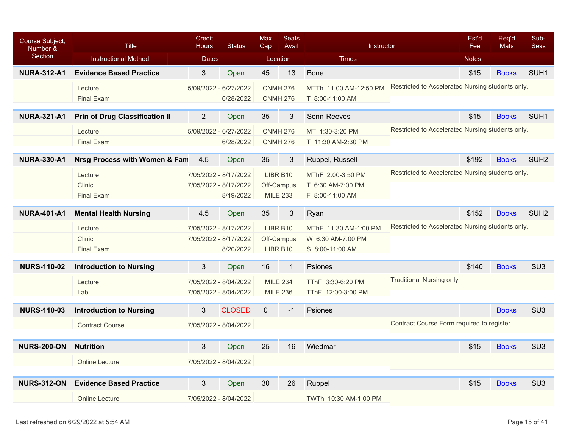| Course Subject,<br>Number & | <b>Title</b>                          | Credit<br><b>Hours</b> | <b>Status</b>         | Max<br>Cap   | <b>Seats</b><br>Avail | Instructor             |                                                  | Est'd<br>Fee | Req'd<br><b>Mats</b> | Sub-<br><b>Sess</b> |
|-----------------------------|---------------------------------------|------------------------|-----------------------|--------------|-----------------------|------------------------|--------------------------------------------------|--------------|----------------------|---------------------|
| Section                     | <b>Instructional Method</b>           |                        | <b>Dates</b>          |              | Location              | <b>Times</b>           |                                                  | <b>Notes</b> |                      |                     |
| <b>NURA-312-A1</b>          | <b>Evidence Based Practice</b>        | 3                      | Open                  | 45           | 13                    | <b>Bone</b>            |                                                  | \$15         | <b>Books</b>         | SUH <sub>1</sub>    |
|                             | Lecture                               |                        | 5/09/2022 - 6/27/2022 |              | <b>CNMH 276</b>       | MTTh 11:00 AM-12:50 PM | Restricted to Accelerated Nursing students only. |              |                      |                     |
|                             | <b>Final Exam</b>                     |                        | 6/28/2022             |              | <b>CNMH 276</b>       | T 8:00-11:00 AM        |                                                  |              |                      |                     |
| <b>NURA-321-A1</b>          | <b>Prin of Drug Classification II</b> | $\overline{2}$         | Open                  | 35           | 3                     | Senn-Reeves            |                                                  | \$15         | <b>Books</b>         | SUH <sub>1</sub>    |
|                             | Lecture                               |                        | 5/09/2022 - 6/27/2022 |              | <b>CNMH 276</b>       | MT 1:30-3:20 PM        | Restricted to Accelerated Nursing students only. |              |                      |                     |
|                             | <b>Final Exam</b>                     |                        | 6/28/2022             |              | <b>CNMH 276</b>       | T 11:30 AM-2:30 PM     |                                                  |              |                      |                     |
|                             |                                       |                        |                       |              |                       |                        |                                                  |              |                      |                     |
| <b>NURA-330-A1</b>          | Nrsg Process with Women & Fam         | 4.5                    | Open                  | 35           | 3                     | Ruppel, Russell        |                                                  | \$192        | <b>Books</b>         | SUH <sub>2</sub>    |
|                             | Lecture                               |                        | 7/05/2022 - 8/17/2022 |              | LIBR B10              | MThF 2:00-3:50 PM      | Restricted to Accelerated Nursing students only. |              |                      |                     |
|                             | Clinic                                |                        | 7/05/2022 - 8/17/2022 |              | Off-Campus            | T 6:30 AM-7:00 PM      |                                                  |              |                      |                     |
|                             | <b>Final Exam</b>                     |                        | 8/19/2022             |              | <b>MILE 233</b>       | F 8:00-11:00 AM        |                                                  |              |                      |                     |
| <b>NURA-401-A1</b>          | <b>Mental Health Nursing</b>          | 4.5                    | Open                  | 35           | 3                     | Ryan                   |                                                  | \$152        | <b>Books</b>         | SUH <sub>2</sub>    |
|                             | Lecture                               |                        | 7/05/2022 - 8/17/2022 |              | LIBR B10              | MThF 11:30 AM-1:00 PM  | Restricted to Accelerated Nursing students only. |              |                      |                     |
|                             | Clinic                                |                        | 7/05/2022 - 8/17/2022 |              | Off-Campus            | W 6:30 AM-7:00 PM      |                                                  |              |                      |                     |
|                             | <b>Final Exam</b>                     |                        | 8/20/2022             |              | LIBR B10              | S 8:00-11:00 AM        |                                                  |              |                      |                     |
| <b>NURS-110-02</b>          | <b>Introduction to Nursing</b>        | 3                      | Open                  | 16           | $\mathbf{1}$          | Psiones                |                                                  | \$140        | <b>Books</b>         | SU <sub>3</sub>     |
|                             | Lecture                               |                        | 7/05/2022 - 8/04/2022 |              | <b>MILE 234</b>       | TThF 3:30-6:20 PM      | <b>Traditional Nursing only</b>                  |              |                      |                     |
|                             | Lab                                   |                        | 7/05/2022 - 8/04/2022 |              | <b>MILE 236</b>       | TThF 12:00-3:00 PM     |                                                  |              |                      |                     |
|                             |                                       |                        |                       |              |                       |                        |                                                  |              |                      |                     |
| <b>NURS-110-03</b>          | <b>Introduction to Nursing</b>        | 3                      | <b>CLOSED</b>         | $\mathbf{0}$ | $-1$                  | Psiones                |                                                  |              | <b>Books</b>         | SU <sub>3</sub>     |
|                             | <b>Contract Course</b>                |                        | 7/05/2022 - 8/04/2022 |              |                       |                        | Contract Course Form required to register.       |              |                      |                     |
|                             |                                       |                        |                       |              |                       |                        |                                                  |              |                      |                     |
| <b>NURS-200-ON</b>          | <b>Nutrition</b>                      | 3                      | Open                  | 25           | 16                    | Wiedmar                |                                                  | \$15         | <b>Books</b>         | SU <sub>3</sub>     |
|                             | <b>Online Lecture</b>                 |                        | 7/05/2022 - 8/04/2022 |              |                       |                        |                                                  |              |                      |                     |
|                             |                                       |                        |                       |              |                       |                        |                                                  |              |                      |                     |
| <b>NURS-312-ON</b>          | <b>Evidence Based Practice</b>        | 3                      | Open                  | 30           | 26                    | Ruppel                 |                                                  | \$15         | <b>Books</b>         | SU <sub>3</sub>     |
|                             | Online Lecture                        |                        | 7/05/2022 - 8/04/2022 |              |                       | TWTh 10:30 AM-1:00 PM  |                                                  |              |                      |                     |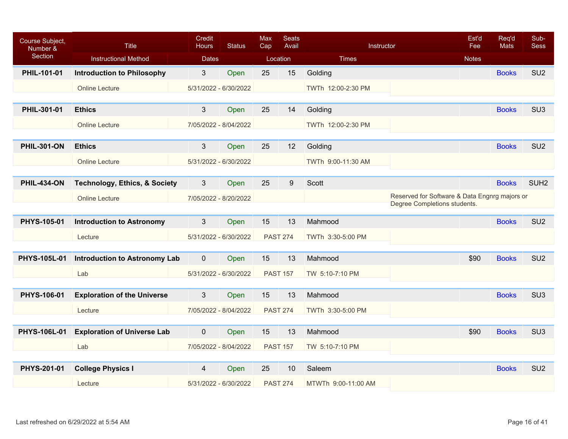| Course Subject,<br>Number & | Title                                    | Credit<br><b>Hours</b> | <b>Status</b> | <b>Max</b><br>Cap | <b>Seats</b><br>Avail | Instructor          |                                                                               | Est'd<br>Fee | Req'd<br><b>Mats</b> | Sub-<br><b>Sess</b> |
|-----------------------------|------------------------------------------|------------------------|---------------|-------------------|-----------------------|---------------------|-------------------------------------------------------------------------------|--------------|----------------------|---------------------|
| Section                     | <b>Instructional Method</b>              | <b>Dates</b>           |               |                   | Location              | <b>Times</b>        |                                                                               | <b>Notes</b> |                      |                     |
| PHIL-101-01                 | <b>Introduction to Philosophy</b>        | $3\overline{3}$        | Open          | 25                | 15                    | Golding             |                                                                               |              | <b>Books</b>         | SU <sub>2</sub>     |
|                             | <b>Online Lecture</b>                    | 5/31/2022 - 6/30/2022  |               |                   |                       | TWTh 12:00-2:30 PM  |                                                                               |              |                      |                     |
|                             |                                          |                        |               |                   |                       |                     |                                                                               |              |                      |                     |
| PHIL-301-01                 | <b>Ethics</b>                            | $\mathbf{3}$           | Open          | 25                | 14                    | Golding             |                                                                               |              | <b>Books</b>         | SU <sub>3</sub>     |
|                             | <b>Online Lecture</b>                    | 7/05/2022 - 8/04/2022  |               |                   |                       | TWTh 12:00-2:30 PM  |                                                                               |              |                      |                     |
|                             |                                          |                        |               |                   |                       |                     |                                                                               |              |                      |                     |
| <b>PHIL-301-ON</b>          | <b>Ethics</b>                            | $3\overline{3}$        | Open          | 25                | 12                    | Golding             |                                                                               |              | <b>Books</b>         | SU <sub>2</sub>     |
|                             | <b>Online Lecture</b>                    | 5/31/2022 - 6/30/2022  |               |                   |                       | TWTh 9:00-11:30 AM  |                                                                               |              |                      |                     |
|                             |                                          |                        |               |                   |                       |                     |                                                                               |              |                      |                     |
| <b>PHIL-434-ON</b>          | <b>Technology, Ethics, &amp; Society</b> | 3                      | Open          | 25                | 9                     | Scott               |                                                                               |              | <b>Books</b>         | SUH <sub>2</sub>    |
|                             | <b>Online Lecture</b>                    | 7/05/2022 - 8/20/2022  |               |                   |                       |                     | Reserved for Software & Data Engnrg majors or<br>Degree Completions students. |              |                      |                     |
|                             |                                          |                        |               |                   |                       |                     |                                                                               |              |                      |                     |
| PHYS-105-01                 | <b>Introduction to Astronomy</b>         | 3                      | Open          | 15                | 13                    | Mahmood             |                                                                               |              | <b>Books</b>         | SU <sub>2</sub>     |
|                             | Lecture                                  | 5/31/2022 - 6/30/2022  |               | <b>PAST 274</b>   |                       | TWTh 3:30-5:00 PM   |                                                                               |              |                      |                     |
|                             |                                          |                        |               |                   |                       |                     |                                                                               |              |                      |                     |
| <b>PHYS-105L-01</b>         | <b>Introduction to Astronomy Lab</b>     | $\mathbf{0}$           | Open          | 15                | 13                    | Mahmood             |                                                                               | \$90         | <b>Books</b>         | SU <sub>2</sub>     |
|                             | Lab                                      | 5/31/2022 - 6/30/2022  |               | <b>PAST 157</b>   |                       | TW 5:10-7:10 PM     |                                                                               |              |                      |                     |
|                             |                                          |                        |               |                   |                       |                     |                                                                               |              |                      |                     |
| PHYS-106-01                 | <b>Exploration of the Universe</b>       | 3                      | Open          | 15                | 13                    | Mahmood             |                                                                               |              | <b>Books</b>         | SU <sub>3</sub>     |
|                             | Lecture                                  | 7/05/2022 - 8/04/2022  |               | <b>PAST 274</b>   |                       | TWTh 3:30-5:00 PM   |                                                                               |              |                      |                     |
|                             |                                          |                        |               |                   |                       |                     |                                                                               |              |                      |                     |
| <b>PHYS-106L-01</b>         | <b>Exploration of Universe Lab</b>       | $\mathbf 0$            | Open          | 15                | 13                    | Mahmood             |                                                                               | \$90         | <b>Books</b>         | SU <sub>3</sub>     |
|                             | Lab                                      | 7/05/2022 - 8/04/2022  |               | <b>PAST 157</b>   |                       | TW 5:10-7:10 PM     |                                                                               |              |                      |                     |
|                             |                                          |                        |               |                   |                       |                     |                                                                               |              |                      |                     |
| PHYS-201-01                 | <b>College Physics I</b>                 | 4                      | Open          | 25                | 10                    | Saleem              |                                                                               |              | <b>Books</b>         | SU <sub>2</sub>     |
|                             | Lecture                                  | 5/31/2022 - 6/30/2022  |               |                   | <b>PAST 274</b>       | MTWTh 9:00-11:00 AM |                                                                               |              |                      |                     |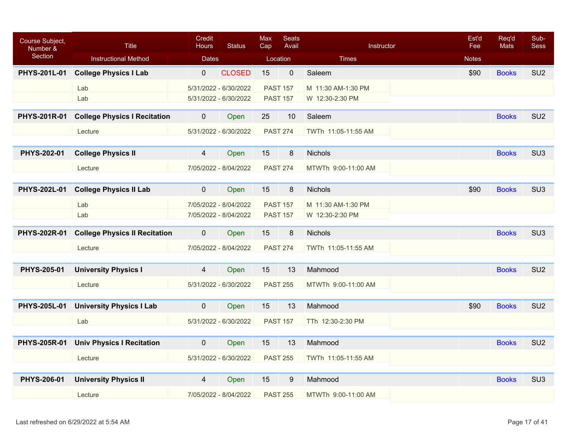| Course Subject,<br>Number & | <b>Title</b>                         | Credit<br><b>Hours</b> | <b>Status</b>         | <b>Max</b><br>Cap | <b>Seats</b><br>Avail | Instructor          | Est'd<br>Fee | Req'd<br>Mats | Sub-<br><b>Sess</b> |
|-----------------------------|--------------------------------------|------------------------|-----------------------|-------------------|-----------------------|---------------------|--------------|---------------|---------------------|
| Section                     | <b>Instructional Method</b>          | <b>Dates</b>           |                       | Location          |                       | <b>Times</b>        | <b>Notes</b> |               |                     |
| <b>PHYS-201L-01</b>         | <b>College Physics I Lab</b>         | $\mathbf{0}$           | <b>CLOSED</b>         | 15                | $\mathbf 0$           | Saleem              | \$90         | <b>Books</b>  | SU <sub>2</sub>     |
|                             | Lab                                  | 5/31/2022 - 6/30/2022  |                       | <b>PAST 157</b>   |                       | M 11:30 AM-1:30 PM  |              |               |                     |
|                             | Lab                                  |                        | 5/31/2022 - 6/30/2022 | <b>PAST 157</b>   |                       | W 12:30-2:30 PM     |              |               |                     |
| <b>PHYS-201R-01</b>         | <b>College Physics I Recitation</b>  | $\mathbf 0$            | Open                  | 25                | 10                    | Saleem              |              | <b>Books</b>  | SU <sub>2</sub>     |
|                             | Lecture                              | 5/31/2022 - 6/30/2022  |                       | <b>PAST 274</b>   |                       | TWTh 11:05-11:55 AM |              |               |                     |
|                             |                                      |                        |                       |                   |                       |                     |              |               |                     |
| PHYS-202-01                 | <b>College Physics II</b>            | $\overline{4}$         | Open                  | 15                | 8                     | <b>Nichols</b>      |              | <b>Books</b>  | SU <sub>3</sub>     |
|                             | Lecture                              |                        | 7/05/2022 - 8/04/2022 | <b>PAST 274</b>   |                       | MTWTh 9:00-11:00 AM |              |               |                     |
|                             |                                      |                        |                       |                   |                       |                     |              |               |                     |
| <b>PHYS-202L-01</b>         | <b>College Physics II Lab</b>        | $\mathbf 0$            | Open                  | 15                | 8                     | <b>Nichols</b>      | \$90         | <b>Books</b>  | SU <sub>3</sub>     |
|                             | Lab                                  | 7/05/2022 - 8/04/2022  |                       | <b>PAST 157</b>   |                       | M 11:30 AM-1:30 PM  |              |               |                     |
|                             | Lab                                  |                        | 7/05/2022 - 8/04/2022 | <b>PAST 157</b>   |                       | W 12:30-2:30 PM     |              |               |                     |
| <b>PHYS-202R-01</b>         | <b>College Physics II Recitation</b> | $\mathbf 0$            | Open                  | 15                | 8                     | Nichols             |              | <b>Books</b>  | SU <sub>3</sub>     |
|                             | Lecture                              |                        | 7/05/2022 - 8/04/2022 | <b>PAST 274</b>   |                       | TWTh 11:05-11:55 AM |              |               |                     |
|                             |                                      |                        |                       |                   |                       |                     |              |               |                     |
| PHYS-205-01                 | <b>University Physics I</b>          | 4                      | Open                  | 15                | 13                    | Mahmood             |              | <b>Books</b>  | SU <sub>2</sub>     |
|                             | Lecture                              | 5/31/2022 - 6/30/2022  |                       | <b>PAST 255</b>   |                       | MTWTh 9:00-11:00 AM |              |               |                     |
|                             |                                      |                        |                       |                   |                       |                     |              |               |                     |
| <b>PHYS-205L-01</b>         | <b>University Physics I Lab</b>      | $\overline{0}$         | Open                  | 15                | 13                    | Mahmood             | \$90         | <b>Books</b>  | SU <sub>2</sub>     |
|                             | Lab                                  | 5/31/2022 - 6/30/2022  |                       | <b>PAST 157</b>   |                       | TTh 12:30-2:30 PM   |              |               |                     |
|                             |                                      |                        |                       |                   |                       |                     |              |               |                     |
| <b>PHYS-205R-01</b>         | <b>Univ Physics I Recitation</b>     | $\mathbf 0$            | Open                  | 15                | 13                    | Mahmood             |              | <b>Books</b>  | SU <sub>2</sub>     |
|                             | Lecture                              |                        | 5/31/2022 - 6/30/2022 | <b>PAST 255</b>   |                       | TWTh 11:05-11:55 AM |              |               |                     |
| PHYS-206-01                 | <b>University Physics II</b>         | 4                      | Open                  | 15                | 9                     | Mahmood             |              | <b>Books</b>  | SU <sub>3</sub>     |
|                             | Lecture                              | 7/05/2022 - 8/04/2022  |                       | <b>PAST 255</b>   |                       | MTWTh 9:00-11:00 AM |              |               |                     |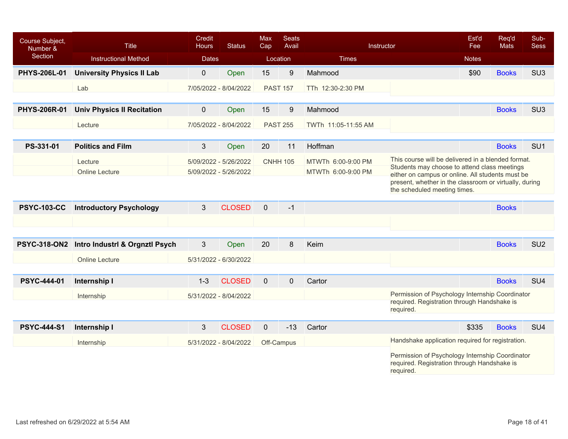| Course Subject,<br>Number &<br>Section | <b>Title</b>                      | Credit<br><b>Hours</b> | <b>Status</b>         | Max<br>Cap      | <b>Seats</b><br>Avail | Instructor          |                                                                                                  | Est'd<br>Fee | Req'd<br><b>Mats</b> | Sub-<br><b>Sess</b> |
|----------------------------------------|-----------------------------------|------------------------|-----------------------|-----------------|-----------------------|---------------------|--------------------------------------------------------------------------------------------------|--------------|----------------------|---------------------|
|                                        | <b>Instructional Method</b>       | <b>Dates</b>           |                       |                 | Location              | <b>Times</b>        |                                                                                                  | <b>Notes</b> |                      |                     |
| PHYS-206L-01                           | <b>University Physics II Lab</b>  | $\mathbf 0$            | Open                  | 15              | $\boldsymbol{9}$      | Mahmood             |                                                                                                  | \$90         | <b>Books</b>         | SU <sub>3</sub>     |
|                                        | Lab                               |                        | 7/05/2022 - 8/04/2022 | <b>PAST 157</b> |                       | TTh 12:30-2:30 PM   |                                                                                                  |              |                      |                     |
|                                        |                                   |                        |                       |                 |                       |                     |                                                                                                  |              |                      |                     |
| <b>PHYS-206R-01</b>                    | <b>Univ Physics II Recitation</b> | $\mathbf 0$            | Open                  | 15              | 9                     | Mahmood             |                                                                                                  |              | <b>Books</b>         | SU <sub>3</sub>     |
|                                        | Lecture                           |                        | 7/05/2022 - 8/04/2022 |                 | <b>PAST 255</b>       | TWTh 11:05-11:55 AM |                                                                                                  |              |                      |                     |
|                                        |                                   |                        |                       |                 |                       |                     |                                                                                                  |              |                      |                     |
| PS-331-01                              | <b>Politics and Film</b>          | 3                      | Open                  | 20              | 11                    | Hoffman             |                                                                                                  |              | <b>Books</b>         | SU <sub>1</sub>     |
|                                        | Lecture                           |                        | 5/09/2022 - 5/26/2022 |                 | <b>CNHH 105</b>       | MTWTh 6:00-9:00 PM  | This course will be delivered in a blended format.                                               |              |                      |                     |
|                                        | <b>Online Lecture</b>             |                        | 5/09/2022 - 5/26/2022 |                 |                       | MTWTh 6:00-9:00 PM  | Students may choose to attend class meetings<br>either on campus or online. All students must be |              |                      |                     |
|                                        |                                   |                        |                       |                 |                       |                     | present, whether in the classroom or virtually, during                                           |              |                      |                     |
|                                        |                                   |                        |                       |                 |                       |                     | the scheduled meeting times.                                                                     |              |                      |                     |
| <b>PSYC-103-CC</b>                     | <b>Introductory Psychology</b>    | 3                      | <b>CLOSED</b>         | $\mathbf{0}$    | $-1$                  |                     |                                                                                                  |              | <b>Books</b>         |                     |
|                                        |                                   |                        |                       |                 |                       |                     |                                                                                                  |              |                      |                     |
|                                        |                                   |                        |                       |                 |                       |                     |                                                                                                  |              |                      |                     |
| <b>PSYC-318-ON2</b>                    | Intro Industri & Orgnzti Psych    | 3                      | Open                  | 20              | 8                     | Keim                |                                                                                                  |              | <b>Books</b>         | SU <sub>2</sub>     |
|                                        | <b>Online Lecture</b>             |                        | 5/31/2022 - 6/30/2022 |                 |                       |                     |                                                                                                  |              |                      |                     |
|                                        |                                   |                        |                       |                 |                       |                     |                                                                                                  |              |                      |                     |
| <b>PSYC-444-01</b>                     | Internship I                      | $1 - 3$                | <b>CLOSED</b>         | $\mathbf{0}$    | $\mathbf 0$           | Cartor              |                                                                                                  |              | <b>Books</b>         | SU <sub>4</sub>     |
|                                        | Internship                        |                        | 5/31/2022 - 8/04/2022 |                 |                       |                     | Permission of Psychology Internship Coordinator                                                  |              |                      |                     |
|                                        |                                   |                        |                       |                 |                       |                     | required. Registration through Handshake is                                                      |              |                      |                     |
|                                        |                                   |                        |                       |                 |                       |                     | required.                                                                                        |              |                      |                     |
| <b>PSYC-444-S1</b>                     | Internship I                      | 3                      | <b>CLOSED</b>         | $\overline{0}$  | $-13$                 | Cartor              |                                                                                                  | \$335        | <b>Books</b>         | SU <sub>4</sub>     |
|                                        | Internship                        |                        | 5/31/2022 - 8/04/2022 |                 | Off-Campus            |                     | Handshake application required for registration.                                                 |              |                      |                     |
|                                        |                                   |                        |                       |                 |                       |                     | Permission of Psychology Internship Coordinator                                                  |              |                      |                     |
|                                        |                                   |                        |                       |                 |                       |                     | required. Registration through Handshake is<br>required.                                         |              |                      |                     |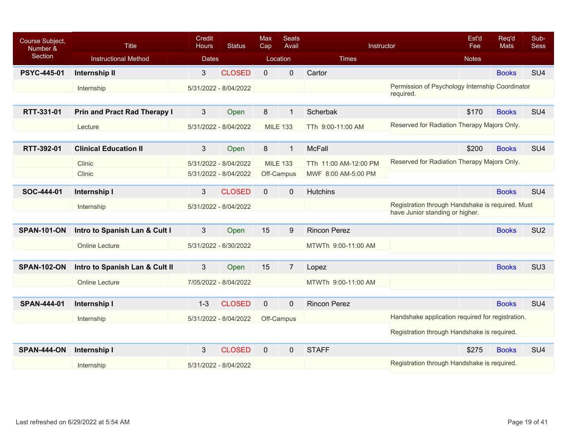| Course Subject,<br>Number & | <b>Title</b>                        | Credit<br><b>Hours</b> | <b>Status</b>         | Max<br>Cap      | <b>Seats</b><br>Avail | Instructor            |                                                              | Est'd<br>Fee | Req'd<br><b>Mats</b> | Sub-<br><b>Sess</b> |
|-----------------------------|-------------------------------------|------------------------|-----------------------|-----------------|-----------------------|-----------------------|--------------------------------------------------------------|--------------|----------------------|---------------------|
| <b>Section</b>              | <b>Instructional Method</b>         | <b>Dates</b>           |                       | Location        |                       | <b>Times</b>          |                                                              | <b>Notes</b> |                      |                     |
| <b>PSYC-445-01</b>          | Internship II                       | 3                      | <b>CLOSED</b>         | $\Omega$        | $\mathbf 0$           | Cartor                |                                                              |              | <b>Books</b>         | SU <sub>4</sub>     |
|                             | Internship                          |                        | 5/31/2022 - 8/04/2022 |                 |                       |                       | Permission of Psychology Internship Coordinator<br>required. |              |                      |                     |
| RTT-331-01                  | <b>Prin and Pract Rad Therapy I</b> | 3                      | Open                  | 8               | $\mathbf{1}$          | Scherbak              |                                                              | \$170        | <b>Books</b>         | SU <sub>4</sub>     |
|                             | Lecture                             |                        | 5/31/2022 - 8/04/2022 | <b>MILE 133</b> |                       | TTh 9:00-11:00 AM     | Reserved for Radiation Therapy Majors Only.                  |              |                      |                     |
|                             |                                     |                        |                       |                 |                       |                       |                                                              |              |                      |                     |
| RTT-392-01                  | <b>Clinical Education II</b>        | 3                      | Open                  | 8               | $\mathbf{1}$          | <b>McFall</b>         |                                                              | \$200        | <b>Books</b>         | SU <sub>4</sub>     |
|                             | Clinic                              |                        | 5/31/2022 - 8/04/2022 | <b>MILE 133</b> |                       | TTh 11:00 AM-12:00 PM | Reserved for Radiation Therapy Majors Only.                  |              |                      |                     |
|                             | Clinic                              |                        | 5/31/2022 - 8/04/2022 |                 | Off-Campus            | MWF 8:00 AM-5:00 PM   |                                                              |              |                      |                     |
| SOC-444-01                  | Internship I                        | 3                      | <b>CLOSED</b>         | $\mathbf{0}$    | $\mathbf 0$           | <b>Hutchins</b>       |                                                              |              | <b>Books</b>         | SU <sub>4</sub>     |
|                             | Internship                          |                        | 5/31/2022 - 8/04/2022 |                 |                       |                       | Registration through Handshake is required. Must             |              |                      |                     |
|                             |                                     |                        |                       |                 |                       |                       | have Junior standing or higher.                              |              |                      |                     |
| <b>SPAN-101-ON</b>          | Intro to Spanish Lan & Cult I       | 3                      | Open                  | 15              | 9                     | <b>Rincon Perez</b>   |                                                              |              | <b>Books</b>         | SU <sub>2</sub>     |
|                             | <b>Online Lecture</b>               |                        | 5/31/2022 - 6/30/2022 |                 |                       | MTWTh 9:00-11:00 AM   |                                                              |              |                      |                     |
|                             |                                     |                        |                       |                 |                       |                       |                                                              |              |                      |                     |
| <b>SPAN-102-ON</b>          | Intro to Spanish Lan & Cult II      | 3                      | Open                  | 15              | $\overline{7}$        | Lopez                 |                                                              |              | <b>Books</b>         | SU <sub>3</sub>     |
|                             | <b>Online Lecture</b>               |                        | 7/05/2022 - 8/04/2022 |                 |                       | MTWTh 9:00-11:00 AM   |                                                              |              |                      |                     |
|                             |                                     |                        |                       |                 |                       |                       |                                                              |              |                      |                     |
| <b>SPAN-444-01</b>          | Internship I                        | $1 - 3$                | <b>CLOSED</b>         | $\mathbf 0$     | $\mathbf{0}$          | <b>Rincon Perez</b>   |                                                              |              | <b>Books</b>         | SU <sub>4</sub>     |
|                             | Internship                          |                        | 5/31/2022 - 8/04/2022 |                 | Off-Campus            |                       | Handshake application required for registration.             |              |                      |                     |
|                             |                                     |                        |                       |                 |                       |                       | Registration through Handshake is required.                  |              |                      |                     |
| <b>SPAN-444-ON</b>          | Internship I                        | 3                      | <b>CLOSED</b>         | $\mathbf{0}$    | $\overline{0}$        | <b>STAFF</b>          |                                                              | \$275        | <b>Books</b>         | SU <sub>4</sub>     |
|                             | Internship                          |                        | 5/31/2022 - 8/04/2022 |                 |                       |                       | Registration through Handshake is required.                  |              |                      |                     |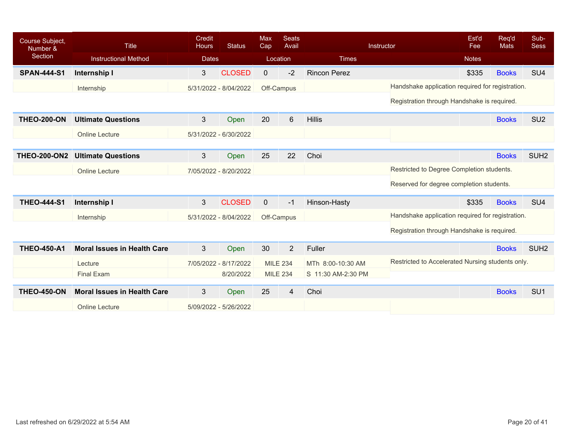| Course Subject,<br>Number & | <b>Title</b>                       | <b>Credit</b><br><b>Hours</b> | <b>Status</b> | <b>Max</b><br>Cap | <b>Seats</b><br>Avail |                     | Instructor                                       | Est'd<br>Fee | Req'd<br><b>Mats</b> | Sub-<br><b>Sess</b> |
|-----------------------------|------------------------------------|-------------------------------|---------------|-------------------|-----------------------|---------------------|--------------------------------------------------|--------------|----------------------|---------------------|
| Section                     | <b>Instructional Method</b>        | <b>Dates</b>                  |               |                   | Location              | <b>Times</b>        |                                                  | <b>Notes</b> |                      |                     |
| <b>SPAN-444-S1</b>          | Internship I                       | 3                             | <b>CLOSED</b> | $\mathbf{0}$      | $-2$                  | <b>Rincon Perez</b> |                                                  | \$335        | <b>Books</b>         | SU <sub>4</sub>     |
|                             | Internship                         | 5/31/2022 - 8/04/2022         |               |                   | Off-Campus            |                     | Handshake application required for registration. |              |                      |                     |
|                             |                                    |                               |               |                   |                       |                     | Registration through Handshake is required.      |              |                      |                     |
| <b>THEO-200-ON</b>          | <b>Ultimate Questions</b>          | 3                             | Open          | 20                | 6                     | <b>Hillis</b>       |                                                  |              | <b>Books</b>         | SU <sub>2</sub>     |
|                             | <b>Online Lecture</b>              | 5/31/2022 - 6/30/2022         |               |                   |                       |                     |                                                  |              |                      |                     |
|                             |                                    |                               |               |                   |                       |                     |                                                  |              |                      |                     |
| <b>THEO-200-ON2</b>         | <b>Ultimate Questions</b>          | 3                             | Open          | 25                | 22                    | Choi                |                                                  |              | <b>Books</b>         | SUH <sub>2</sub>    |
|                             | <b>Online Lecture</b>              | 7/05/2022 - 8/20/2022         |               |                   |                       |                     | Restricted to Degree Completion students.        |              |                      |                     |
|                             |                                    |                               |               |                   |                       |                     | Reserved for degree completion students.         |              |                      |                     |
| <b>THEO-444-S1</b>          | Internship I                       | 3                             | <b>CLOSED</b> | $\overline{0}$    | $-1$                  | Hinson-Hasty        |                                                  | \$335        | <b>Books</b>         | SU <sub>4</sub>     |
|                             | Internship                         | 5/31/2022 - 8/04/2022         |               |                   | Off-Campus            |                     | Handshake application required for registration. |              |                      |                     |
|                             |                                    |                               |               |                   |                       |                     | Registration through Handshake is required.      |              |                      |                     |
| <b>THEO-450-A1</b>          | <b>Moral Issues in Health Care</b> | 3                             | Open          | 30                | $\overline{2}$        | Fuller              |                                                  |              | <b>Books</b>         | SUH <sub>2</sub>    |
|                             | Lecture                            | 7/05/2022 - 8/17/2022         |               |                   | <b>MILE 234</b>       | MTh 8:00-10:30 AM   | Restricted to Accelerated Nursing students only. |              |                      |                     |
|                             | <b>Final Exam</b>                  |                               | 8/20/2022     |                   | <b>MILE 234</b>       | S 11:30 AM-2:30 PM  |                                                  |              |                      |                     |
| <b>THEO-450-ON</b>          | <b>Moral Issues in Health Care</b> | 3                             | Open          | 25                | 4                     | Choi                |                                                  |              | <b>Books</b>         | SU <sub>1</sub>     |
|                             | <b>Online Lecture</b>              | 5/09/2022 - 5/26/2022         |               |                   |                       |                     |                                                  |              |                      |                     |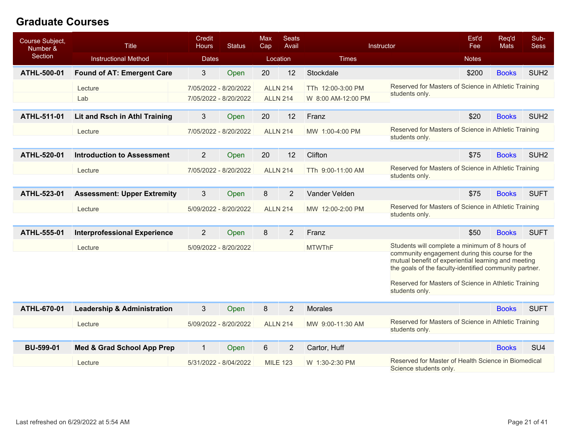## **Graduate Courses**

| Course Subject,<br>Number & | <b>Title</b>                           | Credit<br><b>Hours</b> | <b>Status</b>         | Max<br>Cap | <b>Seats</b><br>Avail |                    | Instructor                                                                                                    | Est'd<br>Fee | Req'd<br><b>Mats</b> | Sub-<br><b>Sess</b> |
|-----------------------------|----------------------------------------|------------------------|-----------------------|------------|-----------------------|--------------------|---------------------------------------------------------------------------------------------------------------|--------------|----------------------|---------------------|
| Section                     | <b>Instructional Method</b>            | <b>Dates</b>           |                       |            | Location              | <b>Times</b>       |                                                                                                               | <b>Notes</b> |                      |                     |
| ATHL-500-01                 | <b>Found of AT: Emergent Care</b>      | 3                      | Open                  | 20         | 12                    | Stockdale          |                                                                                                               | \$200        | <b>Books</b>         | SUH <sub>2</sub>    |
|                             | Lecture                                |                        | 7/05/2022 - 8/20/2022 |            | <b>ALLN 214</b>       | TTh 12:00-3:00 PM  | Reserved for Masters of Science in Athletic Training                                                          |              |                      |                     |
|                             | Lab                                    |                        | 7/05/2022 - 8/20/2022 |            | <b>ALLN 214</b>       | W 8:00 AM-12:00 PM | students only.                                                                                                |              |                      |                     |
| ATHL-511-01                 | Lit and Rsch in Athl Training          | 3                      | Open                  | 20         | 12                    | Franz              |                                                                                                               | \$20         | <b>Books</b>         | SUH <sub>2</sub>    |
|                             | Lecture                                |                        | 7/05/2022 - 8/20/2022 |            | <b>ALLN 214</b>       | MW 1:00-4:00 PM    | Reserved for Masters of Science in Athletic Training                                                          |              |                      |                     |
|                             |                                        |                        |                       |            |                       |                    | students only.                                                                                                |              |                      |                     |
| ATHL-520-01                 | <b>Introduction to Assessment</b>      | $\overline{2}$         | Open                  | 20         | 12                    | Clifton            |                                                                                                               | \$75         | <b>Books</b>         | SUH <sub>2</sub>    |
|                             | Lecture                                |                        | 7/05/2022 - 8/20/2022 |            | <b>ALLN 214</b>       | TTh 9:00-11:00 AM  | Reserved for Masters of Science in Athletic Training                                                          |              |                      |                     |
|                             |                                        |                        |                       |            |                       |                    | students only.                                                                                                |              |                      |                     |
| ATHL-523-01                 | <b>Assessment: Upper Extremity</b>     | 3                      | Open                  | 8          | $\overline{2}$        | Vander Velden      |                                                                                                               | \$75         | <b>Books</b>         | <b>SUFT</b>         |
|                             | Lecture                                |                        | 5/09/2022 - 8/20/2022 |            | <b>ALLN 214</b>       | MW 12:00-2:00 PM   | Reserved for Masters of Science in Athletic Training<br>students only.                                        |              |                      |                     |
|                             |                                        |                        |                       |            |                       |                    |                                                                                                               |              |                      |                     |
| ATHL-555-01                 | <b>Interprofessional Experience</b>    | $\overline{2}$         | Open                  | 8          | $\overline{2}$        | Franz              |                                                                                                               | \$50         | <b>Books</b>         | <b>SUFT</b>         |
|                             | Lecture                                |                        | 5/09/2022 - 8/20/2022 |            |                       | <b>MTWThF</b>      | Students will complete a minimum of 8 hours of<br>community engagement during this course for the             |              |                      |                     |
|                             |                                        |                        |                       |            |                       |                    | mutual benefit of experiential learning and meeting<br>the goals of the faculty-identified community partner. |              |                      |                     |
|                             |                                        |                        |                       |            |                       |                    |                                                                                                               |              |                      |                     |
|                             |                                        |                        |                       |            |                       |                    | Reserved for Masters of Science in Athletic Training<br>students only.                                        |              |                      |                     |
| ATHL-670-01                 | <b>Leadership &amp; Administration</b> | 3                      | Open                  | 8          | $\overline{2}$        | <b>Morales</b>     |                                                                                                               |              | <b>Books</b>         | <b>SUFT</b>         |
|                             | Lecture                                |                        | 5/09/2022 - 8/20/2022 |            | <b>ALLN 214</b>       | MW 9:00-11:30 AM   | Reserved for Masters of Science in Athletic Training                                                          |              |                      |                     |
|                             |                                        |                        |                       |            |                       |                    | students only.                                                                                                |              |                      |                     |
| <b>BU-599-01</b>            | <b>Med &amp; Grad School App Prep</b>  | $\mathbf{1}$           | Open                  | 6          | $\overline{2}$        | Cartor, Huff       |                                                                                                               |              | <b>Books</b>         | SU <sub>4</sub>     |
|                             | Lecture                                |                        | 5/31/2022 - 8/04/2022 |            | <b>MILE 123</b>       | W 1:30-2:30 PM     | Reserved for Master of Health Science in Biomedical<br>Science students only.                                 |              |                      |                     |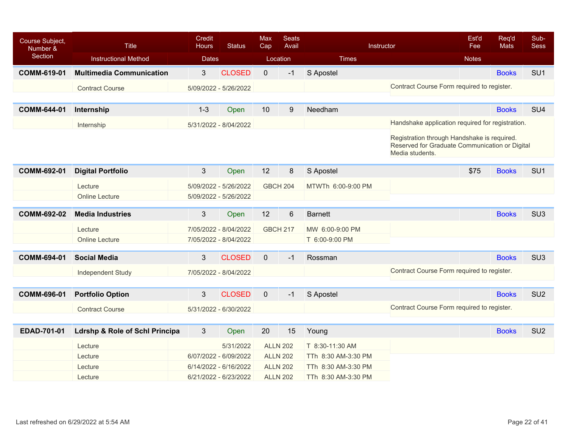| Course Subject,<br>Number & | <b>Title</b>                              | Credit<br><b>Hours</b> | <b>Status</b>         | <b>Max</b><br>Cap | <b>Seats</b><br>Avail |                     | Instructor                                                                                                       | Est'd<br>Fee | Req'd<br><b>Mats</b> | Sub-<br><b>Sess</b> |
|-----------------------------|-------------------------------------------|------------------------|-----------------------|-------------------|-----------------------|---------------------|------------------------------------------------------------------------------------------------------------------|--------------|----------------------|---------------------|
| Section                     | <b>Instructional Method</b>               | <b>Dates</b>           |                       |                   | Location              | <b>Times</b>        |                                                                                                                  | <b>Notes</b> |                      |                     |
| <b>COMM-619-01</b>          | <b>Multimedia Communication</b>           | $3\overline{3}$        | <b>CLOSED</b>         | $\overline{0}$    | $-1$                  | S Apostel           |                                                                                                                  |              | <b>Books</b>         | SU <sub>1</sub>     |
|                             | <b>Contract Course</b>                    |                        | 5/09/2022 - 5/26/2022 |                   |                       |                     | Contract Course Form required to register.                                                                       |              |                      |                     |
|                             |                                           |                        |                       |                   |                       |                     |                                                                                                                  |              |                      |                     |
| <b>COMM-644-01</b>          | Internship                                | $1 - 3$                | Open                  | 10                | $\boldsymbol{9}$      | Needham             |                                                                                                                  |              | <b>Books</b>         | SU <sub>4</sub>     |
|                             | Internship                                |                        | 5/31/2022 - 8/04/2022 |                   |                       |                     | Handshake application required for registration.                                                                 |              |                      |                     |
|                             |                                           |                        |                       |                   |                       |                     | Registration through Handshake is required.<br>Reserved for Graduate Communication or Digital<br>Media students. |              |                      |                     |
| <b>COMM-692-01</b>          | <b>Digital Portfolio</b>                  | 3                      | Open                  | 12                | 8                     | S Apostel           |                                                                                                                  | \$75         | <b>Books</b>         | SU <sub>1</sub>     |
|                             | Lecture                                   |                        | 5/09/2022 - 5/26/2022 |                   | <b>GBCH 204</b>       | MTWTh 6:00-9:00 PM  |                                                                                                                  |              |                      |                     |
|                             | <b>Online Lecture</b>                     |                        | 5/09/2022 - 5/26/2022 |                   |                       |                     |                                                                                                                  |              |                      |                     |
| <b>COMM-692-02</b>          | <b>Media Industries</b>                   | $\mathfrak{S}$         | Open                  | 12                | $\,6$                 | <b>Barnett</b>      |                                                                                                                  |              | <b>Books</b>         | SU <sub>3</sub>     |
|                             |                                           |                        |                       |                   |                       |                     |                                                                                                                  |              |                      |                     |
|                             | Lecture                                   |                        | 7/05/2022 - 8/04/2022 |                   | <b>GBCH 217</b>       | MW 6:00-9:00 PM     |                                                                                                                  |              |                      |                     |
|                             | <b>Online Lecture</b>                     |                        | 7/05/2022 - 8/04/2022 |                   |                       | T 6:00-9:00 PM      |                                                                                                                  |              |                      |                     |
| <b>COMM-694-01</b>          | <b>Social Media</b>                       | 3                      | <b>CLOSED</b>         | $\overline{0}$    | $-1$                  | Rossman             |                                                                                                                  |              | <b>Books</b>         | SU <sub>3</sub>     |
|                             | <b>Independent Study</b>                  |                        | 7/05/2022 - 8/04/2022 |                   |                       |                     | Contract Course Form required to register.                                                                       |              |                      |                     |
|                             |                                           |                        |                       |                   |                       |                     |                                                                                                                  |              |                      |                     |
| <b>COMM-696-01</b>          | <b>Portfolio Option</b>                   | 3                      | <b>CLOSED</b>         | $\mathbf 0$       | $-1$                  | S Apostel           |                                                                                                                  |              | <b>Books</b>         | SU <sub>2</sub>     |
|                             | <b>Contract Course</b>                    |                        | 5/31/2022 - 6/30/2022 |                   |                       |                     | Contract Course Form required to register.                                                                       |              |                      |                     |
|                             |                                           |                        |                       |                   |                       |                     |                                                                                                                  |              |                      |                     |
| EDAD-701-01                 | <b>Ldrshp &amp; Role of Schl Principa</b> | 3                      | Open                  | 20                | 15                    | Young               |                                                                                                                  |              | <b>Books</b>         | SU <sub>2</sub>     |
|                             | Lecture                                   |                        | 5/31/2022             |                   | <b>ALLN 202</b>       | T 8:30-11:30 AM     |                                                                                                                  |              |                      |                     |
|                             | Lecture                                   |                        | 6/07/2022 - 6/09/2022 |                   | <b>ALLN 202</b>       | TTh 8:30 AM-3:30 PM |                                                                                                                  |              |                      |                     |
|                             | Lecture                                   |                        | 6/14/2022 - 6/16/2022 |                   | <b>ALLN 202</b>       | TTh 8:30 AM-3:30 PM |                                                                                                                  |              |                      |                     |
|                             | Lecture                                   |                        | 6/21/2022 - 6/23/2022 |                   | <b>ALLN 202</b>       | TTh 8:30 AM-3:30 PM |                                                                                                                  |              |                      |                     |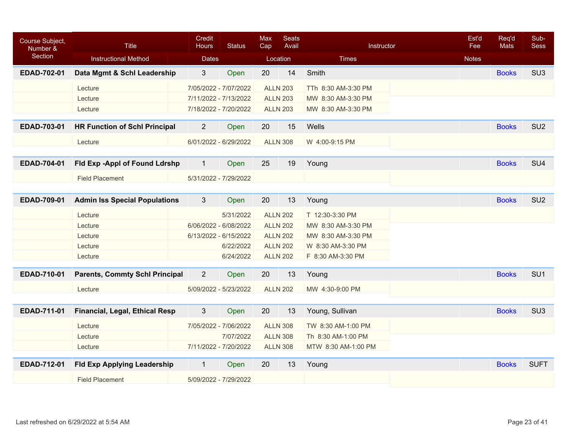| Course Subject,<br>Number & | <b>Title</b>                          | Credit<br><b>Hours</b> | <b>Status</b>         | <b>Max</b><br>Cap | <b>Seats</b><br>Avail | Instructor          | Est'd<br>Fee | Req'd<br><b>Mats</b> | Sub-<br><b>Sess</b> |
|-----------------------------|---------------------------------------|------------------------|-----------------------|-------------------|-----------------------|---------------------|--------------|----------------------|---------------------|
| Section                     | <b>Instructional Method</b>           | <b>Dates</b>           |                       |                   | Location              | <b>Times</b>        | <b>Notes</b> |                      |                     |
| EDAD-702-01                 | Data Mgmt & Schl Leadership           | 3                      | Open                  | 20                | 14                    | Smith               |              | <b>Books</b>         | SU <sub>3</sub>     |
|                             | Lecture                               |                        | 7/05/2022 - 7/07/2022 |                   | <b>ALLN 203</b>       | TTh 8:30 AM-3:30 PM |              |                      |                     |
|                             | Lecture                               | 7/11/2022 - 7/13/2022  |                       |                   | <b>ALLN 203</b>       | MW 8:30 AM-3:30 PM  |              |                      |                     |
|                             | Lecture                               |                        | 7/18/2022 - 7/20/2022 |                   | <b>ALLN 203</b>       | MW 8:30 AM-3:30 PM  |              |                      |                     |
| EDAD-703-01                 | <b>HR Function of Schl Principal</b>  | $\overline{2}$         | Open                  | 20                | 15                    | Wells               |              | <b>Books</b>         | SU <sub>2</sub>     |
|                             | Lecture                               |                        | 6/01/2022 - 6/29/2022 |                   | <b>ALLN 308</b>       | W 4:00-9:15 PM      |              |                      |                     |
|                             |                                       |                        |                       |                   |                       |                     |              |                      |                     |
| EDAD-704-01                 | Fld Exp -Appl of Found Ldrshp         | $\mathbf{1}$           | Open                  | 25                | 19                    | Young               |              | <b>Books</b>         | SU <sub>4</sub>     |
|                             | <b>Field Placement</b>                |                        | 5/31/2022 - 7/29/2022 |                   |                       |                     |              |                      |                     |
|                             |                                       |                        |                       |                   |                       |                     |              |                      |                     |
| EDAD-709-01                 | <b>Admin Iss Special Populations</b>  | 3                      | Open                  | 20                | 13                    | Young               |              | <b>Books</b>         | SU <sub>2</sub>     |
|                             | Lecture                               |                        | 5/31/2022             |                   | <b>ALLN 202</b>       | T 12:30-3:30 PM     |              |                      |                     |
|                             | Lecture                               | 6/06/2022 - 6/08/2022  |                       |                   | <b>ALLN 202</b>       | MW 8:30 AM-3:30 PM  |              |                      |                     |
|                             | Lecture                               |                        | 6/13/2022 - 6/15/2022 |                   | <b>ALLN 202</b>       | MW 8:30 AM-3:30 PM  |              |                      |                     |
|                             | Lecture                               |                        | 6/22/2022             |                   | <b>ALLN 202</b>       | W 8:30 AM-3:30 PM   |              |                      |                     |
|                             | Lecture                               |                        | 6/24/2022             |                   | <b>ALLN 202</b>       | F 8:30 AM-3:30 PM   |              |                      |                     |
| EDAD-710-01                 | <b>Parents, Commty Schl Principal</b> | $\overline{2}$         | Open                  | 20                | 13                    | Young               |              | <b>Books</b>         | SU <sub>1</sub>     |
|                             | Lecture                               |                        | 5/09/2022 - 5/23/2022 |                   | <b>ALLN 202</b>       | MW 4:30-9:00 PM     |              |                      |                     |
|                             |                                       |                        |                       |                   |                       |                     |              |                      |                     |
| EDAD-711-01                 | Financial, Legal, Ethical Resp        | 3                      | Open                  | 20                | 13                    | Young, Sullivan     |              | <b>Books</b>         | SU <sub>3</sub>     |
|                             | Lecture                               |                        | 7/05/2022 - 7/06/2022 |                   | <b>ALLN 308</b>       | TW 8:30 AM-1:00 PM  |              |                      |                     |
|                             | Lecture                               |                        | 7/07/2022             |                   | <b>ALLN 308</b>       | Th 8:30 AM-1:00 PM  |              |                      |                     |
|                             | Lecture                               |                        | 7/11/2022 - 7/20/2022 |                   | <b>ALLN 308</b>       | MTW 8:30 AM-1:00 PM |              |                      |                     |
| EDAD-712-01                 | <b>Fld Exp Applying Leadership</b>    | $\mathbf{1}$           | Open                  | 20                | 13                    | Young               |              | <b>Books</b>         | <b>SUFT</b>         |
|                             | <b>Field Placement</b>                |                        | 5/09/2022 - 7/29/2022 |                   |                       |                     |              |                      |                     |
|                             |                                       |                        |                       |                   |                       |                     |              |                      |                     |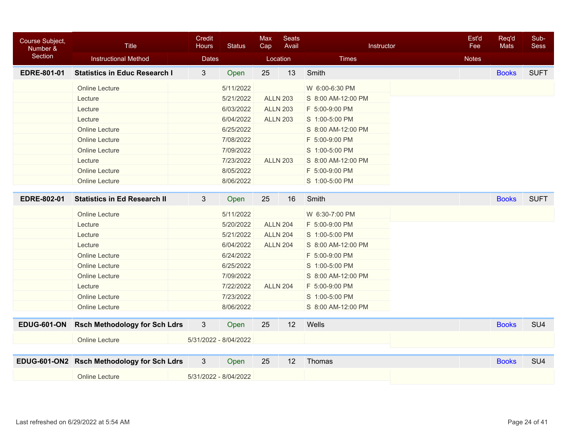| Course Subject,<br>Number & | <b>Title</b>                               | Credit<br><b>Hours</b> | <b>Status</b>         | <b>Max</b><br>Cap | <b>Seats</b><br>Avail | Instructor         | Est'd<br>Fee | Req'd<br><b>Mats</b> | Sub-<br><b>Sess</b> |
|-----------------------------|--------------------------------------------|------------------------|-----------------------|-------------------|-----------------------|--------------------|--------------|----------------------|---------------------|
| Section                     | <b>Instructional Method</b>                | <b>Dates</b>           |                       | Location          |                       | <b>Times</b>       | <b>Notes</b> |                      |                     |
| <b>EDRE-801-01</b>          | <b>Statistics in Educ Research I</b>       | $\mathfrak{S}$         | Open                  | 25                | 13                    | Smith              |              | <b>Books</b>         | <b>SUFT</b>         |
|                             | Online Lecture                             |                        | 5/11/2022             |                   |                       | W 6:00-6:30 PM     |              |                      |                     |
|                             | Lecture                                    |                        | 5/21/2022             | <b>ALLN 203</b>   |                       | S 8:00 AM-12:00 PM |              |                      |                     |
|                             | Lecture                                    |                        | 6/03/2022             |                   | <b>ALLN 203</b>       | F 5:00-9:00 PM     |              |                      |                     |
|                             | Lecture                                    |                        | 6/04/2022             |                   | <b>ALLN 203</b>       | S 1:00-5:00 PM     |              |                      |                     |
|                             | <b>Online Lecture</b>                      |                        | 6/25/2022             |                   |                       | S 8:00 AM-12:00 PM |              |                      |                     |
|                             | <b>Online Lecture</b>                      |                        | 7/08/2022             |                   |                       | F 5:00-9:00 PM     |              |                      |                     |
|                             | <b>Online Lecture</b>                      |                        | 7/09/2022             |                   |                       | S 1:00-5:00 PM     |              |                      |                     |
|                             | Lecture                                    |                        | 7/23/2022             |                   | <b>ALLN 203</b>       | S 8:00 AM-12:00 PM |              |                      |                     |
|                             | <b>Online Lecture</b>                      |                        | 8/05/2022             |                   |                       | F 5:00-9:00 PM     |              |                      |                     |
|                             | <b>Online Lecture</b>                      |                        | 8/06/2022             |                   |                       | S 1:00-5:00 PM     |              |                      |                     |
|                             |                                            |                        |                       |                   |                       |                    |              |                      |                     |
| <b>EDRE-802-01</b>          | <b>Statistics in Ed Research II</b>        | 3                      | Open                  | 25                | 16                    | Smith              |              | <b>Books</b>         | <b>SUFT</b>         |
|                             | Online Lecture                             |                        | 5/11/2022             |                   |                       | W 6:30-7:00 PM     |              |                      |                     |
|                             | Lecture                                    |                        | 5/20/2022             | <b>ALLN 204</b>   |                       | F 5:00-9:00 PM     |              |                      |                     |
|                             | Lecture                                    |                        | 5/21/2022             | <b>ALLN 204</b>   |                       | S 1:00-5:00 PM     |              |                      |                     |
|                             | Lecture                                    |                        | 6/04/2022             | <b>ALLN 204</b>   |                       | S 8:00 AM-12:00 PM |              |                      |                     |
|                             | <b>Online Lecture</b>                      |                        | 6/24/2022             |                   |                       | F 5:00-9:00 PM     |              |                      |                     |
|                             | <b>Online Lecture</b>                      |                        | 6/25/2022             |                   |                       | S 1:00-5:00 PM     |              |                      |                     |
|                             | <b>Online Lecture</b>                      |                        | 7/09/2022             |                   |                       | S 8:00 AM-12:00 PM |              |                      |                     |
|                             | Lecture                                    |                        | 7/22/2022             | <b>ALLN 204</b>   |                       | F 5:00-9:00 PM     |              |                      |                     |
|                             | <b>Online Lecture</b>                      |                        | 7/23/2022             |                   |                       | S 1:00-5:00 PM     |              |                      |                     |
|                             | <b>Online Lecture</b>                      |                        | 8/06/2022             |                   |                       | S 8:00 AM-12:00 PM |              |                      |                     |
| <b>EDUG-601-ON</b>          | <b>Rsch Methodology for Sch Ldrs</b>       | 3                      | Open                  | 25                | 12                    | Wells              |              | <b>Books</b>         | SU <sub>4</sub>     |
|                             |                                            |                        |                       |                   |                       |                    |              |                      |                     |
|                             | <b>Online Lecture</b>                      |                        | 5/31/2022 - 8/04/2022 |                   |                       |                    |              |                      |                     |
|                             | EDUG-601-ON2 Rsch Methodology for Sch Ldrs | 3                      | Open                  | 25                | 12                    | Thomas             |              | <b>Books</b>         | SU <sub>4</sub>     |
|                             | <b>Online Lecture</b>                      |                        | 5/31/2022 - 8/04/2022 |                   |                       |                    |              |                      |                     |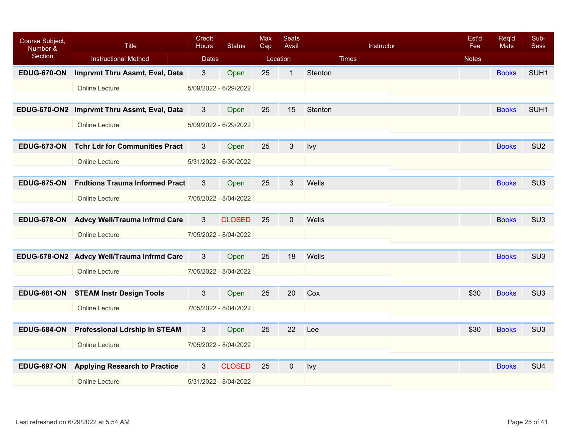| Course Subject,<br>Number & | <b>Title</b>                                | Credit<br><b>Hours</b> | <b>Status</b> | <b>Max</b><br>Cap | <b>Seats</b><br>Avail |              | Instructor | Est'd<br>Fee | Req'd<br><b>Mats</b> | Sub-<br><b>Sess</b> |
|-----------------------------|---------------------------------------------|------------------------|---------------|-------------------|-----------------------|--------------|------------|--------------|----------------------|---------------------|
| Section                     | <b>Instructional Method</b>                 | <b>Dates</b>           |               |                   | Location              | <b>Times</b> |            | <b>Notes</b> |                      |                     |
| <b>EDUG-670-ON</b>          | <b>Imprvmt Thru Assmt, Eval, Data</b>       | 3                      | Open          | 25                | $\mathbf{1}$          | Stenton      |            |              | <b>Books</b>         | SUH <sub>1</sub>    |
|                             | <b>Online Lecture</b>                       | 5/09/2022 - 6/29/2022  |               |                   |                       |              |            |              |                      |                     |
|                             |                                             |                        |               |                   |                       |              |            |              |                      |                     |
|                             | EDUG-670-ON2 Imprvmt Thru Assmt, Eval, Data | 3                      | Open          | 25                | 15                    | Stenton      |            |              | <b>Books</b>         | SUH <sub>1</sub>    |
|                             | <b>Online Lecture</b>                       | 5/09/2022 - 6/29/2022  |               |                   |                       |              |            |              |                      |                     |
|                             |                                             |                        |               |                   |                       |              |            |              |                      |                     |
| <b>EDUG-673-ON</b>          | <b>Tchr Ldr for Communities Pract</b>       | 3                      | Open          | 25                | 3                     | Ivy          |            |              | <b>Books</b>         | SU <sub>2</sub>     |
|                             | <b>Online Lecture</b>                       | 5/31/2022 - 6/30/2022  |               |                   |                       |              |            |              |                      |                     |
|                             |                                             |                        |               |                   |                       |              |            |              |                      |                     |
| <b>EDUG-675-ON</b>          | <b>Fndtions Trauma Informed Pract</b>       | 3                      | Open          | 25                | 3                     | Wells        |            |              | <b>Books</b>         | SU <sub>3</sub>     |
|                             | <b>Online Lecture</b>                       | 7/05/2022 - 8/04/2022  |               |                   |                       |              |            |              |                      |                     |
|                             |                                             |                        |               |                   |                       |              |            |              |                      |                     |
| <b>EDUG-678-ON</b>          | <b>Advcy Well/Trauma Infrmd Care</b>        | 3                      | <b>CLOSED</b> | 25                | $\mathbf{0}$          | Wells        |            |              | <b>Books</b>         | SU <sub>3</sub>     |
|                             | <b>Online Lecture</b>                       | 7/05/2022 - 8/04/2022  |               |                   |                       |              |            |              |                      |                     |
|                             |                                             |                        |               |                   |                       |              |            |              |                      |                     |
|                             | EDUG-678-ON2 Advcy Well/Trauma Infrmd Care  | 3                      | Open          | 25                | 18                    | Wells        |            |              | <b>Books</b>         | SU <sub>3</sub>     |
|                             | <b>Online Lecture</b>                       | 7/05/2022 - 8/04/2022  |               |                   |                       |              |            |              |                      |                     |
|                             |                                             |                        |               |                   |                       |              |            |              |                      |                     |
|                             | EDUG-681-ON STEAM Instr Design Tools        | 3                      | Open          | 25                | 20                    | Cox          |            | \$30         | <b>Books</b>         | SU <sub>3</sub>     |
|                             | <b>Online Lecture</b>                       | 7/05/2022 - 8/04/2022  |               |                   |                       |              |            |              |                      |                     |
|                             |                                             |                        |               |                   |                       |              |            |              |                      |                     |
| <b>EDUG-684-ON</b>          | <b>Professional Ldrship in STEAM</b>        | 3                      | Open          | 25                | 22                    | Lee          |            | \$30         | <b>Books</b>         | SU <sub>3</sub>     |
|                             | <b>Online Lecture</b>                       | 7/05/2022 - 8/04/2022  |               |                   |                       |              |            |              |                      |                     |
|                             |                                             |                        |               |                   |                       |              |            |              |                      |                     |
| <b>EDUG-697-ON</b>          | <b>Applying Research to Practice</b>        | 3                      | <b>CLOSED</b> | 25                | $\mathbf 0$           | Ivy          |            |              | <b>Books</b>         | SU <sub>4</sub>     |
|                             | <b>Online Lecture</b>                       | 5/31/2022 - 8/04/2022  |               |                   |                       |              |            |              |                      |                     |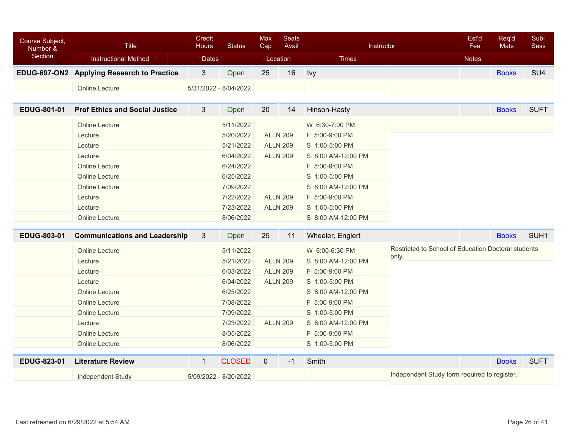| Course Subject,<br>Number & | <b>Title</b>                               | Credit<br><b>Hours</b> | <b>Status</b> | <b>Max</b><br>Cap | <b>Seats</b><br>Avail |                    | Instructor                                          | Est'd<br>Fee | Req'd<br>Mats | Sub-<br><b>Sess</b> |
|-----------------------------|--------------------------------------------|------------------------|---------------|-------------------|-----------------------|--------------------|-----------------------------------------------------|--------------|---------------|---------------------|
| Section                     | <b>Instructional Method</b>                | <b>Dates</b>           |               | Location          |                       | <b>Times</b>       |                                                     | <b>Notes</b> |               |                     |
|                             | EDUG-697-ON2 Applying Research to Practice | $3\phantom{.0}$        | Open          | 25                | 16                    | Ivy                |                                                     |              | <b>Books</b>  | SU <sub>4</sub>     |
|                             | <b>Online Lecture</b>                      | 5/31/2022 - 8/04/2022  |               |                   |                       |                    |                                                     |              |               |                     |
|                             |                                            |                        |               |                   |                       |                    |                                                     |              |               |                     |
| EDUG-801-01                 | <b>Prof Ethics and Social Justice</b>      | 3                      | Open          | 20                | 14                    | Hinson-Hasty       |                                                     |              | <b>Books</b>  | <b>SUFT</b>         |
|                             | Online Lecture                             |                        | 5/11/2022     |                   |                       | W 6:30-7:00 PM     |                                                     |              |               |                     |
|                             | Lecture                                    |                        | 5/20/2022     |                   | <b>ALLN 209</b>       | F 5:00-9:00 PM     |                                                     |              |               |                     |
|                             | Lecture                                    |                        | 5/21/2022     |                   | <b>ALLN 209</b>       | S 1:00-5:00 PM     |                                                     |              |               |                     |
|                             | Lecture                                    |                        | 6/04/2022     |                   | <b>ALLN 209</b>       | S 8:00 AM-12:00 PM |                                                     |              |               |                     |
|                             | <b>Online Lecture</b>                      |                        | 6/24/2022     |                   |                       | F 5:00-9:00 PM     |                                                     |              |               |                     |
|                             | <b>Online Lecture</b>                      |                        | 6/25/2022     |                   |                       | S 1:00-5:00 PM     |                                                     |              |               |                     |
|                             | <b>Online Lecture</b>                      |                        | 7/09/2022     |                   |                       | S 8:00 AM-12:00 PM |                                                     |              |               |                     |
|                             | Lecture                                    |                        | 7/22/2022     |                   | <b>ALLN 209</b>       | F 5:00-9:00 PM     |                                                     |              |               |                     |
|                             | Lecture                                    |                        | 7/23/2022     |                   | <b>ALLN 209</b>       | S 1:00-5:00 PM     |                                                     |              |               |                     |
|                             | <b>Online Lecture</b>                      |                        | 8/06/2022     |                   |                       | S 8:00 AM-12:00 PM |                                                     |              |               |                     |
| EDUG-803-01                 | <b>Communications and Leadership</b>       | 3                      | Open          | 25                | 11                    | Wheeler, Englert   |                                                     |              | <b>Books</b>  | SUH <sub>1</sub>    |
|                             | <b>Online Lecture</b>                      |                        | 5/11/2022     |                   |                       | W 6:00-6:30 PM     | Restricted to School of Education Doctoral students |              |               |                     |
|                             | Lecture                                    |                        | 5/21/2022     |                   | <b>ALLN 209</b>       | S 8:00 AM-12:00 PM | only.                                               |              |               |                     |
|                             | Lecture                                    |                        | 6/03/2022     |                   | <b>ALLN 209</b>       | F 5:00-9:00 PM     |                                                     |              |               |                     |
|                             | Lecture                                    |                        | 6/04/2022     |                   | <b>ALLN 209</b>       | S 1:00-5:00 PM     |                                                     |              |               |                     |
|                             | <b>Online Lecture</b>                      |                        | 6/25/2022     |                   |                       | S 8:00 AM-12:00 PM |                                                     |              |               |                     |
|                             | <b>Online Lecture</b>                      |                        | 7/08/2022     |                   |                       | F 5:00-9:00 PM     |                                                     |              |               |                     |
|                             | <b>Online Lecture</b>                      |                        | 7/09/2022     |                   |                       | S 1:00-5:00 PM     |                                                     |              |               |                     |
|                             | Lecture                                    |                        | 7/23/2022     |                   | <b>ALLN 209</b>       | S 8:00 AM-12:00 PM |                                                     |              |               |                     |
|                             | <b>Online Lecture</b>                      |                        | 8/05/2022     |                   |                       | F 5:00-9:00 PM     |                                                     |              |               |                     |
|                             | <b>Online Lecture</b>                      |                        | 8/06/2022     |                   |                       | S 1:00-5:00 PM     |                                                     |              |               |                     |
| <b>EDUG-823-01</b>          | <b>Literature Review</b>                   | $\mathbf{1}$           | <b>CLOSED</b> | $\mathbf 0$       | $-1$                  | Smith              |                                                     |              | <b>Books</b>  | <b>SUFT</b>         |
|                             | <b>Independent Study</b>                   | 5/09/2022 - 8/20/2022  |               |                   |                       |                    | Independent Study form required to register.        |              |               |                     |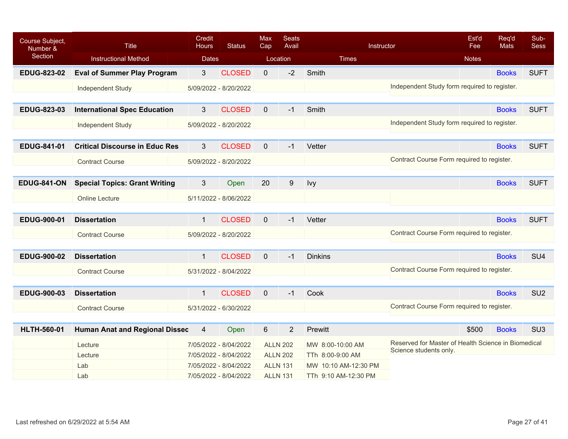| Course Subject,<br>Number & | <b>Title</b>                          | <b>Credit</b><br><b>Hours</b> | <b>Status</b>         | <b>Max</b><br>Cap | <b>Seats</b><br>Avail | Instructor           |                                                     | Est'd<br>Fee | Req'd<br>Mats | Sub-<br><b>Sess</b> |
|-----------------------------|---------------------------------------|-------------------------------|-----------------------|-------------------|-----------------------|----------------------|-----------------------------------------------------|--------------|---------------|---------------------|
| Section                     | <b>Instructional Method</b>           | <b>Dates</b>                  |                       |                   | Location              | <b>Times</b>         |                                                     | <b>Notes</b> |               |                     |
| <b>EDUG-823-02</b>          | <b>Eval of Summer Play Program</b>    | 3 <sup>2</sup>                | <b>CLOSED</b>         | $\mathbf 0$       | $-2$                  | Smith                |                                                     |              | <b>Books</b>  | <b>SUFT</b>         |
|                             | <b>Independent Study</b>              |                               | 5/09/2022 - 8/20/2022 |                   |                       |                      | Independent Study form required to register.        |              |               |                     |
|                             |                                       |                               |                       |                   |                       |                      |                                                     |              |               |                     |
| <b>EDUG-823-03</b>          | <b>International Spec Education</b>   | 3                             | <b>CLOSED</b>         | $\mathbf 0$       | $-1$                  | Smith                |                                                     |              | <b>Books</b>  | <b>SUFT</b>         |
|                             | <b>Independent Study</b>              |                               | 5/09/2022 - 8/20/2022 |                   |                       |                      | Independent Study form required to register.        |              |               |                     |
|                             |                                       |                               |                       |                   |                       |                      |                                                     |              |               |                     |
| <b>EDUG-841-01</b>          | <b>Critical Discourse in Educ Res</b> | 3                             | <b>CLOSED</b>         | $\mathbf{0}$      | $-1$                  | Vetter               |                                                     |              | <b>Books</b>  | <b>SUFT</b>         |
|                             | <b>Contract Course</b>                |                               | 5/09/2022 - 8/20/2022 |                   |                       |                      | Contract Course Form required to register.          |              |               |                     |
|                             |                                       |                               |                       |                   |                       |                      |                                                     |              |               |                     |
| <b>EDUG-841-ON</b>          | <b>Special Topics: Grant Writing</b>  | 3                             | Open                  | 20                | 9                     | Ivy                  |                                                     |              | <b>Books</b>  | <b>SUFT</b>         |
|                             | <b>Online Lecture</b>                 |                               | 5/11/2022 - 8/06/2022 |                   |                       |                      |                                                     |              |               |                     |
|                             |                                       |                               |                       |                   |                       |                      |                                                     |              |               |                     |
| EDUG-900-01                 | <b>Dissertation</b>                   | $\mathbf{1}$                  | <b>CLOSED</b>         | $\mathbf{0}$      | $-1$                  | Vetter               |                                                     |              | <b>Books</b>  | <b>SUFT</b>         |
|                             | <b>Contract Course</b>                |                               | 5/09/2022 - 8/20/2022 |                   |                       |                      | Contract Course Form required to register.          |              |               |                     |
|                             |                                       |                               |                       |                   |                       |                      |                                                     |              |               |                     |
| <b>EDUG-900-02</b>          | <b>Dissertation</b>                   | $\mathbf{1}$                  | <b>CLOSED</b>         | $\mathbf{0}$      | $-1$                  | <b>Dinkins</b>       |                                                     |              | <b>Books</b>  | SU <sub>4</sub>     |
|                             | <b>Contract Course</b>                |                               | 5/31/2022 - 8/04/2022 |                   |                       |                      | Contract Course Form required to register.          |              |               |                     |
|                             |                                       |                               |                       |                   |                       |                      |                                                     |              |               |                     |
| <b>EDUG-900-03</b>          | <b>Dissertation</b>                   | $\mathbf{1}$                  | <b>CLOSED</b>         | $\mathbf{0}$      | $-1$                  | Cook                 |                                                     |              | <b>Books</b>  | SU <sub>2</sub>     |
|                             | <b>Contract Course</b>                |                               | 5/31/2022 - 6/30/2022 |                   |                       |                      | Contract Course Form required to register.          |              |               |                     |
|                             |                                       |                               |                       |                   |                       |                      |                                                     |              |               |                     |
| <b>HLTH-560-01</b>          | <b>Human Anat and Regional Dissec</b> | 4                             | Open                  | $6\phantom{1}$    | $\overline{2}$        | Prewitt              |                                                     | \$500        | <b>Books</b>  | SU <sub>3</sub>     |
|                             | Lecture                               |                               | 7/05/2022 - 8/04/2022 | <b>ALLN 202</b>   |                       | MW 8:00-10:00 AM     | Reserved for Master of Health Science in Biomedical |              |               |                     |
|                             | Lecture                               |                               | 7/05/2022 - 8/04/2022 | <b>ALLN 202</b>   |                       | TTh 8:00-9:00 AM     | Science students only.                              |              |               |                     |
|                             | Lab                                   |                               | 7/05/2022 - 8/04/2022 | <b>ALLN 131</b>   |                       | MW 10:10 AM-12:30 PM |                                                     |              |               |                     |
|                             | Lab                                   |                               | 7/05/2022 - 8/04/2022 | <b>ALLN 131</b>   |                       | TTh 9:10 AM-12:30 PM |                                                     |              |               |                     |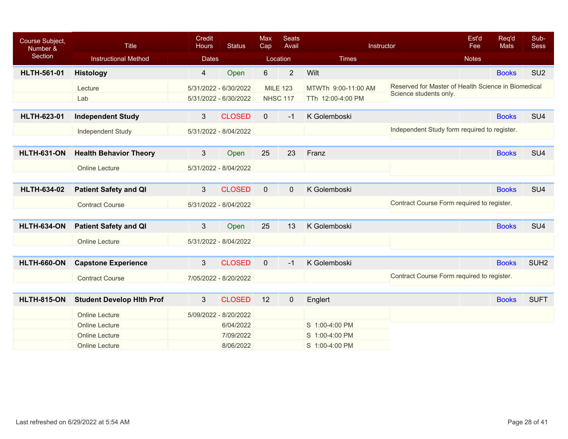| Course Subject,<br>Number & | <b>Title</b>                     | <b>Credit</b><br><b>Hours</b> | <b>Status</b>         | <b>Max</b><br>Cap | <b>Seats</b><br>Avail | Instructor          | Est'd<br>Req'd<br><b>Mats</b><br>Fee                | Sub-<br><b>Sess</b> |
|-----------------------------|----------------------------------|-------------------------------|-----------------------|-------------------|-----------------------|---------------------|-----------------------------------------------------|---------------------|
| Section                     | <b>Instructional Method</b>      | <b>Dates</b>                  |                       | Location          |                       | <b>Times</b>        | <b>Notes</b>                                        |                     |
| <b>HLTH-561-01</b>          | <b>Histology</b>                 | 4                             | Open                  | $6\phantom{a}$    | $\overline{2}$        | Wilt                | <b>Books</b>                                        | SU <sub>2</sub>     |
|                             | Lecture                          |                               | 5/31/2022 - 6/30/2022 | <b>MILE 123</b>   |                       | MTWTh 9:00-11:00 AM | Reserved for Master of Health Science in Biomedical |                     |
|                             | Lab                              |                               | 5/31/2022 - 6/30/2022 |                   | <b>NHSC 117</b>       | TTh 12:00-4:00 PM   | Science students only.                              |                     |
| <b>HLTH-623-01</b>          | <b>Independent Study</b>         | 3                             | <b>CLOSED</b>         | $\mathbf 0$       | $-1$                  | K Golemboski        | <b>Books</b>                                        | SU <sub>4</sub>     |
|                             |                                  |                               |                       |                   |                       |                     |                                                     |                     |
|                             | Independent Study                |                               | 5/31/2022 - 8/04/2022 |                   |                       |                     | Independent Study form required to register.        |                     |
| <b>HLTH-631-ON</b>          | <b>Health Behavior Theory</b>    | 3 <sup>2</sup>                | Open                  | 25                | 23                    | Franz               | <b>Books</b>                                        | SU <sub>4</sub>     |
|                             |                                  |                               |                       |                   |                       |                     |                                                     |                     |
|                             | <b>Online Lecture</b>            |                               | 5/31/2022 - 8/04/2022 |                   |                       |                     |                                                     |                     |
|                             |                                  |                               |                       |                   |                       |                     |                                                     |                     |
| <b>HLTH-634-02</b>          | <b>Patient Safety and QI</b>     | 3                             | <b>CLOSED</b>         | $\mathbf{0}$      | $\mathbf 0$           | K Golemboski        | <b>Books</b>                                        | SU <sub>4</sub>     |
|                             | <b>Contract Course</b>           |                               | 5/31/2022 - 8/04/2022 |                   |                       |                     | Contract Course Form required to register.          |                     |
|                             |                                  |                               |                       |                   |                       |                     |                                                     |                     |
| <b>HLTH-634-ON</b>          | <b>Patient Safety and QI</b>     | 3                             | Open                  | 25                | 13                    | K Golemboski        | <b>Books</b>                                        | SU <sub>4</sub>     |
|                             | <b>Online Lecture</b>            |                               | 5/31/2022 - 8/04/2022 |                   |                       |                     |                                                     |                     |
|                             |                                  |                               |                       |                   |                       |                     |                                                     |                     |
| <b>HLTH-660-ON</b>          | <b>Capstone Experience</b>       | 3                             | <b>CLOSED</b>         | $\overline{0}$    | $-1$                  | K Golemboski        | <b>Books</b>                                        | SUH <sub>2</sub>    |
|                             | <b>Contract Course</b>           |                               | 7/05/2022 - 8/20/2022 |                   |                       |                     | Contract Course Form required to register.          |                     |
|                             |                                  |                               |                       |                   |                       |                     |                                                     |                     |
| <b>HLTH-815-ON</b>          | <b>Student Develop Hith Prof</b> | 3                             | <b>CLOSED</b>         | 12                | $\mathbf 0$           | Englert             | <b>Books</b>                                        | <b>SUFT</b>         |
|                             | <b>Online Lecture</b>            |                               | 5/09/2022 - 8/20/2022 |                   |                       |                     |                                                     |                     |
|                             | <b>Online Lecture</b>            |                               | 6/04/2022             |                   |                       | S 1:00-4:00 PM      |                                                     |                     |
|                             | <b>Online Lecture</b>            |                               | 7/09/2022             |                   |                       | S 1:00-4:00 PM      |                                                     |                     |
|                             | <b>Online Lecture</b>            |                               | 8/06/2022             |                   |                       | S 1:00-4:00 PM      |                                                     |                     |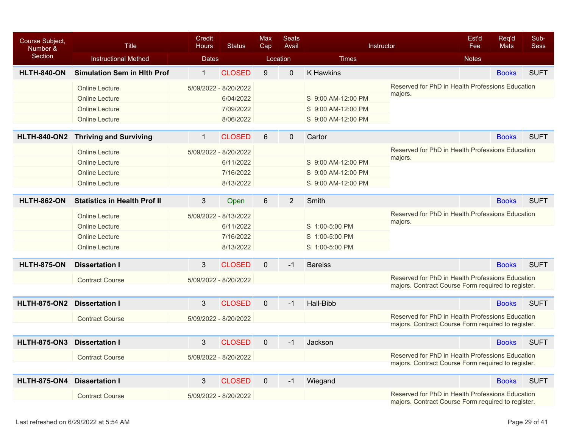| Course Subject,<br>Number & | <b>Title</b>                        | Credit<br><b>Hours</b> | <b>Status</b> | <b>Max</b><br>Cap | <b>Seats</b><br>Avail |                    | Instructor                                                                                             | Est'd<br>Fee | Reg'd<br><b>Mats</b> | Sub-<br><b>Sess</b> |
|-----------------------------|-------------------------------------|------------------------|---------------|-------------------|-----------------------|--------------------|--------------------------------------------------------------------------------------------------------|--------------|----------------------|---------------------|
| <b>Section</b>              | <b>Instructional Method</b>         | <b>Dates</b>           |               | Location          |                       | <b>Times</b>       |                                                                                                        | <b>Notes</b> |                      |                     |
| <b>HLTH-840-ON</b>          | <b>Simulation Sem in Hith Prof</b>  | $\mathbf{1}$           | <b>CLOSED</b> | 9                 | $\mathbf 0$           | <b>K</b> Hawkins   |                                                                                                        |              | <b>Books</b>         | <b>SUFT</b>         |
|                             | <b>Online Lecture</b>               | 5/09/2022 - 8/20/2022  |               |                   |                       |                    | Reserved for PhD in Health Professions Education                                                       |              |                      |                     |
|                             | <b>Online Lecture</b>               |                        | 6/04/2022     |                   |                       | S 9:00 AM-12:00 PM | majors.                                                                                                |              |                      |                     |
|                             | <b>Online Lecture</b>               |                        | 7/09/2022     |                   |                       | S 9:00 AM-12:00 PM |                                                                                                        |              |                      |                     |
|                             | <b>Online Lecture</b>               |                        | 8/06/2022     |                   |                       | S 9:00 AM-12:00 PM |                                                                                                        |              |                      |                     |
| <b>HLTH-840-ON2</b>         | <b>Thriving and Surviving</b>       | $\mathbf{1}$           | <b>CLOSED</b> | 6                 | $\mathbf 0$           | Cartor             |                                                                                                        |              | <b>Books</b>         | <b>SUFT</b>         |
|                             | <b>Online Lecture</b>               | 5/09/2022 - 8/20/2022  |               |                   |                       |                    | Reserved for PhD in Health Professions Education                                                       |              |                      |                     |
|                             | <b>Online Lecture</b>               |                        | 6/11/2022     |                   |                       | S 9:00 AM-12:00 PM | majors.                                                                                                |              |                      |                     |
|                             | <b>Online Lecture</b>               |                        | 7/16/2022     |                   |                       | S 9:00 AM-12:00 PM |                                                                                                        |              |                      |                     |
|                             | <b>Online Lecture</b>               |                        | 8/13/2022     |                   |                       | S 9:00 AM-12:00 PM |                                                                                                        |              |                      |                     |
| <b>HLTH-862-ON</b>          | <b>Statistics in Health Prof II</b> | 3                      | Open          | 6                 | 2                     | Smith              |                                                                                                        |              | <b>Books</b>         | <b>SUFT</b>         |
|                             | <b>Online Lecture</b>               | 5/09/2022 - 8/13/2022  |               |                   |                       |                    | Reserved for PhD in Health Professions Education                                                       |              |                      |                     |
|                             | <b>Online Lecture</b>               |                        | 6/11/2022     |                   |                       | S 1:00-5:00 PM     | majors.                                                                                                |              |                      |                     |
|                             | <b>Online Lecture</b>               |                        | 7/16/2022     |                   |                       | S 1:00-5:00 PM     |                                                                                                        |              |                      |                     |
|                             | <b>Online Lecture</b>               |                        | 8/13/2022     |                   |                       | S 1:00-5:00 PM     |                                                                                                        |              |                      |                     |
| <b>HLTH-875-ON</b>          | <b>Dissertation I</b>               | $\overline{3}$         | <b>CLOSED</b> | $\mathbf{0}$      | $-1$                  | <b>Bareiss</b>     |                                                                                                        |              | <b>Books</b>         | <b>SUFT</b>         |
|                             | <b>Contract Course</b>              | 5/09/2022 - 8/20/2022  |               |                   |                       |                    | Reserved for PhD in Health Professions Education<br>majors. Contract Course Form required to register. |              |                      |                     |
|                             |                                     |                        |               |                   |                       |                    |                                                                                                        |              |                      |                     |
| <b>HLTH-875-ON2</b>         | <b>Dissertation I</b>               | 3                      | <b>CLOSED</b> | $\mathbf 0$       | $-1$                  | Hall-Bibb          |                                                                                                        |              | <b>Books</b>         | <b>SUFT</b>         |
|                             | <b>Contract Course</b>              | 5/09/2022 - 8/20/2022  |               |                   |                       |                    | Reserved for PhD in Health Professions Education<br>majors. Contract Course Form required to register. |              |                      |                     |
|                             |                                     |                        |               |                   |                       |                    |                                                                                                        |              |                      |                     |
| <b>HLTH-875-ON3</b>         | <b>Dissertation I</b>               | 3                      | <b>CLOSED</b> | $\mathbf 0$       | $-1$                  | Jackson            |                                                                                                        |              | <b>Books</b>         | <b>SUFT</b>         |
|                             | <b>Contract Course</b>              | 5/09/2022 - 8/20/2022  |               |                   |                       |                    | Reserved for PhD in Health Professions Education<br>majors. Contract Course Form required to register. |              |                      |                     |
| <b>HLTH-875-ON4</b>         | <b>Dissertation I</b>               | 3                      | <b>CLOSED</b> | $\mathbf 0$       | $-1$                  | Wiegand            |                                                                                                        |              | <b>Books</b>         | <b>SUFT</b>         |
|                             | <b>Contract Course</b>              | 5/09/2022 - 8/20/2022  |               |                   |                       |                    | Reserved for PhD in Health Professions Education<br>majors. Contract Course Form required to register. |              |                      |                     |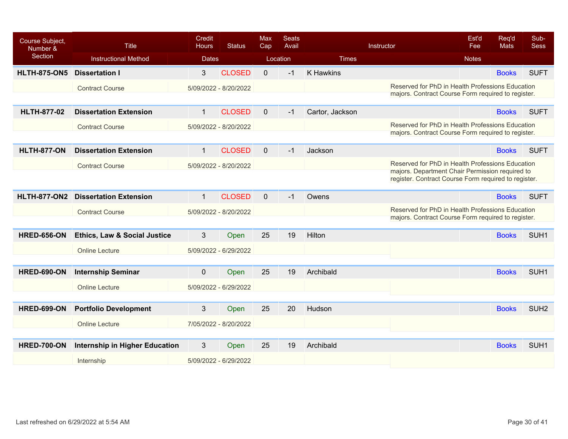| Course Subject,<br>Number & | <b>Title</b>                            | <b>Credit</b><br><b>Hours</b> | <b>Status</b> | <b>Max</b><br>Cap | <b>Seats</b><br>Avail |                  | Instructor                                                                                             | Est'd<br>Fee | Req'd<br><b>Mats</b> | Sub-<br><b>Sess</b> |
|-----------------------------|-----------------------------------------|-------------------------------|---------------|-------------------|-----------------------|------------------|--------------------------------------------------------------------------------------------------------|--------------|----------------------|---------------------|
| Section                     | <b>Instructional Method</b>             | <b>Dates</b>                  |               |                   | Location              | <b>Times</b>     |                                                                                                        | <b>Notes</b> |                      |                     |
| <b>HLTH-875-ON5</b>         | <b>Dissertation I</b>                   | 3                             | <b>CLOSED</b> | $\overline{0}$    | $-1$                  | <b>K Hawkins</b> |                                                                                                        |              | <b>Books</b>         | <b>SUFT</b>         |
|                             | <b>Contract Course</b>                  | 5/09/2022 - 8/20/2022         |               |                   |                       |                  | Reserved for PhD in Health Professions Education<br>majors. Contract Course Form required to register. |              |                      |                     |
| <b>HLTH-877-02</b>          | <b>Dissertation Extension</b>           | $\mathbf{1}$                  | <b>CLOSED</b> | 0                 | $-1$                  | Cartor, Jackson  |                                                                                                        |              | <b>Books</b>         | <b>SUFT</b>         |
|                             | <b>Contract Course</b>                  | 5/09/2022 - 8/20/2022         |               |                   |                       |                  | Reserved for PhD in Health Professions Education                                                       |              |                      |                     |
|                             |                                         |                               |               |                   |                       |                  | majors. Contract Course Form required to register.                                                     |              |                      |                     |
| <b>HLTH-877-ON</b>          | <b>Dissertation Extension</b>           | $\mathbf{1}$                  | <b>CLOSED</b> | $\Omega$          | $-1$                  | Jackson          |                                                                                                        |              | <b>Books</b>         | <b>SUFT</b>         |
|                             | <b>Contract Course</b>                  | 5/09/2022 - 8/20/2022         |               |                   |                       |                  | Reserved for PhD in Health Professions Education<br>majors. Department Chair Permission required to    |              |                      |                     |
|                             |                                         |                               |               |                   |                       |                  | register. Contract Course Form required to register.                                                   |              |                      |                     |
| <b>HLTH-877-ON2</b>         | <b>Dissertation Extension</b>           | $\mathbf{1}$                  | <b>CLOSED</b> | $\mathbf{0}$      | $-1$                  | Owens            |                                                                                                        |              | <b>Books</b>         | <b>SUFT</b>         |
|                             | <b>Contract Course</b>                  | 5/09/2022 - 8/20/2022         |               |                   |                       |                  | Reserved for PhD in Health Professions Education<br>majors. Contract Course Form required to register. |              |                      |                     |
|                             |                                         |                               |               |                   |                       |                  |                                                                                                        |              |                      |                     |
| <b>HRED-656-ON</b>          | <b>Ethics, Law &amp; Social Justice</b> | 3                             | Open          | 25                | 19                    | Hilton           |                                                                                                        |              | <b>Books</b>         | SUH <sub>1</sub>    |
|                             | <b>Online Lecture</b>                   | 5/09/2022 - 6/29/2022         |               |                   |                       |                  |                                                                                                        |              |                      |                     |
|                             |                                         |                               |               |                   |                       |                  |                                                                                                        |              |                      |                     |
| <b>HRED-690-ON</b>          | <b>Internship Seminar</b>               | $\mathbf{0}$                  | Open          | 25                | 19                    | Archibald        |                                                                                                        |              | <b>Books</b>         | SUH <sub>1</sub>    |
|                             | <b>Online Lecture</b>                   | 5/09/2022 - 6/29/2022         |               |                   |                       |                  |                                                                                                        |              |                      |                     |
|                             |                                         |                               |               |                   |                       |                  |                                                                                                        |              |                      |                     |
| <b>HRED-699-ON</b>          | <b>Portfolio Development</b>            | 3                             | Open          | 25                | 20                    | Hudson           |                                                                                                        |              | <b>Books</b>         | SUH <sub>2</sub>    |
|                             | <b>Online Lecture</b>                   | 7/05/2022 - 8/20/2022         |               |                   |                       |                  |                                                                                                        |              |                      |                     |
|                             |                                         |                               |               |                   |                       |                  |                                                                                                        |              |                      |                     |
| <b>HRED-700-ON</b>          | <b>Internship in Higher Education</b>   | 3                             | Open          | 25                | 19                    | Archibald        |                                                                                                        |              | <b>Books</b>         | SUH <sub>1</sub>    |
|                             | Internship                              | 5/09/2022 - 6/29/2022         |               |                   |                       |                  |                                                                                                        |              |                      |                     |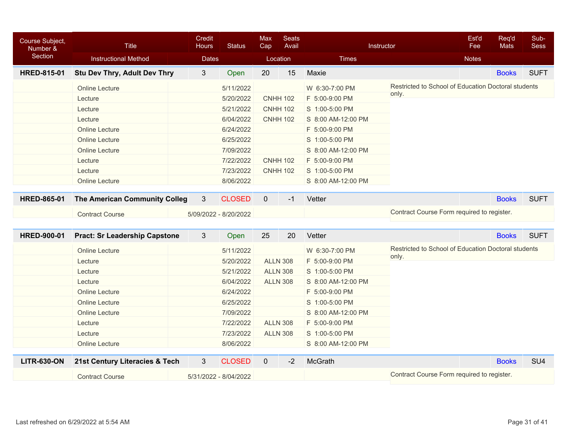| Course Subject,<br>Number & | <b>Title</b>                         | Credit<br><b>Hours</b> | <b>Status</b>         | <b>Max</b><br>Cap | <b>Seats</b><br>Avail |                    | Instructor                                          | Est'd<br>Fee | Req'd<br>Mats | Sub-<br><b>Sess</b> |
|-----------------------------|--------------------------------------|------------------------|-----------------------|-------------------|-----------------------|--------------------|-----------------------------------------------------|--------------|---------------|---------------------|
| Section                     | <b>Instructional Method</b>          | <b>Dates</b>           |                       |                   | Location              | <b>Times</b>       |                                                     | <b>Notes</b> |               |                     |
| <b>HRED-815-01</b>          | <b>Stu Dev Thry, Adult Dev Thry</b>  | 3                      | Open                  | 20                | 15                    | Maxie              |                                                     |              | <b>Books</b>  | <b>SUFT</b>         |
|                             | <b>Online Lecture</b>                |                        | 5/11/2022             |                   |                       | W 6:30-7:00 PM     | Restricted to School of Education Doctoral students |              |               |                     |
|                             | Lecture                              |                        | 5/20/2022             |                   | <b>CNHH 102</b>       | F 5:00-9:00 PM     | only.                                               |              |               |                     |
|                             | Lecture                              |                        | 5/21/2022             |                   | <b>CNHH 102</b>       | S 1:00-5:00 PM     |                                                     |              |               |                     |
|                             | Lecture                              |                        | 6/04/2022             |                   | <b>CNHH 102</b>       | S 8:00 AM-12:00 PM |                                                     |              |               |                     |
|                             | <b>Online Lecture</b>                |                        | 6/24/2022             |                   |                       | F 5:00-9:00 PM     |                                                     |              |               |                     |
|                             | <b>Online Lecture</b>                |                        | 6/25/2022             |                   |                       | S 1:00-5:00 PM     |                                                     |              |               |                     |
|                             | <b>Online Lecture</b>                |                        | 7/09/2022             |                   |                       | S 8:00 AM-12:00 PM |                                                     |              |               |                     |
|                             | Lecture                              |                        | 7/22/2022             |                   | <b>CNHH 102</b>       | F 5:00-9:00 PM     |                                                     |              |               |                     |
|                             | Lecture                              |                        | 7/23/2022             |                   | <b>CNHH 102</b>       | S 1:00-5:00 PM     |                                                     |              |               |                     |
|                             | <b>Online Lecture</b>                |                        | 8/06/2022             |                   |                       | S 8:00 AM-12:00 PM |                                                     |              |               |                     |
| <b>HRED-865-01</b>          | The American Community Colleg        | 3                      | <b>CLOSED</b>         | $\mathbf 0$       | $-1$                  | Vetter             |                                                     |              | <b>Books</b>  | <b>SUFT</b>         |
|                             | <b>Contract Course</b>               |                        | 5/09/2022 - 8/20/2022 |                   |                       |                    | Contract Course Form required to register.          |              |               |                     |
|                             |                                      |                        |                       |                   |                       |                    |                                                     |              |               |                     |
| <b>HRED-900-01</b>          | <b>Pract: Sr Leadership Capstone</b> | 3                      | Open                  | 25                | 20                    | Vetter             |                                                     |              | <b>Books</b>  | <b>SUFT</b>         |
|                             | <b>Online Lecture</b>                |                        | 5/11/2022             |                   |                       | W 6:30-7:00 PM     | Restricted to School of Education Doctoral students |              |               |                     |
|                             | Lecture                              |                        | 5/20/2022             |                   | <b>ALLN 308</b>       | F 5:00-9:00 PM     | only.                                               |              |               |                     |
|                             | Lecture                              |                        | 5/21/2022             |                   | <b>ALLN 308</b>       | S 1:00-5:00 PM     |                                                     |              |               |                     |
|                             | Lecture                              |                        | 6/04/2022             |                   | <b>ALLN 308</b>       | S 8:00 AM-12:00 PM |                                                     |              |               |                     |
|                             | <b>Online Lecture</b>                |                        | 6/24/2022             |                   |                       | F 5:00-9:00 PM     |                                                     |              |               |                     |
|                             | <b>Online Lecture</b>                |                        | 6/25/2022             |                   |                       | S 1:00-5:00 PM     |                                                     |              |               |                     |
|                             | <b>Online Lecture</b>                |                        | 7/09/2022             |                   |                       | S 8:00 AM-12:00 PM |                                                     |              |               |                     |
|                             | Lecture                              |                        | 7/22/2022             |                   | <b>ALLN 308</b>       | F 5:00-9:00 PM     |                                                     |              |               |                     |
|                             | Lecture                              |                        | 7/23/2022             |                   | <b>ALLN 308</b>       | S 1:00-5:00 PM     |                                                     |              |               |                     |
|                             | <b>Online Lecture</b>                |                        | 8/06/2022             |                   |                       | S 8:00 AM-12:00 PM |                                                     |              |               |                     |
| <b>LITR-630-ON</b>          | 21st Century Literacies & Tech       | $\mathfrak{S}$         | <b>CLOSED</b>         | $\mathbf 0$       | $-2$                  | McGrath            |                                                     |              | <b>Books</b>  | SU <sub>4</sub>     |
|                             | <b>Contract Course</b>               |                        | 5/31/2022 - 8/04/2022 |                   |                       |                    | Contract Course Form required to register.          |              |               |                     |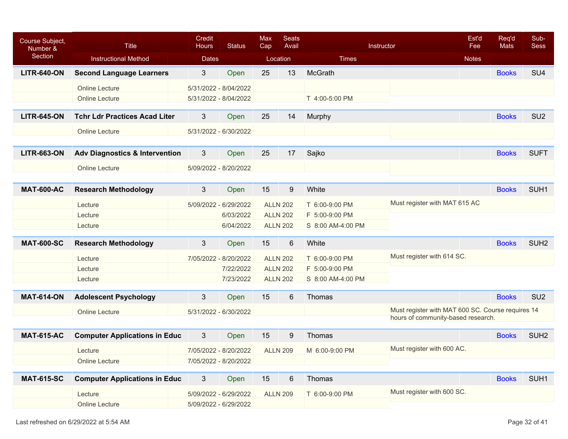| Course Subject,<br>Number & | <b>Title</b>                              | Credit<br><b>Hours</b> | <b>Status</b> | Max<br>Cap | <b>Seats</b><br>Avail |                   | Instructor                                        | Est'd<br>Fee | Req'd<br><b>Mats</b> | Sub-<br><b>Sess</b> |
|-----------------------------|-------------------------------------------|------------------------|---------------|------------|-----------------------|-------------------|---------------------------------------------------|--------------|----------------------|---------------------|
| Section                     | <b>Instructional Method</b>               | <b>Dates</b>           |               |            | Location              | <b>Times</b>      |                                                   | <b>Notes</b> |                      |                     |
| <b>LITR-640-ON</b>          | <b>Second Language Learners</b>           | 3                      | Open          | 25         | 13                    | McGrath           |                                                   |              | <b>Books</b>         | SU <sub>4</sub>     |
|                             | <b>Online Lecture</b>                     | 5/31/2022 - 8/04/2022  |               |            |                       |                   |                                                   |              |                      |                     |
|                             | <b>Online Lecture</b>                     | 5/31/2022 - 8/04/2022  |               |            |                       | T 4:00-5:00 PM    |                                                   |              |                      |                     |
| <b>LITR-645-ON</b>          | <b>Tchr Ldr Practices Acad Liter</b>      | 3                      | Open          | 25         | 14                    | Murphy            |                                                   |              | <b>Books</b>         | SU <sub>2</sub>     |
|                             | <b>Online Lecture</b>                     | 5/31/2022 - 6/30/2022  |               |            |                       |                   |                                                   |              |                      |                     |
| <b>LITR-663-ON</b>          | <b>Adv Diagnostics &amp; Intervention</b> | 3                      | Open          | 25         | 17                    | Sajko             |                                                   |              | <b>Books</b>         | <b>SUFT</b>         |
|                             | <b>Online Lecture</b>                     | 5/09/2022 - 8/20/2022  |               |            |                       |                   |                                                   |              |                      |                     |
|                             |                                           |                        |               |            |                       |                   |                                                   |              |                      |                     |
| <b>MAT-600-AC</b>           | <b>Research Methodology</b>               | 3                      | Open          | 15         | 9                     | White             |                                                   |              | <b>Books</b>         | SUH <sub>1</sub>    |
|                             | Lecture                                   | 5/09/2022 - 6/29/2022  |               |            | <b>ALLN 202</b>       | T 6:00-9:00 PM    | Must register with MAT 615 AC                     |              |                      |                     |
|                             | Lecture                                   |                        | 6/03/2022     |            | <b>ALLN 202</b>       | F 5:00-9:00 PM    |                                                   |              |                      |                     |
|                             | Lecture                                   |                        | 6/04/2022     |            | <b>ALLN 202</b>       | S 8:00 AM-4:00 PM |                                                   |              |                      |                     |
| <b>MAT-600-SC</b>           | <b>Research Methodology</b>               | 3                      | Open          | 15         | 6                     | White             |                                                   |              | <b>Books</b>         | SUH <sub>2</sub>    |
|                             | Lecture                                   | 7/05/2022 - 8/20/2022  |               |            | <b>ALLN 202</b>       | T 6:00-9:00 PM    | Must register with 614 SC.                        |              |                      |                     |
|                             | Lecture                                   |                        | 7/22/2022     |            | <b>ALLN 202</b>       | F 5:00-9:00 PM    |                                                   |              |                      |                     |
|                             | Lecture                                   |                        | 7/23/2022     |            | <b>ALLN 202</b>       | S 8:00 AM-4:00 PM |                                                   |              |                      |                     |
| <b>MAT-614-ON</b>           | <b>Adolescent Psychology</b>              | 3                      | Open          | 15         | 6                     | Thomas            |                                                   |              | <b>Books</b>         | SU <sub>2</sub>     |
|                             | <b>Online Lecture</b>                     | 5/31/2022 - 6/30/2022  |               |            |                       |                   | Must register with MAT 600 SC. Course requires 14 |              |                      |                     |
|                             |                                           |                        |               |            |                       |                   | hours of community-based research.                |              |                      |                     |
| <b>MAT-615-AC</b>           | <b>Computer Applications in Educ</b>      | 3                      | Open          | 15         | 9                     | Thomas            |                                                   |              | <b>Books</b>         | SUH <sub>2</sub>    |
|                             | Lecture                                   | 7/05/2022 - 8/20/2022  |               |            | <b>ALLN 209</b>       | M 6:00-9:00 PM    | Must register with 600 AC.                        |              |                      |                     |
|                             | <b>Online Lecture</b>                     | 7/05/2022 - 8/20/2022  |               |            |                       |                   |                                                   |              |                      |                     |
| <b>MAT-615-SC</b>           | <b>Computer Applications in Educ</b>      | 3                      | Open          | 15         | $6\phantom{1}6$       | Thomas            |                                                   |              | <b>Books</b>         | SUH <sub>1</sub>    |
|                             | Lecture                                   | 5/09/2022 - 6/29/2022  |               |            | <b>ALLN 209</b>       | T 6:00-9:00 PM    | Must register with 600 SC.                        |              |                      |                     |
|                             | Online Lecture                            | 5/09/2022 - 6/29/2022  |               |            |                       |                   |                                                   |              |                      |                     |
|                             |                                           |                        |               |            |                       |                   |                                                   |              |                      |                     |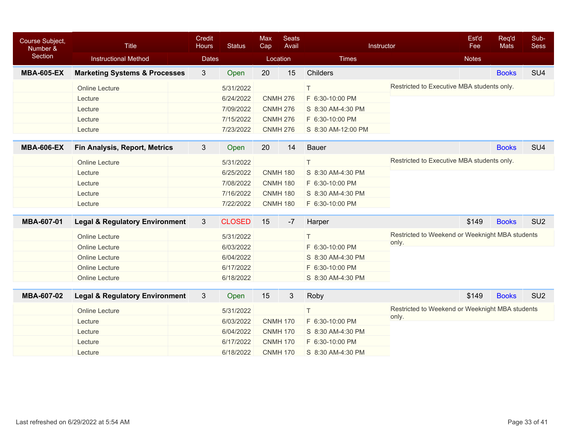| <b>Course Subject,</b><br>Number & | <b>Title</b>                              | Credit<br><b>Status</b><br><b>Hours</b> |               | Max<br>Cap | <b>Seats</b><br>Avail |                    | Instructor                                               | Est'd<br>Fee | Req'd<br><b>Mats</b> | Sub-<br><b>Sess</b> |
|------------------------------------|-------------------------------------------|-----------------------------------------|---------------|------------|-----------------------|--------------------|----------------------------------------------------------|--------------|----------------------|---------------------|
| Section                            | <b>Instructional Method</b>               | <b>Dates</b>                            |               |            | Location              | <b>Times</b>       |                                                          | <b>Notes</b> |                      |                     |
| <b>MBA-605-EX</b>                  | <b>Marketing Systems &amp; Processes</b>  | $\mathbf{3}$                            | Open          | 20         | 15                    | Childers           |                                                          |              | <b>Books</b>         | SU <sub>4</sub>     |
|                                    | <b>Online Lecture</b>                     |                                         | 5/31/2022     |            |                       | $\top$             | Restricted to Executive MBA students only.               |              |                      |                     |
|                                    | Lecture                                   |                                         | 6/24/2022     |            | <b>CNMH 276</b>       | F 6:30-10:00 PM    |                                                          |              |                      |                     |
|                                    | Lecture                                   |                                         | 7/09/2022     |            | <b>CNMH 276</b>       | S 8:30 AM-4:30 PM  |                                                          |              |                      |                     |
|                                    | Lecture                                   |                                         | 7/15/2022     |            | <b>CNMH 276</b>       | F 6:30-10:00 PM    |                                                          |              |                      |                     |
|                                    | Lecture                                   |                                         | 7/23/2022     |            | <b>CNMH 276</b>       | S 8:30 AM-12:00 PM |                                                          |              |                      |                     |
|                                    |                                           |                                         |               |            |                       |                    |                                                          |              |                      |                     |
| <b>MBA-606-EX</b>                  | <b>Fin Analysis, Report, Metrics</b>      | $3\overline{3}$                         | Open          | 20         | 14                    | <b>Bauer</b>       |                                                          |              | <b>Books</b>         | SU <sub>4</sub>     |
|                                    | <b>Online Lecture</b>                     |                                         | 5/31/2022     |            |                       | $\top$             | Restricted to Executive MBA students only.               |              |                      |                     |
|                                    | Lecture                                   |                                         | 6/25/2022     |            | <b>CNMH 180</b>       | S 8:30 AM-4:30 PM  |                                                          |              |                      |                     |
|                                    | Lecture                                   |                                         | 7/08/2022     |            | <b>CNMH 180</b>       | F 6:30-10:00 PM    |                                                          |              |                      |                     |
|                                    | Lecture                                   |                                         | 7/16/2022     |            | <b>CNMH 180</b>       | S 8:30 AM-4:30 PM  |                                                          |              |                      |                     |
|                                    | Lecture                                   |                                         | 7/22/2022     |            | <b>CNMH 180</b>       | F 6:30-10:00 PM    |                                                          |              |                      |                     |
| MBA-607-01                         |                                           | 3                                       | <b>CLOSED</b> | 15         | $-7$                  |                    |                                                          | \$149        | <b>Books</b>         | SU <sub>2</sub>     |
|                                    | <b>Legal &amp; Regulatory Environment</b> |                                         |               |            |                       | Harper             |                                                          |              |                      |                     |
|                                    | <b>Online Lecture</b>                     |                                         | 5/31/2022     |            |                       | T.                 | Restricted to Weekend or Weeknight MBA students          |              |                      |                     |
|                                    | <b>Online Lecture</b>                     |                                         | 6/03/2022     |            |                       | F 6:30-10:00 PM    | only.                                                    |              |                      |                     |
|                                    | <b>Online Lecture</b>                     |                                         | 6/04/2022     |            |                       | S 8:30 AM-4:30 PM  |                                                          |              |                      |                     |
|                                    | <b>Online Lecture</b>                     |                                         | 6/17/2022     |            |                       | F 6:30-10:00 PM    |                                                          |              |                      |                     |
|                                    | <b>Online Lecture</b>                     |                                         | 6/18/2022     |            |                       | S 8:30 AM-4:30 PM  |                                                          |              |                      |                     |
| MBA-607-02                         | <b>Legal &amp; Regulatory Environment</b> | $\mathfrak{S}$                          | Open          | 15         | $\mathfrak{B}$        | Roby               |                                                          | \$149        | <b>Books</b>         | SU <sub>2</sub>     |
|                                    |                                           |                                         |               |            |                       |                    |                                                          |              |                      |                     |
|                                    | Online Lecture                            |                                         | 5/31/2022     |            |                       | T.                 | Restricted to Weekend or Weeknight MBA students<br>only. |              |                      |                     |
|                                    | Lecture                                   |                                         | 6/03/2022     |            | <b>CNMH 170</b>       | F 6:30-10:00 PM    |                                                          |              |                      |                     |
|                                    | Lecture                                   |                                         | 6/04/2022     |            | <b>CNMH 170</b>       | S 8:30 AM-4:30 PM  |                                                          |              |                      |                     |
|                                    | Lecture                                   |                                         | 6/17/2022     |            | <b>CNMH 170</b>       | F 6:30-10:00 PM    |                                                          |              |                      |                     |
|                                    | Lecture                                   |                                         | 6/18/2022     |            | <b>CNMH 170</b>       | S 8:30 AM-4:30 PM  |                                                          |              |                      |                     |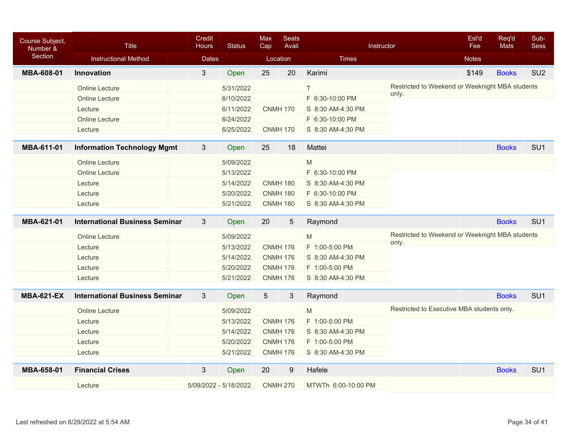| Course Subject,<br>Number & | <b>Title</b>                          | Credit<br><b>Hours</b> | <b>Status</b> | Max<br>Cap      | <b>Seats</b><br>Avail |                                   | Instructor                                               | Est'd<br>Fee | Req'd<br>Mats | Sub-<br><b>Sess</b> |
|-----------------------------|---------------------------------------|------------------------|---------------|-----------------|-----------------------|-----------------------------------|----------------------------------------------------------|--------------|---------------|---------------------|
| Section                     | <b>Instructional Method</b>           | <b>Dates</b>           |               |                 | Location              | <b>Times</b>                      |                                                          | <b>Notes</b> |               |                     |
| MBA-608-01                  | Innovation                            | 3                      | Open          | 25              | 20                    | Karimi                            |                                                          | \$149        | <b>Books</b>  | SU <sub>2</sub>     |
|                             | <b>Online Lecture</b>                 |                        | 5/31/2022     |                 |                       | Τ                                 | Restricted to Weekend or Weeknight MBA students          |              |               |                     |
|                             | <b>Online Lecture</b>                 |                        | 6/10/2022     |                 |                       | F 6:30-10:00 PM                   | only.                                                    |              |               |                     |
|                             | Lecture                               |                        | 6/11/2022     |                 | <b>CNMH 170</b>       | S 8:30 AM-4:30 PM                 |                                                          |              |               |                     |
|                             | <b>Online Lecture</b>                 |                        | 6/24/2022     |                 |                       | F 6:30-10:00 PM                   |                                                          |              |               |                     |
|                             | Lecture                               |                        | 6/25/2022     |                 | <b>CNMH 170</b>       | S 8:30 AM-4:30 PM                 |                                                          |              |               |                     |
| MBA-611-01                  | <b>Information Technology Mgmt</b>    | $\mathfrak{S}$         | Open          | 25              | 18                    | Mattei                            |                                                          |              | <b>Books</b>  | SU <sub>1</sub>     |
|                             | <b>Online Lecture</b>                 |                        | 5/09/2022     |                 |                       | $\mathsf{M}% _{H}=\mathsf{M}_{H}$ |                                                          |              |               |                     |
|                             | <b>Online Lecture</b>                 |                        | 5/13/2022     |                 |                       | F 6:30-10:00 PM                   |                                                          |              |               |                     |
|                             | Lecture                               |                        | 5/14/2022     |                 | <b>CNMH 180</b>       | S 8:30 AM-4:30 PM                 |                                                          |              |               |                     |
|                             | Lecture                               |                        | 5/20/2022     |                 | <b>CNMH 180</b>       | F 6:30-10:00 PM                   |                                                          |              |               |                     |
|                             | Lecture                               |                        | 5/21/2022     |                 | <b>CNMH 180</b>       | S 8:30 AM-4:30 PM                 |                                                          |              |               |                     |
| MBA-621-01                  | <b>International Business Seminar</b> | $\mathfrak{S}$         | Open          | 20              | 5                     | Raymond                           |                                                          |              | <b>Books</b>  | SU <sub>1</sub>     |
|                             |                                       |                        |               |                 |                       |                                   |                                                          |              |               |                     |
|                             | <b>Online Lecture</b>                 |                        | 5/09/2022     |                 |                       | M                                 | Restricted to Weekend or Weeknight MBA students<br>only. |              |               |                     |
|                             | Lecture                               |                        | 5/13/2022     |                 | <b>CNMH 176</b>       | F 1:00-5:00 PM                    |                                                          |              |               |                     |
|                             | Lecture                               |                        | 5/14/2022     |                 | <b>CNMH 176</b>       | S 8:30 AM-4:30 PM                 |                                                          |              |               |                     |
|                             | Lecture                               |                        | 5/20/2022     |                 | <b>CNMH 176</b>       | F 1:00-5:00 PM                    |                                                          |              |               |                     |
|                             | Lecture                               |                        | 5/21/2022     |                 | <b>CNMH 176</b>       | S 8:30 AM-4:30 PM                 |                                                          |              |               |                     |
| <b>MBA-621-EX</b>           | <b>International Business Seminar</b> | $\mathbf{3}$           | Open          | $5\overline{)}$ | 3                     | Raymond                           |                                                          |              | <b>Books</b>  | SU <sub>1</sub>     |
|                             | <b>Online Lecture</b>                 |                        | 5/09/2022     |                 |                       | M                                 | Restricted to Executive MBA students only.               |              |               |                     |
|                             | Lecture                               |                        | 5/13/2022     |                 | <b>CNMH 176</b>       | F 1:00-5:00 PM                    |                                                          |              |               |                     |
|                             | Lecture                               |                        | 5/14/2022     |                 | <b>CNMH 176</b>       | S 8:30 AM-4:30 PM                 |                                                          |              |               |                     |
|                             | Lecture                               |                        | 5/20/2022     |                 | <b>CNMH 176</b>       | F 1:00-5:00 PM                    |                                                          |              |               |                     |
|                             | Lecture                               |                        | 5/21/2022     |                 | <b>CNMH 176</b>       | S 8:30 AM-4:30 PM                 |                                                          |              |               |                     |
| MBA-658-01                  | <b>Financial Crises</b>               | 3                      | Open          | 20              | 9                     | Hafele                            |                                                          |              | <b>Books</b>  | SU <sub>1</sub>     |
|                             | Lecture                               | 5/09/2022 - 5/18/2022  |               |                 | <b>CNMH 270</b>       | MTWTh 6:00-10:00 PM               |                                                          |              |               |                     |
|                             |                                       |                        |               |                 |                       |                                   |                                                          |              |               |                     |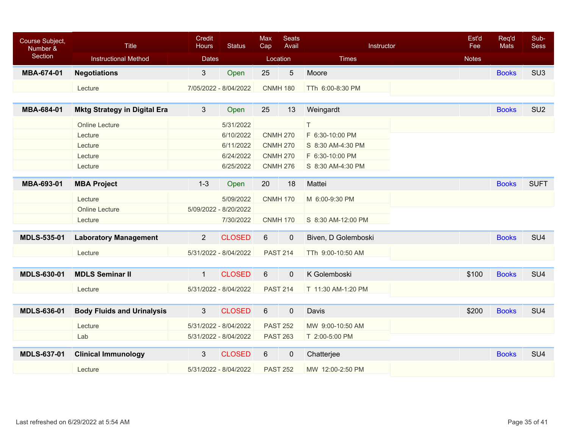| Course Subject,<br>Number &<br>Section | Title<br><b>Instructional Method</b> | Credit<br><b>Hours</b><br><b>Dates</b> | <b>Status</b>         | <b>Max</b><br>Cap<br>Location | <b>Seats</b><br>Avail | Instructor<br><b>Times</b> | Est'd<br>Fee<br><b>Notes</b> | Req'd<br><b>Mats</b> | Sub-<br><b>Sess</b> |
|----------------------------------------|--------------------------------------|----------------------------------------|-----------------------|-------------------------------|-----------------------|----------------------------|------------------------------|----------------------|---------------------|
|                                        |                                      |                                        |                       |                               |                       |                            |                              |                      |                     |
| MBA-674-01                             | <b>Negotiations</b>                  | $\mathbf{3}$                           | Open                  | 25                            | $\overline{5}$        | Moore                      |                              | <b>Books</b>         | SU <sub>3</sub>     |
|                                        | Lecture                              | 7/05/2022 - 8/04/2022                  |                       |                               | <b>CNMH 180</b>       | TTh 6:00-8:30 PM           |                              |                      |                     |
|                                        |                                      |                                        |                       |                               |                       |                            |                              |                      |                     |
| MBA-684-01                             | <b>Mktg Strategy in Digital Era</b>  | 3                                      | Open                  | 25                            | 13                    | Weingardt                  |                              | <b>Books</b>         | SU <sub>2</sub>     |
|                                        | <b>Online Lecture</b>                |                                        | 5/31/2022             |                               |                       | T.                         |                              |                      |                     |
|                                        | Lecture                              |                                        | 6/10/2022             |                               | <b>CNMH 270</b>       | F 6:30-10:00 PM            |                              |                      |                     |
|                                        | Lecture                              |                                        | 6/11/2022             |                               | <b>CNMH 270</b>       | S 8:30 AM-4:30 PM          |                              |                      |                     |
|                                        | Lecture                              |                                        | 6/24/2022             |                               | <b>CNMH 270</b>       | F 6:30-10:00 PM            |                              |                      |                     |
|                                        | Lecture                              |                                        | 6/25/2022             |                               | <b>CNMH 276</b>       | S 8:30 AM-4:30 PM          |                              |                      |                     |
| MBA-693-01                             | <b>MBA Project</b>                   | $1 - 3$                                | Open                  | 20                            | 18                    | Mattei                     |                              | <b>Books</b>         | <b>SUFT</b>         |
|                                        |                                      |                                        |                       |                               |                       |                            |                              |                      |                     |
|                                        | Lecture                              |                                        | 5/09/2022             |                               | <b>CNMH 170</b>       | M 6:00-9:30 PM             |                              |                      |                     |
|                                        | <b>Online Lecture</b>                | 5/09/2022 - 8/20/2022                  |                       |                               |                       |                            |                              |                      |                     |
|                                        | Lecture                              |                                        | 7/30/2022             |                               | <b>CNMH 170</b>       | S 8:30 AM-12:00 PM         |                              |                      |                     |
| <b>MDLS-535-01</b>                     | <b>Laboratory Management</b>         | $\overline{2}$                         | <b>CLOSED</b>         | 6                             | $\mathbf 0$           | Biven, D Golemboski        |                              | <b>Books</b>         | SU <sub>4</sub>     |
|                                        | Lecture                              | 5/31/2022 - 8/04/2022                  |                       |                               | <b>PAST 214</b>       | TTh 9:00-10:50 AM          |                              |                      |                     |
|                                        |                                      |                                        |                       |                               |                       |                            |                              |                      |                     |
| <b>MDLS-630-01</b>                     | <b>MDLS Seminar II</b>               | $\mathbf{1}$                           | <b>CLOSED</b>         | 6                             | $\pmb{0}$             | K Golemboski               | \$100                        | <b>Books</b>         | SU <sub>4</sub>     |
|                                        | Lecture                              |                                        | 5/31/2022 - 8/04/2022 |                               | <b>PAST 214</b>       | T 11:30 AM-1:20 PM         |                              |                      |                     |
|                                        |                                      |                                        |                       |                               |                       |                            |                              |                      |                     |
| <b>MDLS-636-01</b>                     | <b>Body Fluids and Urinalysis</b>    | $\mathbf{3}$                           | <b>CLOSED</b>         | 6                             | $\mathbf 0$           | Davis                      | \$200                        | <b>Books</b>         | SU <sub>4</sub>     |
|                                        | Lecture                              | 5/31/2022 - 8/04/2022                  |                       |                               | <b>PAST 252</b>       | MW 9:00-10:50 AM           |                              |                      |                     |
|                                        | Lab                                  |                                        | 5/31/2022 - 8/04/2022 |                               | <b>PAST 263</b>       | T 2:00-5:00 PM             |                              |                      |                     |
|                                        |                                      |                                        |                       |                               |                       |                            |                              |                      |                     |
| <b>MDLS-637-01</b>                     | <b>Clinical Immunology</b>           | 3                                      | <b>CLOSED</b>         | $6\phantom{.}$                | $\pmb{0}$             | Chatterjee                 |                              | <b>Books</b>         | SU <sub>4</sub>     |
|                                        | Lecture                              | 5/31/2022 - 8/04/2022                  |                       |                               | <b>PAST 252</b>       | MW 12:00-2:50 PM           |                              |                      |                     |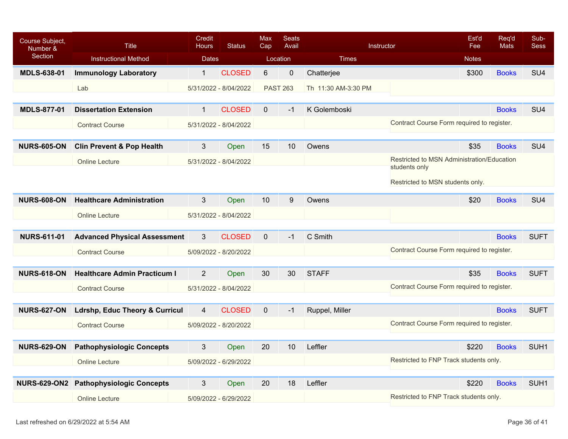| Course Subject,<br>Number &<br>Section | <b>Title</b><br><b>Instructional Method</b> | <b>Credit</b><br><b>Hours</b><br><b>Dates</b> | <b>Status</b>         | <b>Max</b><br>Cap | Seats<br>Avail<br>Location | Times               | Instructor                                                  | Est'd<br>Fee<br><b>Notes</b> | Req'd<br><b>Mats</b> | Sub-<br><b>Sess</b> |
|----------------------------------------|---------------------------------------------|-----------------------------------------------|-----------------------|-------------------|----------------------------|---------------------|-------------------------------------------------------------|------------------------------|----------------------|---------------------|
| <b>MDLS-638-01</b>                     | <b>Immunology Laboratory</b>                | $\mathbf{1}$                                  | <b>CLOSED</b>         | 6                 | $\mathbf 0$                | Chatterjee          |                                                             | \$300                        | <b>Books</b>         | SU <sub>4</sub>     |
|                                        | Lab                                         |                                               | 5/31/2022 - 8/04/2022 |                   | <b>PAST 263</b>            | Th 11:30 AM-3:30 PM |                                                             |                              |                      |                     |
| <b>MDLS-877-01</b>                     | <b>Dissertation Extension</b>               | $\mathbf{1}$                                  | <b>CLOSED</b>         | $\mathbf{0}$      | $-1$                       | K Golemboski        |                                                             |                              | <b>Books</b>         | SU <sub>4</sub>     |
|                                        |                                             |                                               |                       |                   |                            |                     | Contract Course Form required to register.                  |                              |                      |                     |
|                                        | <b>Contract Course</b>                      |                                               | 5/31/2022 - 8/04/2022 |                   |                            |                     |                                                             |                              |                      |                     |
| <b>NURS-605-ON</b>                     | <b>Clin Prevent &amp; Pop Health</b>        | 3                                             | Open                  | 15                | 10 <sup>°</sup>            | Owens               |                                                             | \$35                         | <b>Books</b>         | SU <sub>4</sub>     |
|                                        | <b>Online Lecture</b>                       |                                               | 5/31/2022 - 8/04/2022 |                   |                            |                     | Restricted to MSN Administration/Education<br>students only |                              |                      |                     |
|                                        |                                             |                                               |                       |                   |                            |                     |                                                             |                              |                      |                     |
|                                        |                                             |                                               |                       |                   |                            |                     | Restricted to MSN students only.                            |                              |                      |                     |
| <b>NURS-608-ON</b>                     | <b>Healthcare Administration</b>            | 3                                             | Open                  | 10                | 9                          | Owens               |                                                             | \$20                         | <b>Books</b>         | SU <sub>4</sub>     |
|                                        | <b>Online Lecture</b>                       |                                               | 5/31/2022 - 8/04/2022 |                   |                            |                     |                                                             |                              |                      |                     |
| <b>NURS-611-01</b>                     | <b>Advanced Physical Assessment</b>         | 3                                             | <b>CLOSED</b>         | $\overline{0}$    | $-1$                       | C Smith             |                                                             |                              | <b>Books</b>         | <b>SUFT</b>         |
|                                        | <b>Contract Course</b>                      |                                               | 5/09/2022 - 8/20/2022 |                   |                            |                     | Contract Course Form required to register.                  |                              |                      |                     |
|                                        |                                             |                                               |                       |                   |                            |                     |                                                             |                              |                      |                     |
| <b>NURS-618-ON</b>                     | <b>Healthcare Admin Practicum I</b>         | $\overline{2}$                                | Open                  | 30                | 30                         | <b>STAFF</b>        |                                                             | \$35                         | <b>Books</b>         | <b>SUFT</b>         |
|                                        | <b>Contract Course</b>                      |                                               | 5/31/2022 - 8/04/2022 |                   |                            |                     | Contract Course Form required to register.                  |                              |                      |                     |
|                                        |                                             |                                               |                       |                   |                            |                     |                                                             |                              |                      |                     |
| <b>NURS-627-ON</b>                     | <b>Ldrshp, Educ Theory &amp; Curricul</b>   | $\overline{4}$                                | <b>CLOSED</b>         | $\overline{0}$    | $-1$                       | Ruppel, Miller      |                                                             |                              | <b>Books</b>         | <b>SUFT</b>         |
|                                        | <b>Contract Course</b>                      |                                               | 5/09/2022 - 8/20/2022 |                   |                            |                     | Contract Course Form required to register.                  |                              |                      |                     |
| <b>NURS-629-ON</b>                     | <b>Pathophysiologic Concepts</b>            | 3                                             | Open                  | 20                | 10                         | Leffler             |                                                             | \$220                        | <b>Books</b>         | SUH <sub>1</sub>    |
|                                        | <b>Online Lecture</b>                       |                                               | 5/09/2022 - 6/29/2022 |                   |                            |                     | Restricted to FNP Track students only.                      |                              |                      |                     |
|                                        |                                             |                                               |                       |                   |                            |                     |                                                             |                              |                      |                     |
|                                        | NURS-629-ON2 Pathophysiologic Concepts      | 3                                             | Open                  | 20                | 18                         | Leffler             |                                                             | \$220                        | <b>Books</b>         | SUH <sub>1</sub>    |
|                                        | <b>Online Lecture</b>                       |                                               | 5/09/2022 - 6/29/2022 |                   |                            |                     | Restricted to FNP Track students only.                      |                              |                      |                     |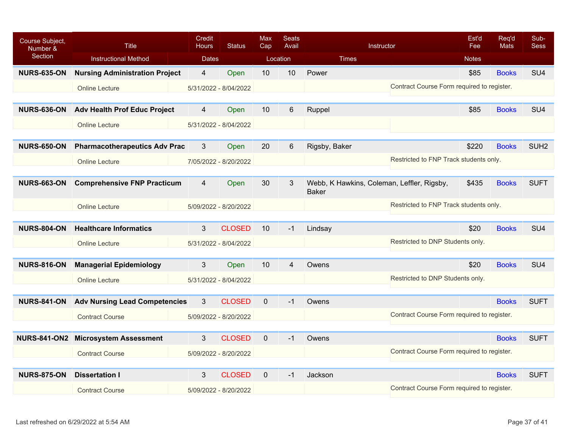| Course Subject,<br>Number & | <b>Title</b>                          | Credit<br><b>Hours</b> | <b>Status</b>         | <b>Max</b><br>Cap | <b>Seats</b><br>Avail | Instructor                                                 | Est'd<br>Fee                               | Reg'd<br><b>Mats</b> | Sub-<br><b>Sess</b> |
|-----------------------------|---------------------------------------|------------------------|-----------------------|-------------------|-----------------------|------------------------------------------------------------|--------------------------------------------|----------------------|---------------------|
| Section                     | <b>Instructional Method</b>           | <b>Dates</b>           |                       |                   | Location              | <b>Times</b>                                               | <b>Notes</b>                               |                      |                     |
| <b>NURS-635-ON</b>          | <b>Nursing Administration Project</b> | 4                      | Open                  | 10                | 10                    | Power                                                      | \$85                                       | <b>Books</b>         | SU <sub>4</sub>     |
|                             | <b>Online Lecture</b>                 |                        | 5/31/2022 - 8/04/2022 |                   |                       |                                                            | Contract Course Form required to register. |                      |                     |
|                             |                                       |                        |                       |                   |                       |                                                            |                                            |                      |                     |
| <b>NURS-636-ON</b>          | <b>Adv Health Prof Educ Project</b>   | 4                      | Open                  | 10                | 6                     | Ruppel                                                     | \$85                                       | <b>Books</b>         | SU <sub>4</sub>     |
|                             | <b>Online Lecture</b>                 |                        | 5/31/2022 - 8/04/2022 |                   |                       |                                                            |                                            |                      |                     |
|                             |                                       |                        |                       |                   |                       |                                                            |                                            |                      |                     |
| <b>NURS-650-ON</b>          | <b>Pharmacotherapeutics Adv Prac</b>  | 3                      | Open                  | 20                | 6                     | Rigsby, Baker                                              | \$220                                      | <b>Books</b>         | SUH <sub>2</sub>    |
|                             | <b>Online Lecture</b>                 |                        | 7/05/2022 - 8/20/2022 |                   |                       |                                                            | Restricted to FNP Track students only.     |                      |                     |
|                             |                                       |                        |                       |                   |                       |                                                            |                                            |                      |                     |
| <b>NURS-663-ON</b>          | <b>Comprehensive FNP Practicum</b>    | 4                      | Open                  | 30                | 3                     | Webb, K Hawkins, Coleman, Leffler, Rigsby,<br><b>Baker</b> | \$435                                      | <b>Books</b>         | <b>SUFT</b>         |
|                             | <b>Online Lecture</b>                 |                        | 5/09/2022 - 8/20/2022 |                   |                       |                                                            | Restricted to FNP Track students only.     |                      |                     |
|                             |                                       |                        |                       |                   |                       |                                                            |                                            |                      |                     |
| <b>NURS-804-ON</b>          | <b>Healthcare Informatics</b>         | 3                      | <b>CLOSED</b>         | 10                | $-1$                  | Lindsay                                                    | \$20                                       | <b>Books</b>         | SU <sub>4</sub>     |
|                             | <b>Online Lecture</b>                 |                        | 5/31/2022 - 8/04/2022 |                   |                       |                                                            | Restricted to DNP Students only.           |                      |                     |
|                             |                                       |                        |                       |                   |                       |                                                            |                                            |                      |                     |
| <b>NURS-816-ON</b>          | <b>Managerial Epidemiology</b>        | 3                      | Open                  | 10                | 4                     | Owens                                                      | \$20                                       | <b>Books</b>         | SU <sub>4</sub>     |
|                             | <b>Online Lecture</b>                 |                        | 5/31/2022 - 8/04/2022 |                   |                       |                                                            | Restricted to DNP Students only.           |                      |                     |
|                             |                                       |                        |                       |                   |                       |                                                            |                                            |                      |                     |
| <b>NURS-841-ON</b>          | <b>Adv Nursing Lead Competencies</b>  | 3                      | <b>CLOSED</b>         | $\mathbf{0}$      | $-1$                  | Owens                                                      |                                            | <b>Books</b>         | <b>SUFT</b>         |
|                             | <b>Contract Course</b>                |                        | 5/09/2022 - 8/20/2022 |                   |                       |                                                            | Contract Course Form required to register. |                      |                     |
|                             |                                       |                        |                       |                   |                       |                                                            |                                            |                      |                     |
| <b>NURS-841-ON2</b>         | <b>Microsystem Assessment</b>         | 3                      | <b>CLOSED</b>         | $\mathbf 0$       | $-1$                  | Owens                                                      |                                            | <b>Books</b>         | <b>SUFT</b>         |
|                             | <b>Contract Course</b>                |                        | 5/09/2022 - 8/20/2022 |                   |                       |                                                            | Contract Course Form required to register. |                      |                     |
|                             |                                       |                        |                       |                   |                       |                                                            |                                            |                      |                     |
| <b>NURS-875-ON</b>          | <b>Dissertation I</b>                 | 3                      | <b>CLOSED</b>         | $\mathbf{0}$      | $-1$                  | Jackson                                                    |                                            | <b>Books</b>         | <b>SUFT</b>         |
|                             | <b>Contract Course</b>                |                        | 5/09/2022 - 8/20/2022 |                   |                       |                                                            | Contract Course Form required to register. |                      |                     |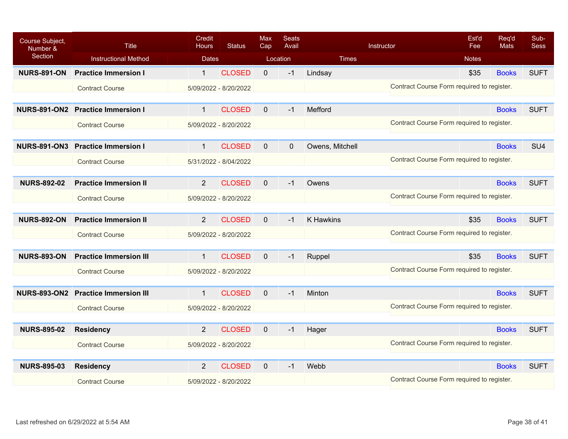| Course Subject,<br>Number & | <b>Title</b>                  | Credit<br><b>Hours</b> | <b>Status</b>         | <b>Max</b><br>Cap | <b>Seats</b><br>Avail |                 | Instructor                                 | Est'd<br>Fee | Req'd<br>Mats | Sub-<br><b>Sess</b> |
|-----------------------------|-------------------------------|------------------------|-----------------------|-------------------|-----------------------|-----------------|--------------------------------------------|--------------|---------------|---------------------|
| Section                     | <b>Instructional Method</b>   | <b>Dates</b>           |                       | Location          |                       | <b>Times</b>    |                                            | <b>Notes</b> |               |                     |
| <b>NURS-891-ON</b>          | <b>Practice Immersion I</b>   | $\mathbf{1}$           | <b>CLOSED</b>         | $\mathbf 0$       | $-1$                  | Lindsay         |                                            | \$35         | <b>Books</b>  | <b>SUFT</b>         |
|                             | <b>Contract Course</b>        |                        | 5/09/2022 - 8/20/2022 |                   |                       |                 | Contract Course Form required to register. |              |               |                     |
|                             |                               |                        |                       |                   |                       |                 |                                            |              |               |                     |
| <b>NURS-891-ON2</b>         | <b>Practice Immersion I</b>   | $\mathbf{1}$           | <b>CLOSED</b>         | $\mathbf{0}$      | $-1$                  | Mefford         |                                            |              | <b>Books</b>  | <b>SUFT</b>         |
|                             | <b>Contract Course</b>        |                        | 5/09/2022 - 8/20/2022 |                   |                       |                 | Contract Course Form required to register. |              |               |                     |
|                             |                               |                        |                       |                   |                       |                 |                                            |              |               |                     |
| <b>NURS-891-ON3</b>         | <b>Practice Immersion I</b>   | $\mathbf{1}$           | <b>CLOSED</b>         | $\mathbf 0$       | $\mathbf 0$           | Owens, Mitchell |                                            |              | <b>Books</b>  | SU <sub>4</sub>     |
|                             | <b>Contract Course</b>        |                        | 5/31/2022 - 8/04/2022 |                   |                       |                 | Contract Course Form required to register. |              |               |                     |
|                             |                               |                        |                       |                   |                       |                 |                                            |              |               |                     |
| <b>NURS-892-02</b>          | <b>Practice Immersion II</b>  | $\overline{2}$         | <b>CLOSED</b>         | $\mathbf{0}$      | $-1$                  | Owens           |                                            |              | <b>Books</b>  | <b>SUFT</b>         |
|                             | <b>Contract Course</b>        |                        | 5/09/2022 - 8/20/2022 |                   |                       |                 | Contract Course Form required to register. |              |               |                     |
|                             |                               |                        |                       |                   |                       |                 |                                            |              |               |                     |
| <b>NURS-892-ON</b>          | <b>Practice Immersion II</b>  | $\overline{2}$         | <b>CLOSED</b>         | $\mathbf{0}$      | $-1$                  | K Hawkins       |                                            | \$35         | <b>Books</b>  | <b>SUFT</b>         |
|                             | <b>Contract Course</b>        |                        | 5/09/2022 - 8/20/2022 |                   |                       |                 | Contract Course Form required to register. |              |               |                     |
|                             |                               |                        |                       |                   |                       |                 |                                            |              |               |                     |
| <b>NURS-893-ON</b>          | <b>Practice Immersion III</b> | $\mathbf{1}$           | <b>CLOSED</b>         | $\mathbf{0}$      | $-1$                  | Ruppel          |                                            | \$35         | <b>Books</b>  | <b>SUFT</b>         |
|                             | <b>Contract Course</b>        |                        | 5/09/2022 - 8/20/2022 |                   |                       |                 | Contract Course Form required to register. |              |               |                     |
|                             |                               |                        |                       |                   |                       |                 |                                            |              |               |                     |
| <b>NURS-893-ON2</b>         | <b>Practice Immersion III</b> | $\mathbf{1}$           | <b>CLOSED</b>         | $\mathbf{0}$      | $-1$                  | Minton          |                                            |              | <b>Books</b>  | <b>SUFT</b>         |
|                             | <b>Contract Course</b>        |                        | 5/09/2022 - 8/20/2022 |                   |                       |                 | Contract Course Form required to register. |              |               |                     |
|                             |                               |                        |                       |                   |                       |                 |                                            |              |               |                     |
| <b>NURS-895-02</b>          | <b>Residency</b>              | $\overline{2}$         | <b>CLOSED</b>         | $\mathbf 0$       | $-1$                  | Hager           |                                            |              | <b>Books</b>  | <b>SUFT</b>         |
|                             | <b>Contract Course</b>        |                        | 5/09/2022 - 8/20/2022 |                   |                       |                 | Contract Course Form required to register. |              |               |                     |
|                             |                               |                        |                       |                   |                       |                 |                                            |              |               |                     |
| <b>NURS-895-03</b>          | <b>Residency</b>              | $\overline{2}$         | <b>CLOSED</b>         | $\Omega$          | $-1$                  | Webb            |                                            |              | <b>Books</b>  | <b>SUFT</b>         |
|                             | <b>Contract Course</b>        |                        | 5/09/2022 - 8/20/2022 |                   |                       |                 | Contract Course Form required to register. |              |               |                     |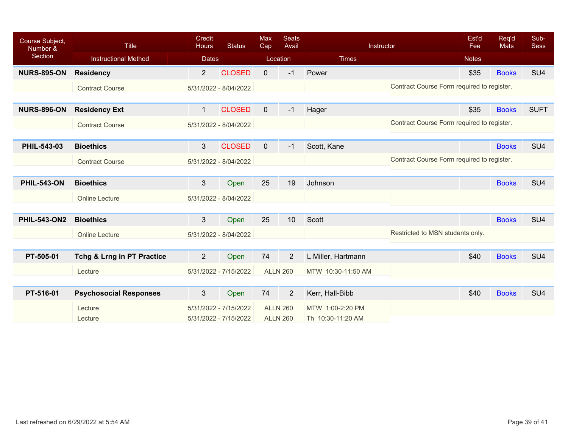| Course Subject,<br>Number & | <b>Title</b>                          | <b>Credit</b><br>Hours | <b>Status</b>         | <b>Max</b><br>Cap | <b>Seats</b><br>Avail |                    | Instructor                                 | Est'd<br>Fee | Req'd<br><b>Mats</b> | Sub-<br><b>Sess</b> |
|-----------------------------|---------------------------------------|------------------------|-----------------------|-------------------|-----------------------|--------------------|--------------------------------------------|--------------|----------------------|---------------------|
| Section                     | <b>Instructional Method</b>           | <b>Dates</b>           |                       |                   | Location              | <b>Times</b>       |                                            | <b>Notes</b> |                      |                     |
| <b>NURS-895-ON</b>          | <b>Residency</b>                      | $\overline{2}$         | <b>CLOSED</b>         | $\mathbf{0}$      | $-1$                  | Power              |                                            | \$35         | <b>Books</b>         | SU <sub>4</sub>     |
|                             | <b>Contract Course</b>                |                        | 5/31/2022 - 8/04/2022 |                   |                       |                    | Contract Course Form required to register. |              |                      |                     |
|                             |                                       |                        |                       |                   |                       |                    |                                            |              |                      |                     |
| <b>NURS-896-ON</b>          | <b>Residency Ext</b>                  | $\mathbf{1}$           | <b>CLOSED</b>         | $\mathbf{0}$      | $-1$                  | Hager              |                                            | \$35         | <b>Books</b>         | <b>SUFT</b>         |
|                             | <b>Contract Course</b>                |                        | 5/31/2022 - 8/04/2022 |                   |                       |                    | Contract Course Form required to register. |              |                      |                     |
|                             |                                       |                        |                       |                   |                       |                    |                                            |              |                      |                     |
| PHIL-543-03                 | <b>Bioethics</b>                      | $\mathbf{3}$           | <b>CLOSED</b>         | $\mathbf{0}$      | $-1$                  | Scott, Kane        |                                            |              | <b>Books</b>         | SU <sub>4</sub>     |
|                             | <b>Contract Course</b>                |                        | 5/31/2022 - 8/04/2022 |                   |                       |                    | Contract Course Form required to register. |              |                      |                     |
|                             |                                       |                        |                       |                   |                       |                    |                                            |              |                      |                     |
| <b>PHIL-543-ON</b>          | <b>Bioethics</b>                      | 3                      | Open                  | 25                | 19                    | Johnson            |                                            |              | <b>Books</b>         | SU <sub>4</sub>     |
|                             | <b>Online Lecture</b>                 |                        | 5/31/2022 - 8/04/2022 |                   |                       |                    |                                            |              |                      |                     |
|                             |                                       |                        |                       |                   |                       |                    |                                            |              |                      |                     |
| <b>PHIL-543-ON2</b>         | <b>Bioethics</b>                      | $\mathbf{3}$           | Open                  | 25                | 10                    | Scott              |                                            |              | <b>Books</b>         | SU <sub>4</sub>     |
|                             | <b>Online Lecture</b>                 |                        | 5/31/2022 - 8/04/2022 |                   |                       |                    | Restricted to MSN students only.           |              |                      |                     |
|                             |                                       |                        |                       |                   |                       |                    |                                            |              |                      |                     |
| PT-505-01                   | <b>Tchg &amp; Lrng in PT Practice</b> | $\overline{2}$         | Open                  | 74                | $\overline{2}$        | L Miller, Hartmann |                                            | \$40         | <b>Books</b>         | SU <sub>4</sub>     |
|                             | Lecture                               |                        | 5/31/2022 - 7/15/2022 |                   | <b>ALLN 260</b>       | MTW 10:30-11:50 AM |                                            |              |                      |                     |
|                             |                                       |                        |                       |                   |                       |                    |                                            |              |                      |                     |
| PT-516-01                   | <b>Psychosocial Responses</b>         | $\mathbf{3}$           | Open                  | 74                | $\overline{2}$        | Kerr, Hall-Bibb    |                                            | \$40         | <b>Books</b>         | SU <sub>4</sub>     |
|                             | Lecture                               |                        | 5/31/2022 - 7/15/2022 |                   | <b>ALLN 260</b>       | MTW 1:00-2:20 PM   |                                            |              |                      |                     |
|                             | Lecture                               |                        | 5/31/2022 - 7/15/2022 |                   | <b>ALLN 260</b>       | Th 10:30-11:20 AM  |                                            |              |                      |                     |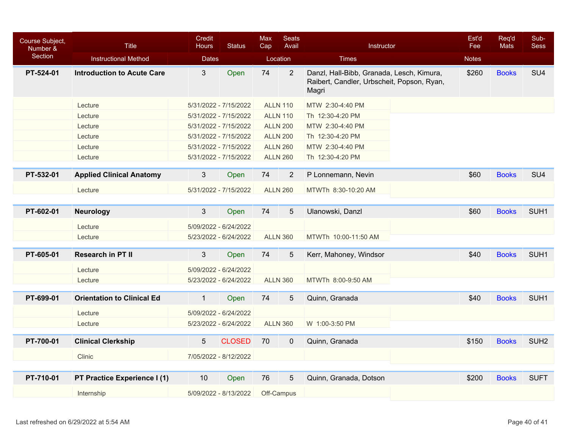| Section<br><b>Instructional Method</b><br><b>Dates</b><br>Location<br><b>Times</b><br><b>Notes</b>                                                                                                               | SU <sub>4</sub>  |
|------------------------------------------------------------------------------------------------------------------------------------------------------------------------------------------------------------------|------------------|
|                                                                                                                                                                                                                  |                  |
| 74<br>PT-524-01<br>3<br>Open<br>$\overline{2}$<br>Danzl, Hall-Bibb, Granada, Lesch, Kimura,<br>\$260<br><b>Introduction to Acute Care</b><br><b>Books</b><br>Raibert, Candler, Urbscheit, Popson, Ryan,<br>Magri |                  |
| Lecture<br>5/31/2022 - 7/15/2022<br><b>ALLN 110</b><br>MTW 2:30-4:40 PM                                                                                                                                          |                  |
| Lecture<br>5/31/2022 - 7/15/2022<br><b>ALLN 110</b><br>Th 12:30-4:20 PM                                                                                                                                          |                  |
| <b>ALLN 200</b><br>MTW 2:30-4:40 PM<br>Lecture<br>5/31/2022 - 7/15/2022                                                                                                                                          |                  |
| Lecture<br>5/31/2022 - 7/15/2022<br><b>ALLN 200</b><br>Th 12:30-4:20 PM                                                                                                                                          |                  |
| <b>ALLN 260</b><br>MTW 2:30-4:40 PM<br>Lecture<br>5/31/2022 - 7/15/2022                                                                                                                                          |                  |
| Lecture<br>5/31/2022 - 7/15/2022<br><b>ALLN 260</b><br>Th 12:30-4:20 PM                                                                                                                                          |                  |
| PT-532-01<br><b>Applied Clinical Anatomy</b><br>3<br>74<br>$\overline{2}$<br>P Lonnemann, Nevin<br>\$60<br><b>Books</b><br>Open                                                                                  | SU <sub>4</sub>  |
| <b>ALLN 260</b><br>Lecture<br>5/31/2022 - 7/15/2022<br>MTWTh 8:30-10:20 AM                                                                                                                                       |                  |
|                                                                                                                                                                                                                  |                  |
| $\mathbf{3}$<br>PT-602-01<br>74<br>5<br>Open<br>Ulanowski, Danzl<br>\$60<br><b>Books</b><br><b>Neurology</b>                                                                                                     | SUH <sub>1</sub> |
| 5/09/2022 - 6/24/2022<br>Lecture                                                                                                                                                                                 |                  |
| Lecture<br>5/23/2022 - 6/24/2022<br><b>ALLN 360</b><br>MTWTh 10:00-11:50 AM                                                                                                                                      |                  |
| PT-605-01<br>$\mathbf{3}$<br><b>Research in PT II</b><br>Open<br>74<br>5<br>Kerr, Mahoney, Windsor<br>\$40<br><b>Books</b>                                                                                       | SUH <sub>1</sub> |
| Lecture<br>5/09/2022 - 6/24/2022                                                                                                                                                                                 |                  |
| Lecture<br>5/23/2022 - 6/24/2022<br><b>ALLN 360</b><br>MTWTh 8:00-9:50 AM                                                                                                                                        |                  |
| PT-699-01<br><b>Orientation to Clinical Ed</b><br>$\mathbf{1}$<br>74<br>\$40<br><b>Books</b><br>5<br>Quinn, Granada<br>Open                                                                                      | SUH <sub>1</sub> |
| Lecture<br>5/09/2022 - 6/24/2022                                                                                                                                                                                 |                  |
| Lecture<br>5/23/2022 - 6/24/2022<br><b>ALLN 360</b><br>W 1:00-3:50 PM                                                                                                                                            |                  |
| <b>CLOSED</b><br>PT-700-01<br><b>Clinical Clerkship</b><br>$\overline{5}$<br>70<br>Quinn, Granada<br>\$150<br><b>Books</b><br>$\mathbf 0$                                                                        | SUH <sub>2</sub> |
| <b>Clinic</b><br>7/05/2022 - 8/12/2022                                                                                                                                                                           |                  |
|                                                                                                                                                                                                                  |                  |
| PT-710-01<br>10<br>76<br>5<br>Quinn, Granada, Dotson<br>\$200<br><b>Books</b><br>PT Practice Experience I (1)<br>Open                                                                                            | <b>SUFT</b>      |
| Off-Campus<br>5/09/2022 - 8/13/2022<br>Internship                                                                                                                                                                |                  |